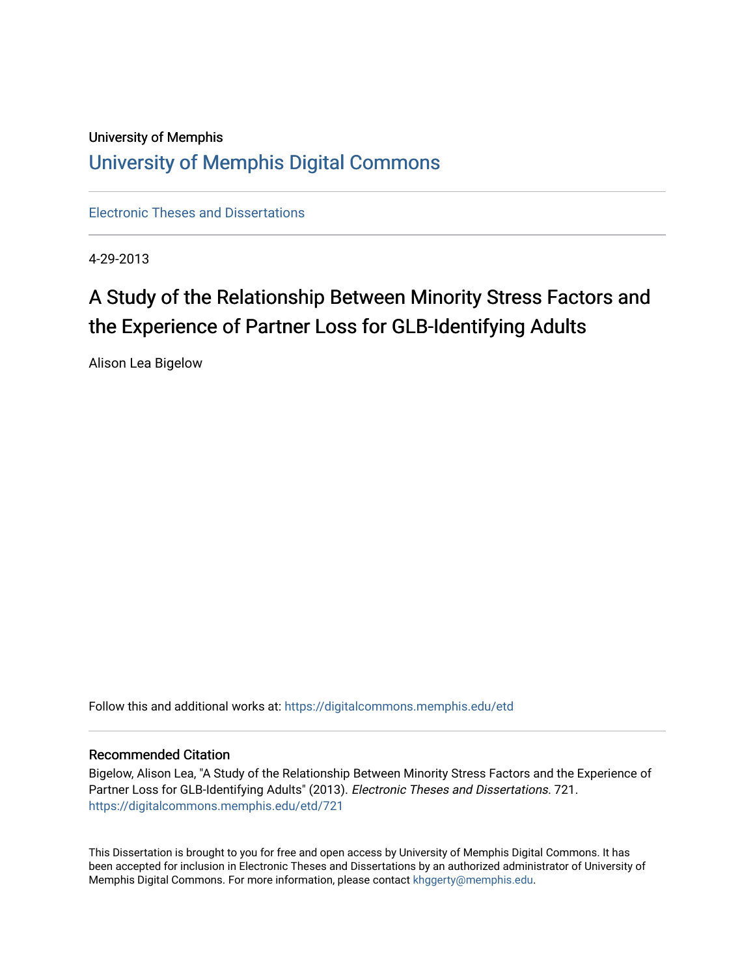# University of Memphis [University of Memphis Digital Commons](https://digitalcommons.memphis.edu/)

[Electronic Theses and Dissertations](https://digitalcommons.memphis.edu/etd)

4-29-2013

# A Study of the Relationship Between Minority Stress Factors and the Experience of Partner Loss for GLB-Identifying Adults

Alison Lea Bigelow

Follow this and additional works at: [https://digitalcommons.memphis.edu/etd](https://digitalcommons.memphis.edu/etd?utm_source=digitalcommons.memphis.edu%2Fetd%2F721&utm_medium=PDF&utm_campaign=PDFCoverPages) 

# Recommended Citation

Bigelow, Alison Lea, "A Study of the Relationship Between Minority Stress Factors and the Experience of Partner Loss for GLB-Identifying Adults" (2013). Electronic Theses and Dissertations. 721. [https://digitalcommons.memphis.edu/etd/721](https://digitalcommons.memphis.edu/etd/721?utm_source=digitalcommons.memphis.edu%2Fetd%2F721&utm_medium=PDF&utm_campaign=PDFCoverPages) 

This Dissertation is brought to you for free and open access by University of Memphis Digital Commons. It has been accepted for inclusion in Electronic Theses and Dissertations by an authorized administrator of University of Memphis Digital Commons. For more information, please contact [khggerty@memphis.edu.](mailto:khggerty@memphis.edu)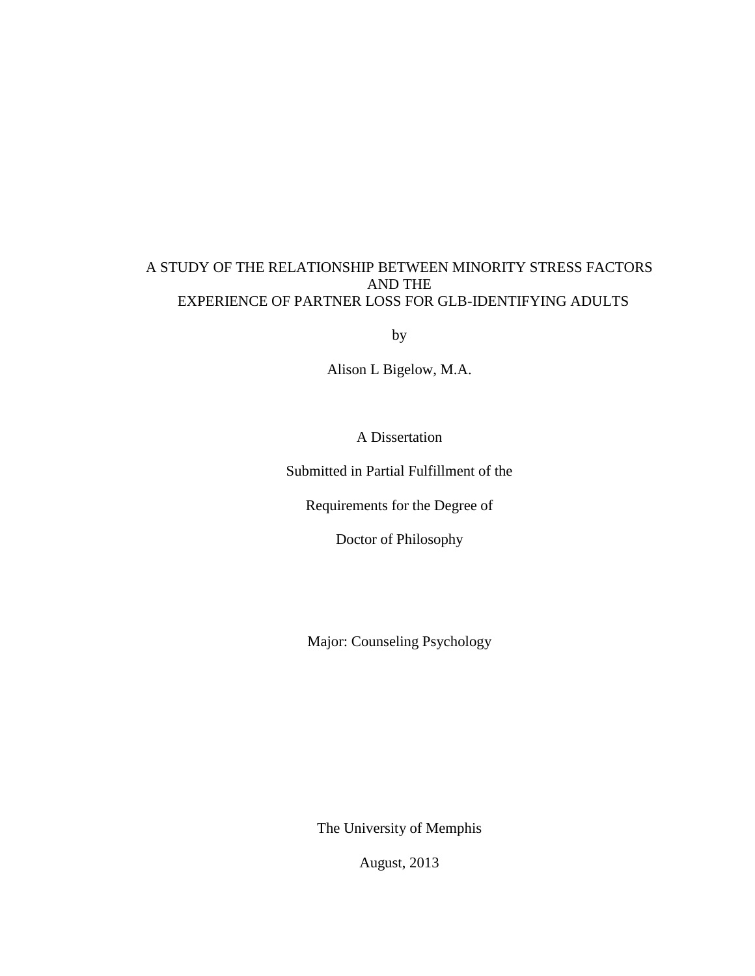# A STUDY OF THE RELATIONSHIP BETWEEN MINORITY STRESS FACTORS AND THE EXPERIENCE OF PARTNER LOSS FOR GLB-IDENTIFYING ADULTS

by

Alison L Bigelow, M.A.

A Dissertation

Submitted in Partial Fulfillment of the

Requirements for the Degree of

Doctor of Philosophy

Major: Counseling Psychology

The University of Memphis

August, 2013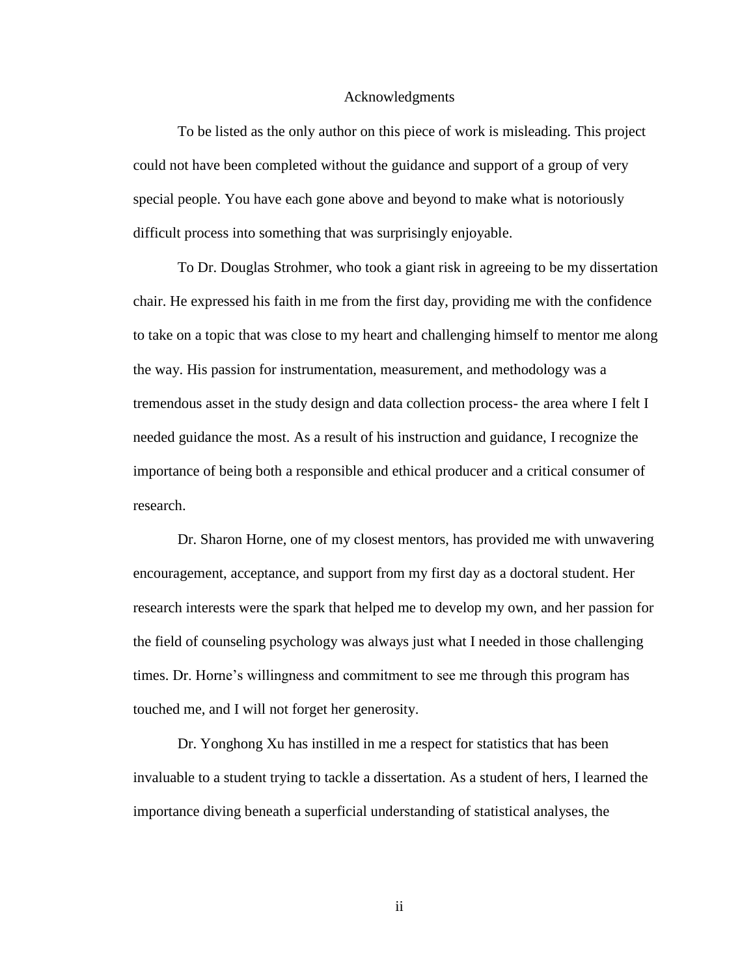#### Acknowledgments

To be listed as the only author on this piece of work is misleading. This project could not have been completed without the guidance and support of a group of very special people. You have each gone above and beyond to make what is notoriously difficult process into something that was surprisingly enjoyable.

To Dr. Douglas Strohmer, who took a giant risk in agreeing to be my dissertation chair. He expressed his faith in me from the first day, providing me with the confidence to take on a topic that was close to my heart and challenging himself to mentor me along the way. His passion for instrumentation, measurement, and methodology was a tremendous asset in the study design and data collection process- the area where I felt I needed guidance the most. As a result of his instruction and guidance, I recognize the importance of being both a responsible and ethical producer and a critical consumer of research.

Dr. Sharon Horne, one of my closest mentors, has provided me with unwavering encouragement, acceptance, and support from my first day as a doctoral student. Her research interests were the spark that helped me to develop my own, and her passion for the field of counseling psychology was always just what I needed in those challenging times. Dr. Horne's willingness and commitment to see me through this program has touched me, and I will not forget her generosity.

Dr. Yonghong Xu has instilled in me a respect for statistics that has been invaluable to a student trying to tackle a dissertation. As a student of hers, I learned the importance diving beneath a superficial understanding of statistical analyses, the

ii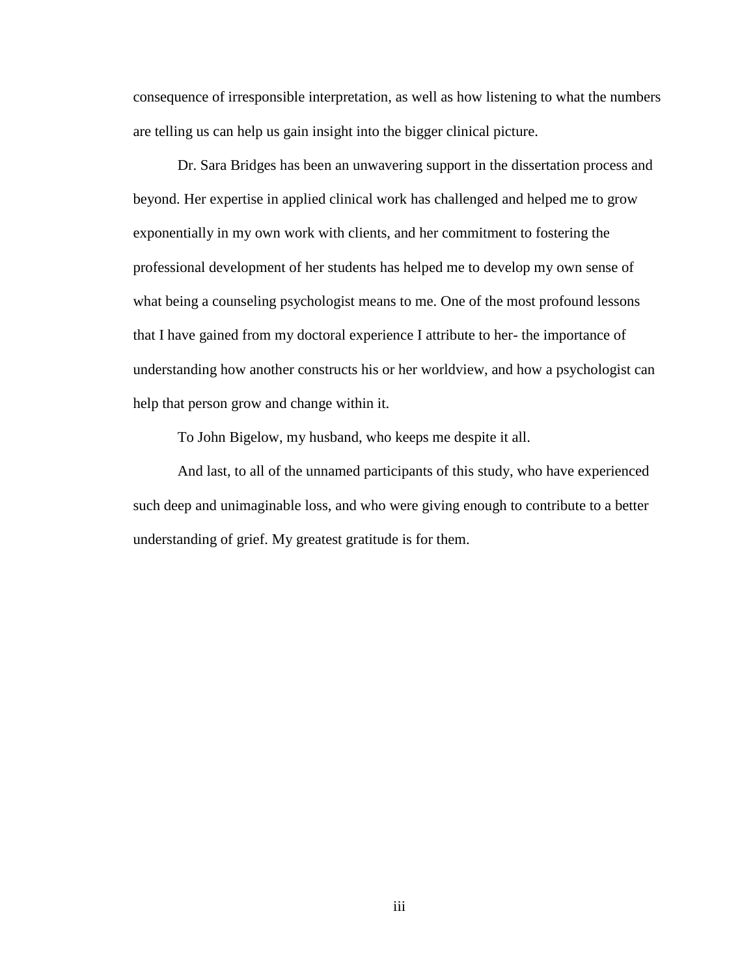consequence of irresponsible interpretation, as well as how listening to what the numbers are telling us can help us gain insight into the bigger clinical picture.

Dr. Sara Bridges has been an unwavering support in the dissertation process and beyond. Her expertise in applied clinical work has challenged and helped me to grow exponentially in my own work with clients, and her commitment to fostering the professional development of her students has helped me to develop my own sense of what being a counseling psychologist means to me. One of the most profound lessons that I have gained from my doctoral experience I attribute to her- the importance of understanding how another constructs his or her worldview, and how a psychologist can help that person grow and change within it.

To John Bigelow, my husband, who keeps me despite it all.

And last, to all of the unnamed participants of this study, who have experienced such deep and unimaginable loss, and who were giving enough to contribute to a better understanding of grief. My greatest gratitude is for them.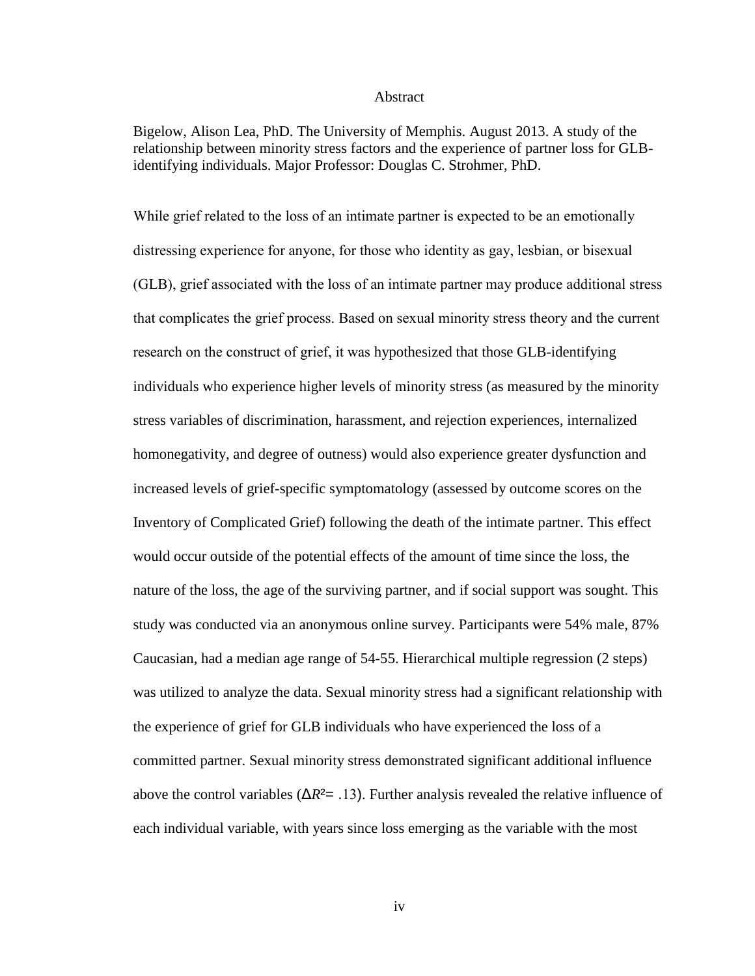#### Abstract

Bigelow, Alison Lea, PhD. The University of Memphis. August 2013. A study of the relationship between minority stress factors and the experience of partner loss for GLBidentifying individuals. Major Professor: Douglas C. Strohmer, PhD.

While grief related to the loss of an intimate partner is expected to be an emotionally distressing experience for anyone, for those who identity as gay, lesbian, or bisexual (GLB), grief associated with the loss of an intimate partner may produce additional stress that complicates the grief process. Based on sexual minority stress theory and the current research on the construct of grief, it was hypothesized that those GLB-identifying individuals who experience higher levels of minority stress (as measured by the minority stress variables of discrimination, harassment, and rejection experiences, internalized homonegativity, and degree of outness) would also experience greater dysfunction and increased levels of grief-specific symptomatology (assessed by outcome scores on the Inventory of Complicated Grief) following the death of the intimate partner. This effect would occur outside of the potential effects of the amount of time since the loss, the nature of the loss, the age of the surviving partner, and if social support was sought. This study was conducted via an anonymous online survey. Participants were 54% male, 87% Caucasian, had a median age range of 54-55. Hierarchical multiple regression (2 steps) was utilized to analyze the data. Sexual minority stress had a significant relationship with the experience of grief for GLB individuals who have experienced the loss of a committed partner. Sexual minority stress demonstrated significant additional influence above the control variables (Δ*R*²= .13). Further analysis revealed the relative influence of each individual variable, with years since loss emerging as the variable with the most

iv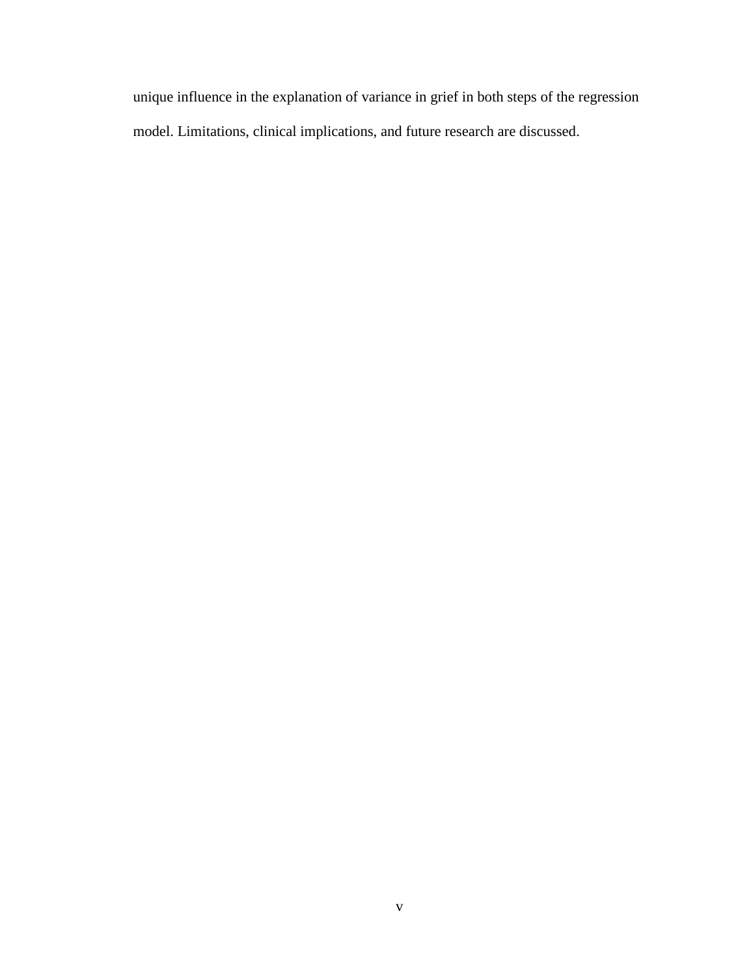unique influence in the explanation of variance in grief in both steps of the regression model. Limitations, clinical implications, and future research are discussed.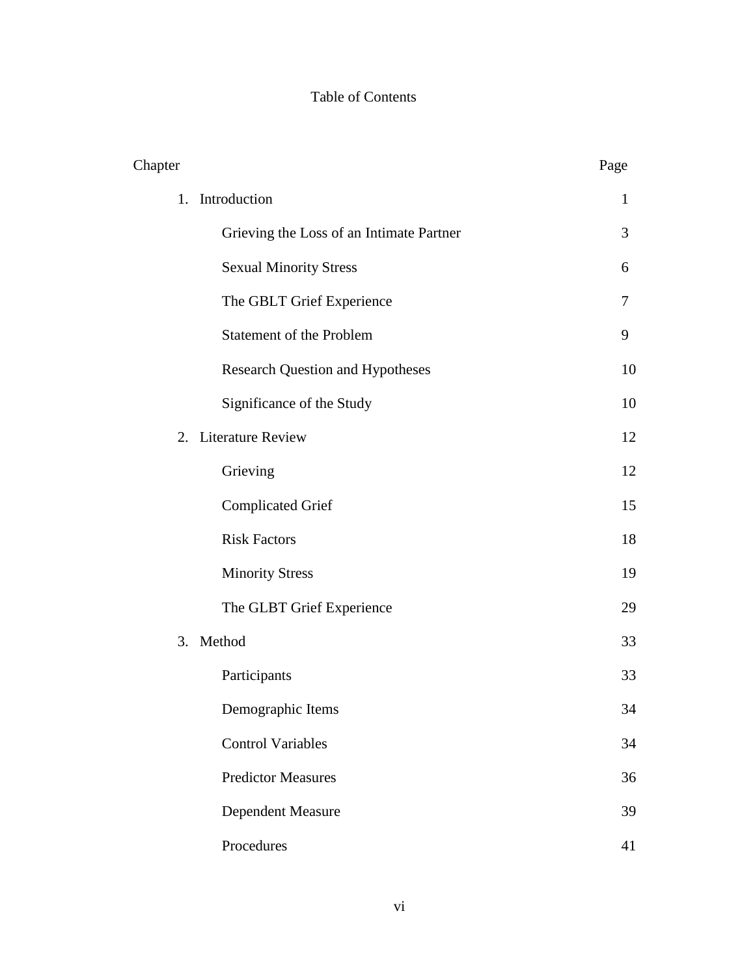# Table of Contents

| Chapter |                                          | Page |
|---------|------------------------------------------|------|
|         | 1. Introduction                          | 1    |
|         | Grieving the Loss of an Intimate Partner | 3    |
|         | <b>Sexual Minority Stress</b>            | 6    |
|         | The GBLT Grief Experience                | 7    |
|         | Statement of the Problem                 | 9    |
|         | <b>Research Question and Hypotheses</b>  | 10   |
|         | Significance of the Study                | 10   |
|         | 2. Literature Review                     | 12   |
|         | Grieving                                 | 12   |
|         | <b>Complicated Grief</b>                 | 15   |
|         | <b>Risk Factors</b>                      | 18   |
|         | <b>Minority Stress</b>                   | 19   |
|         | The GLBT Grief Experience                | 29   |
|         | 3. Method                                | 33   |
|         | Participants                             | 33   |
|         | Demographic Items                        | 34   |
|         | <b>Control Variables</b>                 | 34   |
|         | <b>Predictor Measures</b>                | 36   |
|         | <b>Dependent Measure</b>                 | 39   |
|         | Procedures                               | 41   |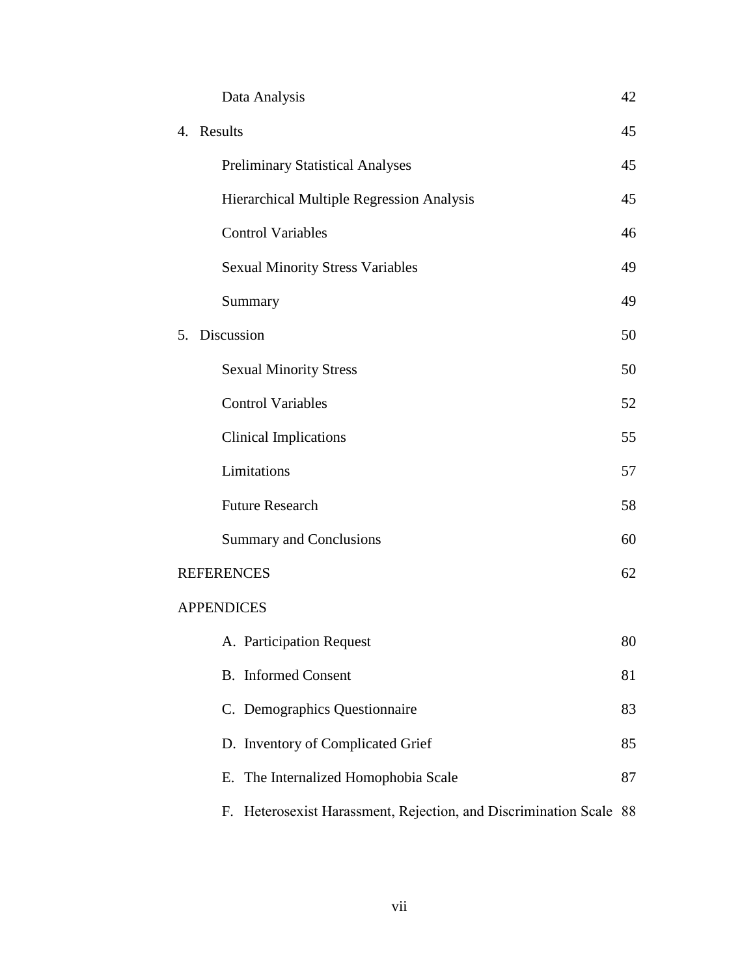|                   | Data Analysis                                                         | 42 |  |  |
|-------------------|-----------------------------------------------------------------------|----|--|--|
|                   | 4. Results                                                            | 45 |  |  |
|                   | <b>Preliminary Statistical Analyses</b>                               | 45 |  |  |
|                   | Hierarchical Multiple Regression Analysis                             | 45 |  |  |
|                   | <b>Control Variables</b>                                              | 46 |  |  |
|                   | <b>Sexual Minority Stress Variables</b>                               | 49 |  |  |
|                   | Summary                                                               | 49 |  |  |
|                   | 5. Discussion                                                         | 50 |  |  |
|                   | <b>Sexual Minority Stress</b>                                         | 50 |  |  |
|                   | <b>Control Variables</b>                                              | 52 |  |  |
|                   | <b>Clinical Implications</b>                                          | 55 |  |  |
|                   | Limitations                                                           | 57 |  |  |
|                   | <b>Future Research</b>                                                | 58 |  |  |
|                   | <b>Summary and Conclusions</b>                                        | 60 |  |  |
|                   | <b>REFERENCES</b>                                                     | 62 |  |  |
| <b>APPENDICES</b> |                                                                       |    |  |  |
|                   | A. Participation Request                                              | 80 |  |  |
|                   | <b>B.</b> Informed Consent                                            | 81 |  |  |
|                   | C. Demographics Questionnaire                                         | 83 |  |  |
|                   | D. Inventory of Complicated Grief                                     | 85 |  |  |
|                   | The Internalized Homophobia Scale<br>Е.                               | 87 |  |  |
|                   | Heterosexist Harassment, Rejection, and Discrimination Scale 88<br>F. |    |  |  |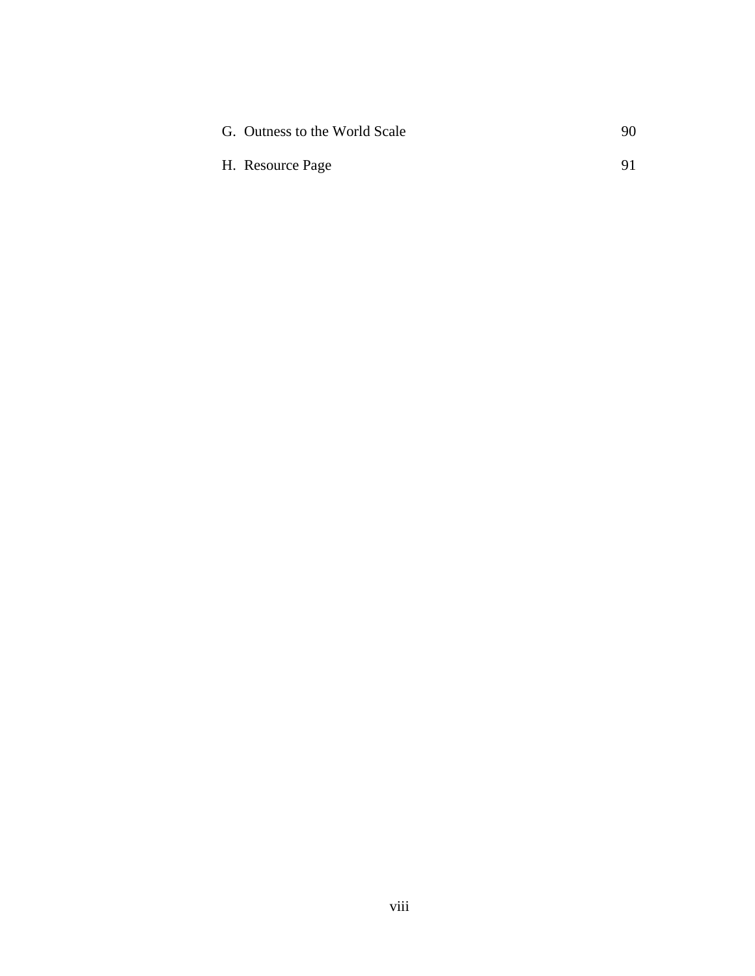| G. Outness to the World Scale | 90 |
|-------------------------------|----|
| H. Resource Page              | 91 |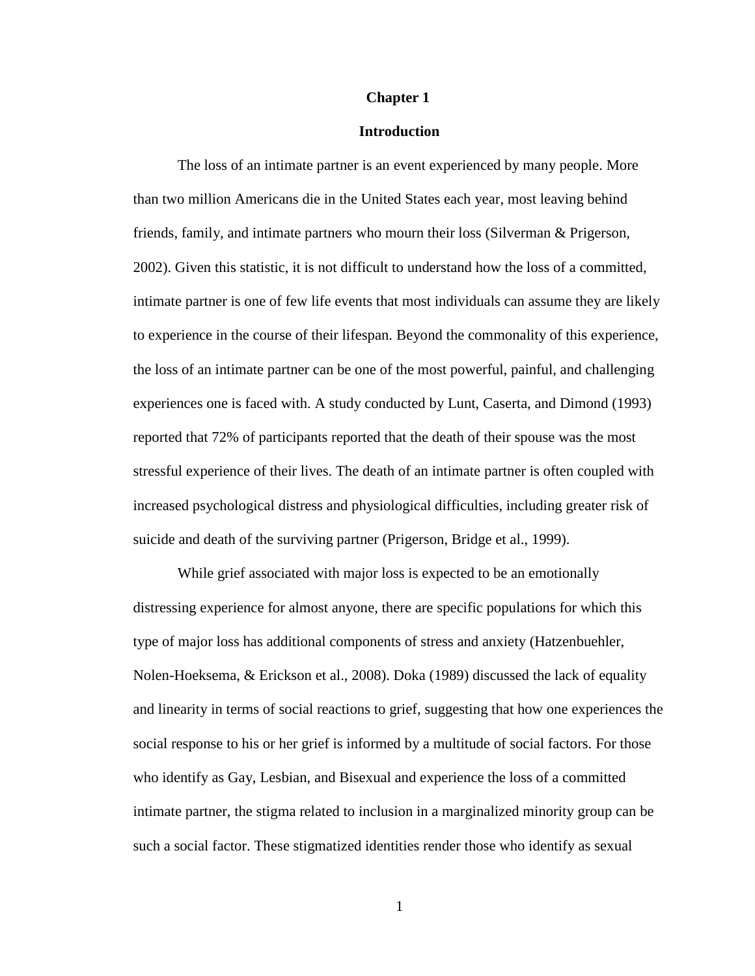#### **Chapter 1**

## **Introduction**

The loss of an intimate partner is an event experienced by many people. More than two million Americans die in the United States each year, most leaving behind friends, family, and intimate partners who mourn their loss (Silverman & Prigerson, 2002). Given this statistic, it is not difficult to understand how the loss of a committed, intimate partner is one of few life events that most individuals can assume they are likely to experience in the course of their lifespan. Beyond the commonality of this experience, the loss of an intimate partner can be one of the most powerful, painful, and challenging experiences one is faced with. A study conducted by Lunt, Caserta, and Dimond (1993) reported that 72% of participants reported that the death of their spouse was the most stressful experience of their lives. The death of an intimate partner is often coupled with increased psychological distress and physiological difficulties, including greater risk of suicide and death of the surviving partner (Prigerson, Bridge et al., 1999).

While grief associated with major loss is expected to be an emotionally distressing experience for almost anyone, there are specific populations for which this type of major loss has additional components of stress and anxiety (Hatzenbuehler, Nolen-Hoeksema, & Erickson et al., 2008). Doka (1989) discussed the lack of equality and linearity in terms of social reactions to grief, suggesting that how one experiences the social response to his or her grief is informed by a multitude of social factors. For those who identify as Gay, Lesbian, and Bisexual and experience the loss of a committed intimate partner, the stigma related to inclusion in a marginalized minority group can be such a social factor. These stigmatized identities render those who identify as sexual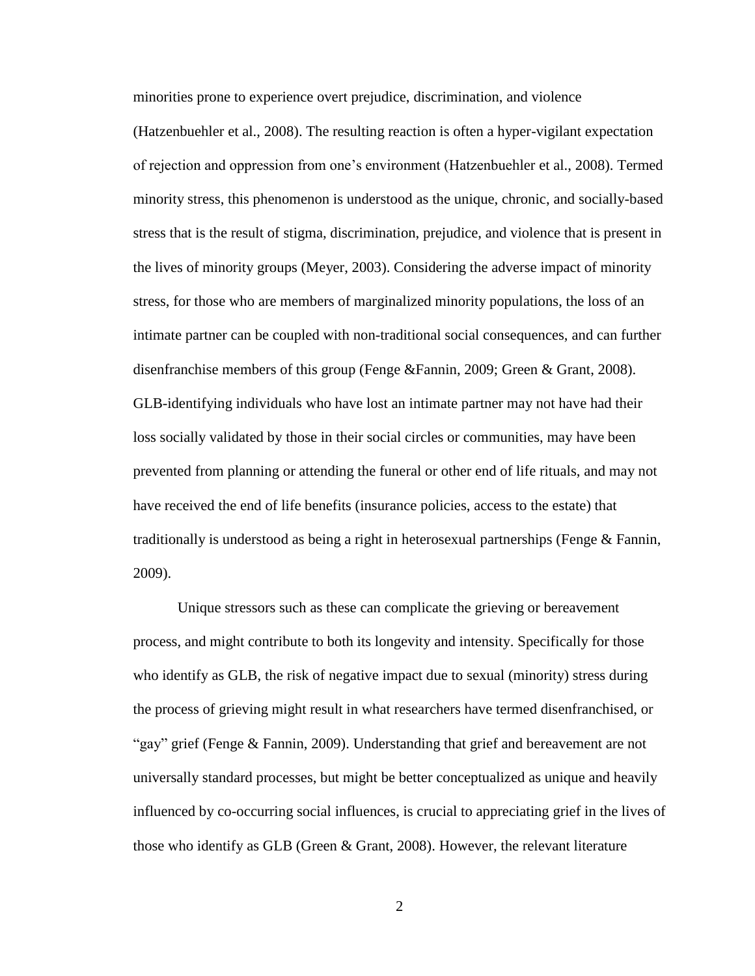minorities prone to experience overt prejudice, discrimination, and violence

(Hatzenbuehler et al., 2008). The resulting reaction is often a hyper-vigilant expectation of rejection and oppression from one's environment (Hatzenbuehler et al., 2008). Termed minority stress, this phenomenon is understood as the unique, chronic, and socially-based stress that is the result of stigma, discrimination, prejudice, and violence that is present in the lives of minority groups (Meyer, 2003). Considering the adverse impact of minority stress, for those who are members of marginalized minority populations, the loss of an intimate partner can be coupled with non-traditional social consequences, and can further disenfranchise members of this group (Fenge &Fannin, 2009; Green & Grant, 2008). GLB-identifying individuals who have lost an intimate partner may not have had their loss socially validated by those in their social circles or communities, may have been prevented from planning or attending the funeral or other end of life rituals, and may not have received the end of life benefits (insurance policies, access to the estate) that traditionally is understood as being a right in heterosexual partnerships (Fenge & Fannin, 2009).

Unique stressors such as these can complicate the grieving or bereavement process, and might contribute to both its longevity and intensity. Specifically for those who identify as GLB, the risk of negative impact due to sexual (minority) stress during the process of grieving might result in what researchers have termed disenfranchised, or "gay" grief (Fenge & Fannin, 2009). Understanding that grief and bereavement are not universally standard processes, but might be better conceptualized as unique and heavily influenced by co-occurring social influences, is crucial to appreciating grief in the lives of those who identify as GLB (Green  $\&$  Grant, 2008). However, the relevant literature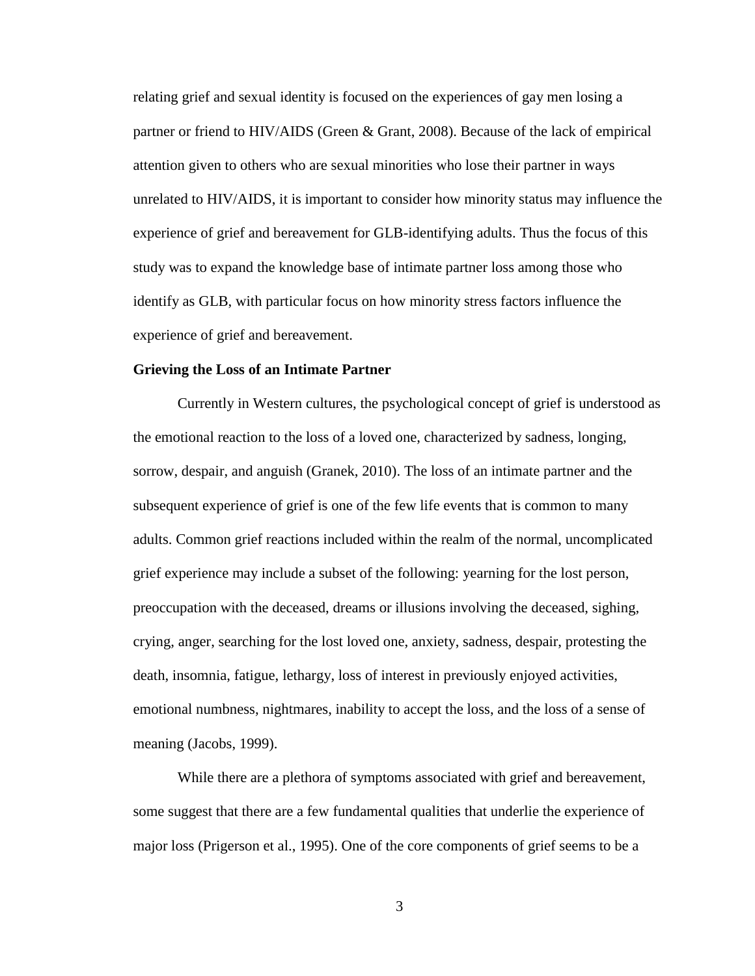relating grief and sexual identity is focused on the experiences of gay men losing a partner or friend to HIV/AIDS (Green & Grant, 2008). Because of the lack of empirical attention given to others who are sexual minorities who lose their partner in ways unrelated to HIV/AIDS, it is important to consider how minority status may influence the experience of grief and bereavement for GLB-identifying adults. Thus the focus of this study was to expand the knowledge base of intimate partner loss among those who identify as GLB, with particular focus on how minority stress factors influence the experience of grief and bereavement.

## **Grieving the Loss of an Intimate Partner**

Currently in Western cultures, the psychological concept of grief is understood as the emotional reaction to the loss of a loved one, characterized by sadness, longing, sorrow, despair, and anguish (Granek, 2010). The loss of an intimate partner and the subsequent experience of grief is one of the few life events that is common to many adults. Common grief reactions included within the realm of the normal, uncomplicated grief experience may include a subset of the following: yearning for the lost person, preoccupation with the deceased, dreams or illusions involving the deceased, sighing, crying, anger, searching for the lost loved one, anxiety, sadness, despair, protesting the death, insomnia, fatigue, lethargy, loss of interest in previously enjoyed activities, emotional numbness, nightmares, inability to accept the loss, and the loss of a sense of meaning (Jacobs, 1999).

While there are a plethora of symptoms associated with grief and bereavement, some suggest that there are a few fundamental qualities that underlie the experience of major loss (Prigerson et al., 1995). One of the core components of grief seems to be a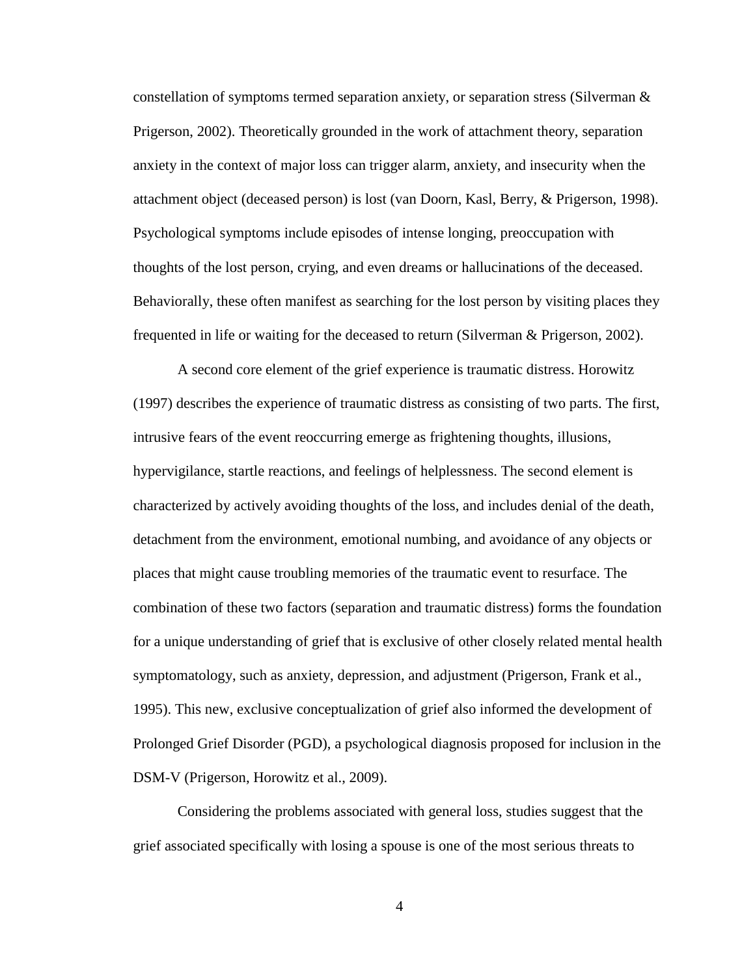constellation of symptoms termed separation anxiety, or separation stress (Silverman  $\&$ Prigerson, 2002). Theoretically grounded in the work of attachment theory, separation anxiety in the context of major loss can trigger alarm, anxiety, and insecurity when the attachment object (deceased person) is lost (van Doorn, Kasl, Berry, & Prigerson, 1998). Psychological symptoms include episodes of intense longing, preoccupation with thoughts of the lost person, crying, and even dreams or hallucinations of the deceased. Behaviorally, these often manifest as searching for the lost person by visiting places they frequented in life or waiting for the deceased to return (Silverman & Prigerson, 2002).

A second core element of the grief experience is traumatic distress. Horowitz (1997) describes the experience of traumatic distress as consisting of two parts. The first, intrusive fears of the event reoccurring emerge as frightening thoughts, illusions, hypervigilance, startle reactions, and feelings of helplessness. The second element is characterized by actively avoiding thoughts of the loss, and includes denial of the death, detachment from the environment, emotional numbing, and avoidance of any objects or places that might cause troubling memories of the traumatic event to resurface. The combination of these two factors (separation and traumatic distress) forms the foundation for a unique understanding of grief that is exclusive of other closely related mental health symptomatology, such as anxiety, depression, and adjustment (Prigerson, Frank et al., 1995). This new, exclusive conceptualization of grief also informed the development of Prolonged Grief Disorder (PGD), a psychological diagnosis proposed for inclusion in the DSM-V (Prigerson, Horowitz et al., 2009).

Considering the problems associated with general loss, studies suggest that the grief associated specifically with losing a spouse is one of the most serious threats to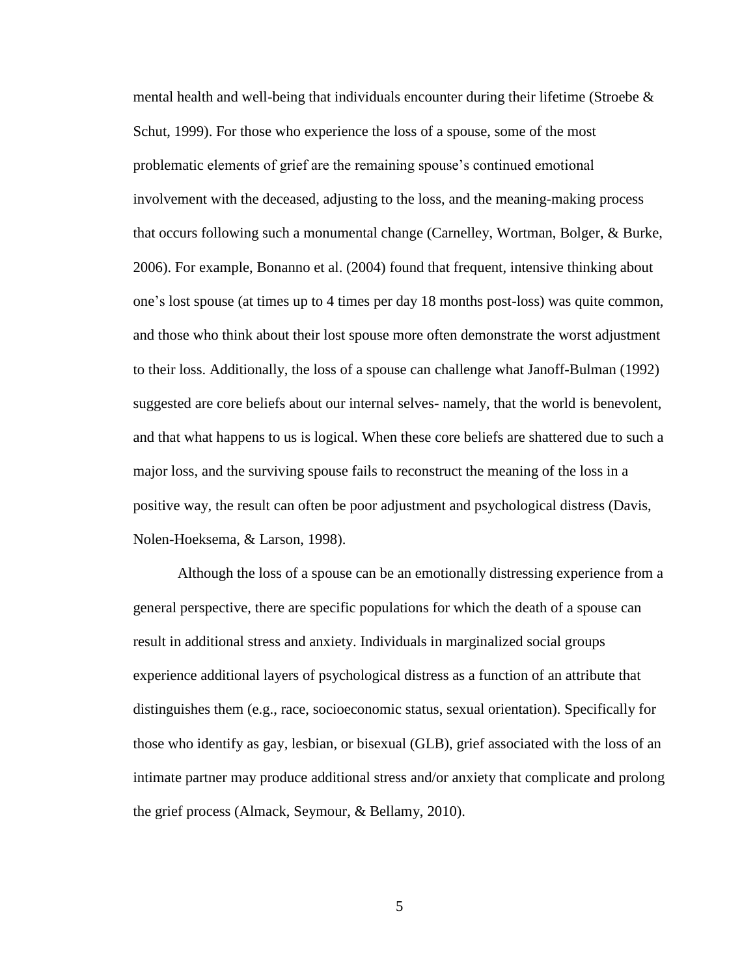mental health and well-being that individuals encounter during their lifetime (Stroebe  $\&$ Schut, 1999). For those who experience the loss of a spouse, some of the most problematic elements of grief are the remaining spouse's continued emotional involvement with the deceased, adjusting to the loss, and the meaning-making process that occurs following such a monumental change (Carnelley, Wortman, Bolger, & Burke, 2006). For example, Bonanno et al. (2004) found that frequent, intensive thinking about one's lost spouse (at times up to 4 times per day 18 months post-loss) was quite common, and those who think about their lost spouse more often demonstrate the worst adjustment to their loss. Additionally, the loss of a spouse can challenge what Janoff-Bulman (1992) suggested are core beliefs about our internal selves- namely, that the world is benevolent, and that what happens to us is logical. When these core beliefs are shattered due to such a major loss, and the surviving spouse fails to reconstruct the meaning of the loss in a positive way, the result can often be poor adjustment and psychological distress (Davis, Nolen-Hoeksema, & Larson, 1998).

Although the loss of a spouse can be an emotionally distressing experience from a general perspective, there are specific populations for which the death of a spouse can result in additional stress and anxiety. Individuals in marginalized social groups experience additional layers of psychological distress as a function of an attribute that distinguishes them (e.g., race, socioeconomic status, sexual orientation). Specifically for those who identify as gay, lesbian, or bisexual (GLB), grief associated with the loss of an intimate partner may produce additional stress and/or anxiety that complicate and prolong the grief process (Almack, Seymour, & Bellamy, 2010).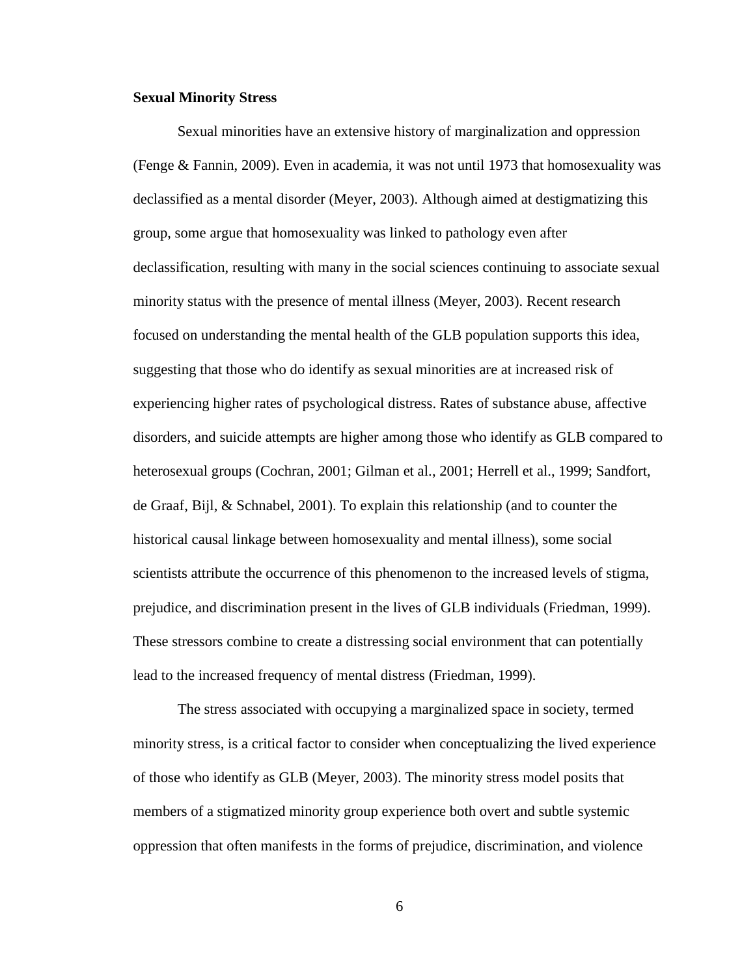#### **Sexual Minority Stress**

Sexual minorities have an extensive history of marginalization and oppression (Fenge & Fannin, 2009). Even in academia, it was not until 1973 that homosexuality was declassified as a mental disorder (Meyer, 2003). Although aimed at destigmatizing this group, some argue that homosexuality was linked to pathology even after declassification, resulting with many in the social sciences continuing to associate sexual minority status with the presence of mental illness (Meyer, 2003). Recent research focused on understanding the mental health of the GLB population supports this idea, suggesting that those who do identify as sexual minorities are at increased risk of experiencing higher rates of psychological distress. Rates of substance abuse, affective disorders, and suicide attempts are higher among those who identify as GLB compared to heterosexual groups (Cochran, 2001; Gilman et al., 2001; Herrell et al., 1999; Sandfort, de Graaf, Bijl, & Schnabel, 2001). To explain this relationship (and to counter the historical causal linkage between homosexuality and mental illness), some social scientists attribute the occurrence of this phenomenon to the increased levels of stigma, prejudice, and discrimination present in the lives of GLB individuals (Friedman, 1999). These stressors combine to create a distressing social environment that can potentially lead to the increased frequency of mental distress (Friedman, 1999).

The stress associated with occupying a marginalized space in society, termed minority stress, is a critical factor to consider when conceptualizing the lived experience of those who identify as GLB (Meyer, 2003). The minority stress model posits that members of a stigmatized minority group experience both overt and subtle systemic oppression that often manifests in the forms of prejudice, discrimination, and violence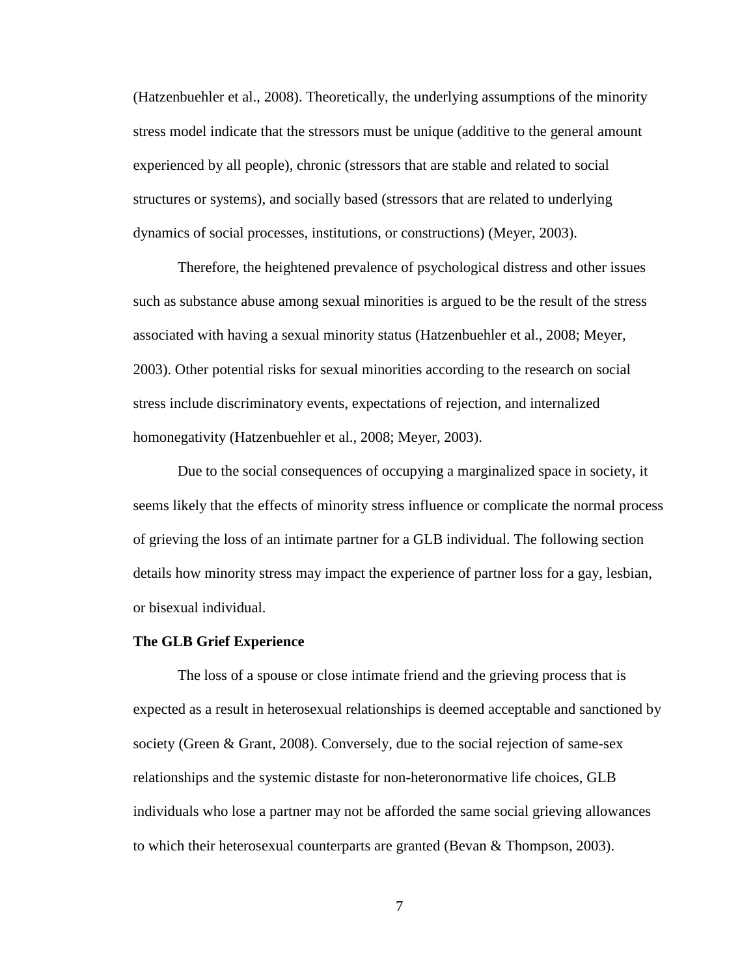(Hatzenbuehler et al., 2008). Theoretically, the underlying assumptions of the minority stress model indicate that the stressors must be unique (additive to the general amount experienced by all people), chronic (stressors that are stable and related to social structures or systems), and socially based (stressors that are related to underlying dynamics of social processes, institutions, or constructions) (Meyer, 2003).

Therefore, the heightened prevalence of psychological distress and other issues such as substance abuse among sexual minorities is argued to be the result of the stress associated with having a sexual minority status (Hatzenbuehler et al., 2008; Meyer, 2003). Other potential risks for sexual minorities according to the research on social stress include discriminatory events, expectations of rejection, and internalized homonegativity (Hatzenbuehler et al., 2008; Meyer, 2003).

Due to the social consequences of occupying a marginalized space in society, it seems likely that the effects of minority stress influence or complicate the normal process of grieving the loss of an intimate partner for a GLB individual. The following section details how minority stress may impact the experience of partner loss for a gay, lesbian, or bisexual individual.

#### **The GLB Grief Experience**

The loss of a spouse or close intimate friend and the grieving process that is expected as a result in heterosexual relationships is deemed acceptable and sanctioned by society (Green & Grant, 2008). Conversely, due to the social rejection of same-sex relationships and the systemic distaste for non-heteronormative life choices, GLB individuals who lose a partner may not be afforded the same social grieving allowances to which their heterosexual counterparts are granted (Bevan & Thompson, 2003).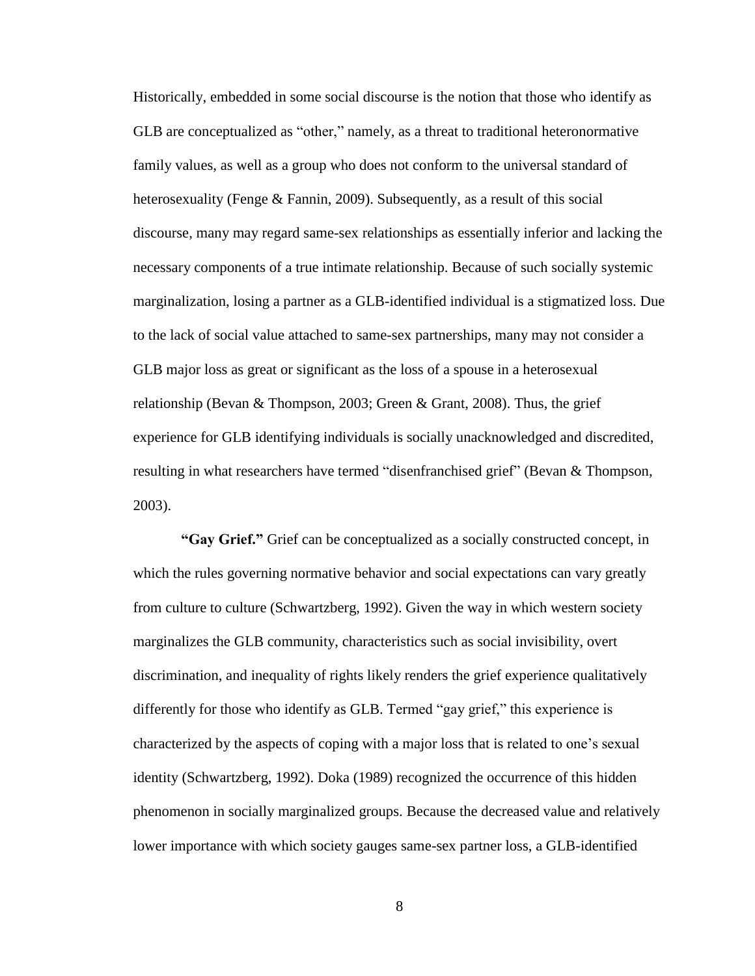Historically, embedded in some social discourse is the notion that those who identify as GLB are conceptualized as "other," namely, as a threat to traditional heteronormative family values, as well as a group who does not conform to the universal standard of heterosexuality (Fenge & Fannin, 2009). Subsequently, as a result of this social discourse, many may regard same-sex relationships as essentially inferior and lacking the necessary components of a true intimate relationship. Because of such socially systemic marginalization, losing a partner as a GLB-identified individual is a stigmatized loss. Due to the lack of social value attached to same-sex partnerships, many may not consider a GLB major loss as great or significant as the loss of a spouse in a heterosexual relationship (Bevan & Thompson, 2003; Green & Grant, 2008). Thus, the grief experience for GLB identifying individuals is socially unacknowledged and discredited, resulting in what researchers have termed "disenfranchised grief" (Bevan & Thompson, 2003).

**"Gay Grief."** Grief can be conceptualized as a socially constructed concept, in which the rules governing normative behavior and social expectations can vary greatly from culture to culture (Schwartzberg, 1992). Given the way in which western society marginalizes the GLB community, characteristics such as social invisibility, overt discrimination, and inequality of rights likely renders the grief experience qualitatively differently for those who identify as GLB. Termed "gay grief," this experience is characterized by the aspects of coping with a major loss that is related to one's sexual identity (Schwartzberg, 1992). Doka (1989) recognized the occurrence of this hidden phenomenon in socially marginalized groups. Because the decreased value and relatively lower importance with which society gauges same-sex partner loss, a GLB-identified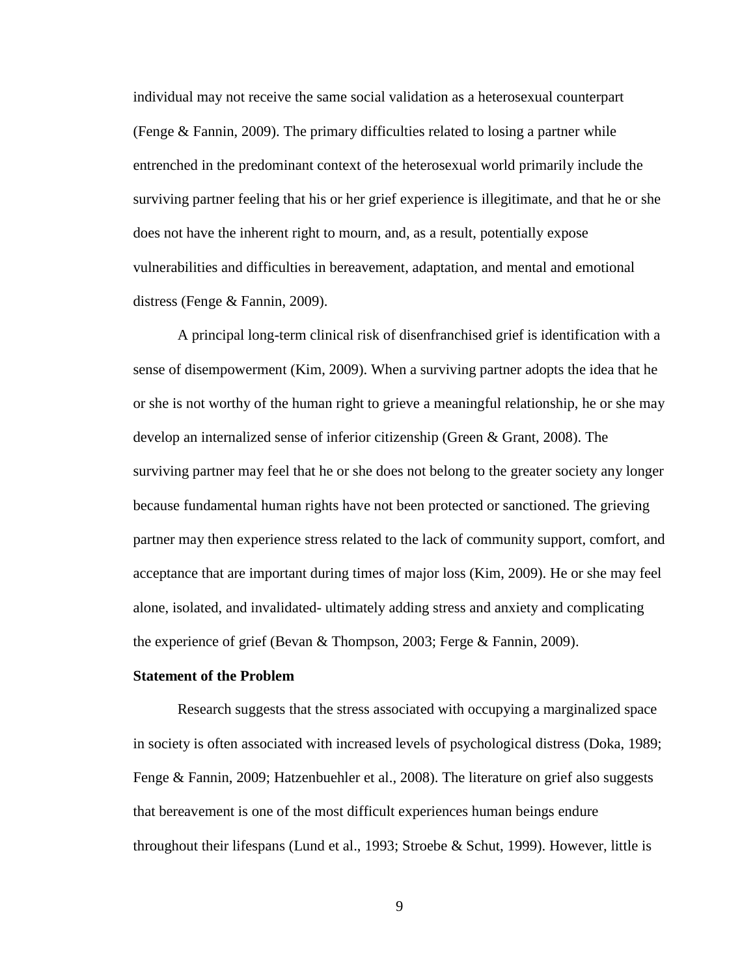individual may not receive the same social validation as a heterosexual counterpart (Fenge & Fannin, 2009). The primary difficulties related to losing a partner while entrenched in the predominant context of the heterosexual world primarily include the surviving partner feeling that his or her grief experience is illegitimate, and that he or she does not have the inherent right to mourn, and, as a result, potentially expose vulnerabilities and difficulties in bereavement, adaptation, and mental and emotional distress (Fenge & Fannin, 2009).

A principal long-term clinical risk of disenfranchised grief is identification with a sense of disempowerment (Kim, 2009). When a surviving partner adopts the idea that he or she is not worthy of the human right to grieve a meaningful relationship, he or she may develop an internalized sense of inferior citizenship (Green & Grant, 2008). The surviving partner may feel that he or she does not belong to the greater society any longer because fundamental human rights have not been protected or sanctioned. The grieving partner may then experience stress related to the lack of community support, comfort, and acceptance that are important during times of major loss (Kim, 2009). He or she may feel alone, isolated, and invalidated- ultimately adding stress and anxiety and complicating the experience of grief (Bevan & Thompson, 2003; Ferge & Fannin, 2009).

## **Statement of the Problem**

Research suggests that the stress associated with occupying a marginalized space in society is often associated with increased levels of psychological distress (Doka, 1989; Fenge & Fannin, 2009; Hatzenbuehler et al., 2008). The literature on grief also suggests that bereavement is one of the most difficult experiences human beings endure throughout their lifespans (Lund et al., 1993; Stroebe & Schut, 1999). However, little is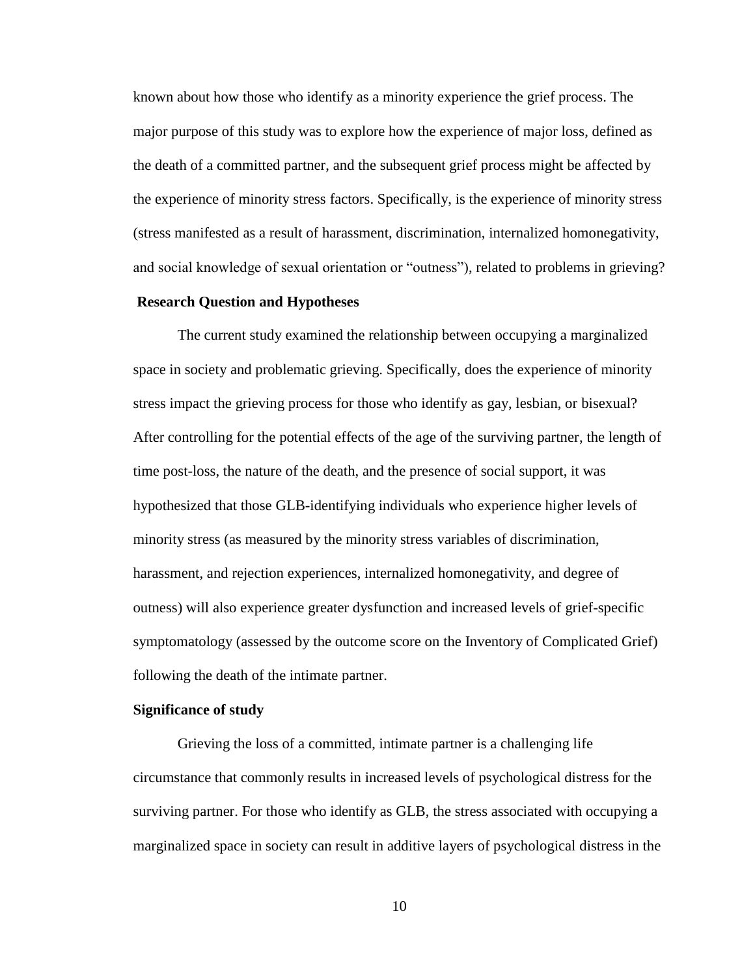known about how those who identify as a minority experience the grief process. The major purpose of this study was to explore how the experience of major loss, defined as the death of a committed partner, and the subsequent grief process might be affected by the experience of minority stress factors. Specifically, is the experience of minority stress (stress manifested as a result of harassment, discrimination, internalized homonegativity, and social knowledge of sexual orientation or "outness"), related to problems in grieving?

# **Research Question and Hypotheses**

The current study examined the relationship between occupying a marginalized space in society and problematic grieving. Specifically, does the experience of minority stress impact the grieving process for those who identify as gay, lesbian, or bisexual? After controlling for the potential effects of the age of the surviving partner, the length of time post-loss, the nature of the death, and the presence of social support, it was hypothesized that those GLB-identifying individuals who experience higher levels of minority stress (as measured by the minority stress variables of discrimination, harassment, and rejection experiences, internalized homonegativity, and degree of outness) will also experience greater dysfunction and increased levels of grief-specific symptomatology (assessed by the outcome score on the Inventory of Complicated Grief) following the death of the intimate partner.

#### **Significance of study**

Grieving the loss of a committed, intimate partner is a challenging life circumstance that commonly results in increased levels of psychological distress for the surviving partner. For those who identify as GLB, the stress associated with occupying a marginalized space in society can result in additive layers of psychological distress in the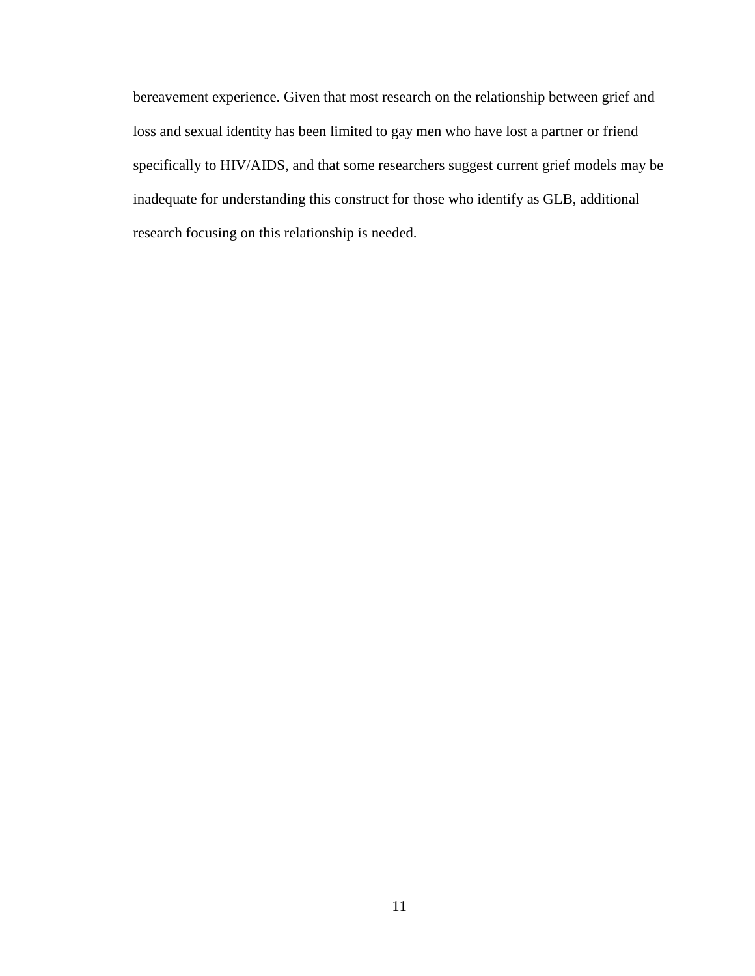bereavement experience. Given that most research on the relationship between grief and loss and sexual identity has been limited to gay men who have lost a partner or friend specifically to HIV/AIDS, and that some researchers suggest current grief models may be inadequate for understanding this construct for those who identify as GLB, additional research focusing on this relationship is needed.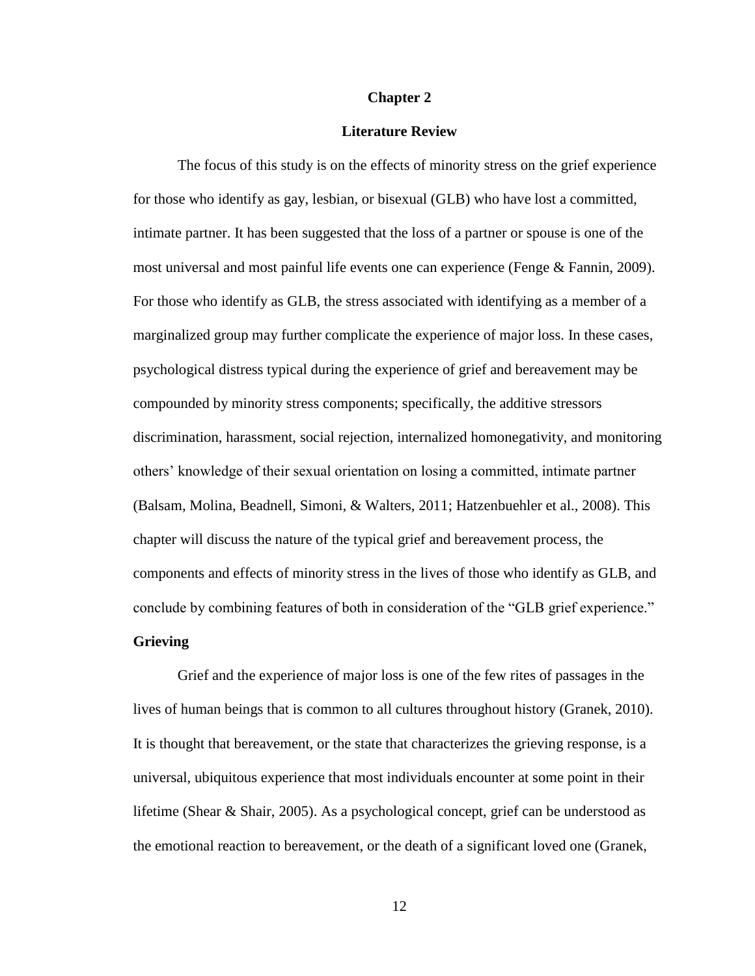#### **Chapter 2**

## **Literature Review**

The focus of this study is on the effects of minority stress on the grief experience for those who identify as gay, lesbian, or bisexual (GLB) who have lost a committed, intimate partner. It has been suggested that the loss of a partner or spouse is one of the most universal and most painful life events one can experience (Fenge & Fannin, 2009). For those who identify as GLB, the stress associated with identifying as a member of a marginalized group may further complicate the experience of major loss. In these cases, psychological distress typical during the experience of grief and bereavement may be compounded by minority stress components; specifically, the additive stressors discrimination, harassment, social rejection, internalized homonegativity, and monitoring others' knowledge of their sexual orientation on losing a committed, intimate partner (Balsam, Molina, Beadnell, Simoni, & Walters, 2011; Hatzenbuehler et al., 2008). This chapter will discuss the nature of the typical grief and bereavement process, the components and effects of minority stress in the lives of those who identify as GLB, and conclude by combining features of both in consideration of the "GLB grief experience."

# **Grieving**

Grief and the experience of major loss is one of the few rites of passages in the lives of human beings that is common to all cultures throughout history (Granek, 2010). It is thought that bereavement, or the state that characterizes the grieving response, is a universal, ubiquitous experience that most individuals encounter at some point in their lifetime (Shear & Shair, 2005). As a psychological concept, grief can be understood as the emotional reaction to bereavement, or the death of a significant loved one (Granek,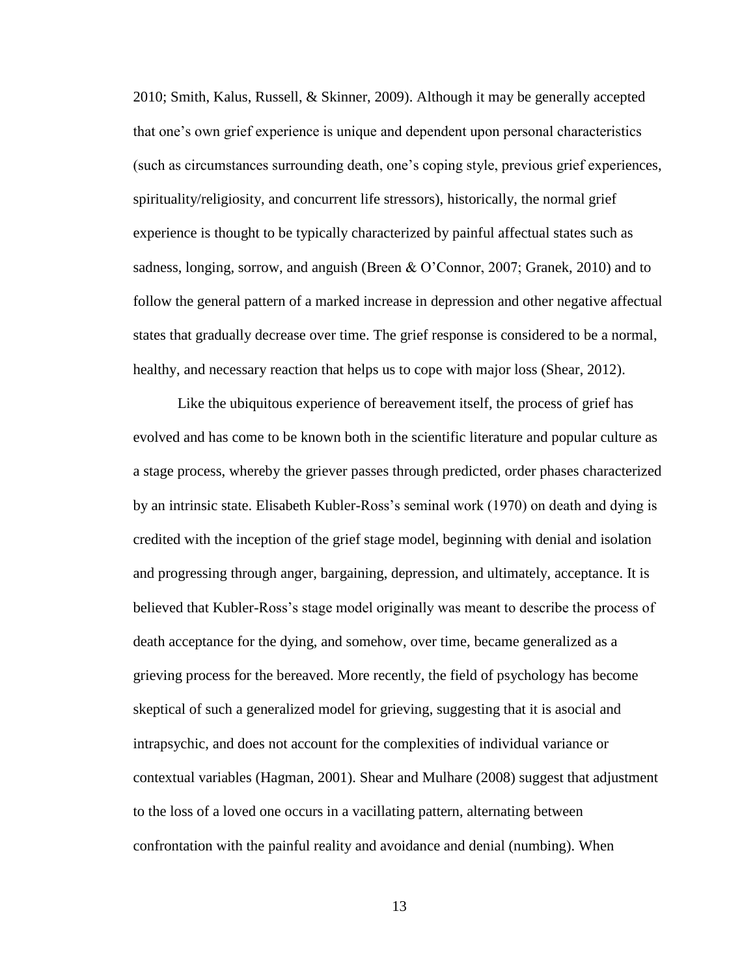2010; Smith, Kalus, Russell, & Skinner, 2009). Although it may be generally accepted that one's own grief experience is unique and dependent upon personal characteristics (such as circumstances surrounding death, one's coping style, previous grief experiences, spirituality/religiosity, and concurrent life stressors), historically, the normal grief experience is thought to be typically characterized by painful affectual states such as sadness, longing, sorrow, and anguish (Breen & O'Connor, 2007; Granek, 2010) and to follow the general pattern of a marked increase in depression and other negative affectual states that gradually decrease over time. The grief response is considered to be a normal, healthy, and necessary reaction that helps us to cope with major loss (Shear, 2012).

Like the ubiquitous experience of bereavement itself, the process of grief has evolved and has come to be known both in the scientific literature and popular culture as a stage process, whereby the griever passes through predicted, order phases characterized by an intrinsic state. Elisabeth Kubler-Ross's seminal work (1970) on death and dying is credited with the inception of the grief stage model, beginning with denial and isolation and progressing through anger, bargaining, depression, and ultimately, acceptance. It is believed that Kubler-Ross's stage model originally was meant to describe the process of death acceptance for the dying, and somehow, over time, became generalized as a grieving process for the bereaved. More recently, the field of psychology has become skeptical of such a generalized model for grieving, suggesting that it is asocial and intrapsychic, and does not account for the complexities of individual variance or contextual variables (Hagman, 2001). Shear and Mulhare (2008) suggest that adjustment to the loss of a loved one occurs in a vacillating pattern, alternating between confrontation with the painful reality and avoidance and denial (numbing). When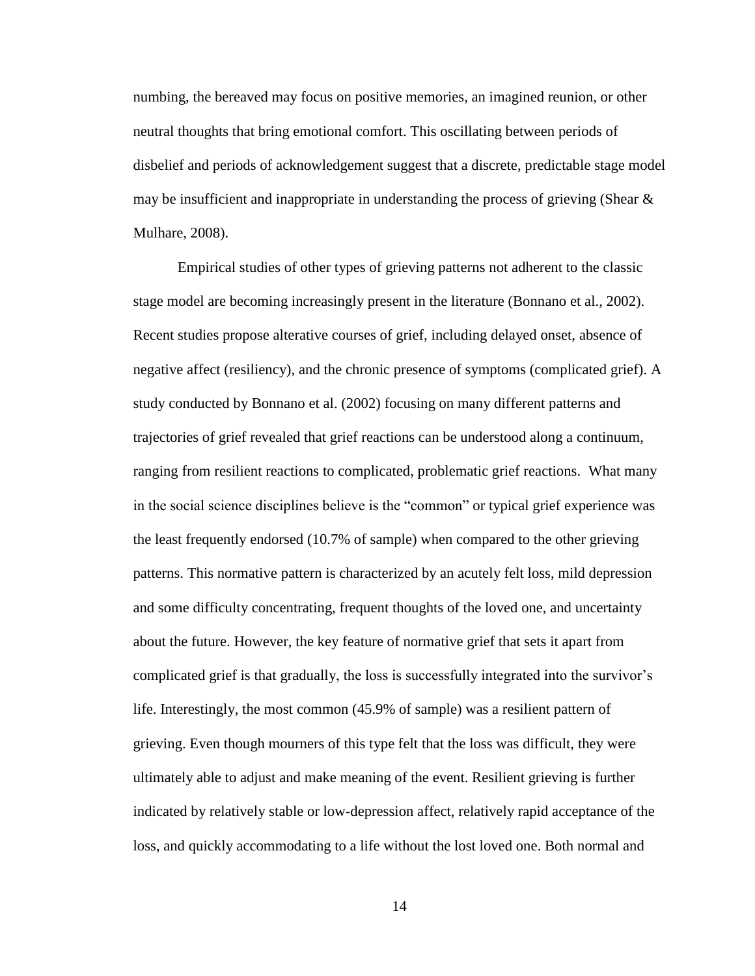numbing, the bereaved may focus on positive memories, an imagined reunion, or other neutral thoughts that bring emotional comfort. This oscillating between periods of disbelief and periods of acknowledgement suggest that a discrete, predictable stage model may be insufficient and inappropriate in understanding the process of grieving (Shear  $\&$ Mulhare, 2008).

Empirical studies of other types of grieving patterns not adherent to the classic stage model are becoming increasingly present in the literature (Bonnano et al., 2002). Recent studies propose alterative courses of grief, including delayed onset, absence of negative affect (resiliency), and the chronic presence of symptoms (complicated grief). A study conducted by Bonnano et al. (2002) focusing on many different patterns and trajectories of grief revealed that grief reactions can be understood along a continuum, ranging from resilient reactions to complicated, problematic grief reactions. What many in the social science disciplines believe is the "common" or typical grief experience was the least frequently endorsed (10.7% of sample) when compared to the other grieving patterns. This normative pattern is characterized by an acutely felt loss, mild depression and some difficulty concentrating, frequent thoughts of the loved one, and uncertainty about the future. However, the key feature of normative grief that sets it apart from complicated grief is that gradually, the loss is successfully integrated into the survivor's life. Interestingly, the most common (45.9% of sample) was a resilient pattern of grieving. Even though mourners of this type felt that the loss was difficult, they were ultimately able to adjust and make meaning of the event. Resilient grieving is further indicated by relatively stable or low-depression affect, relatively rapid acceptance of the loss, and quickly accommodating to a life without the lost loved one. Both normal and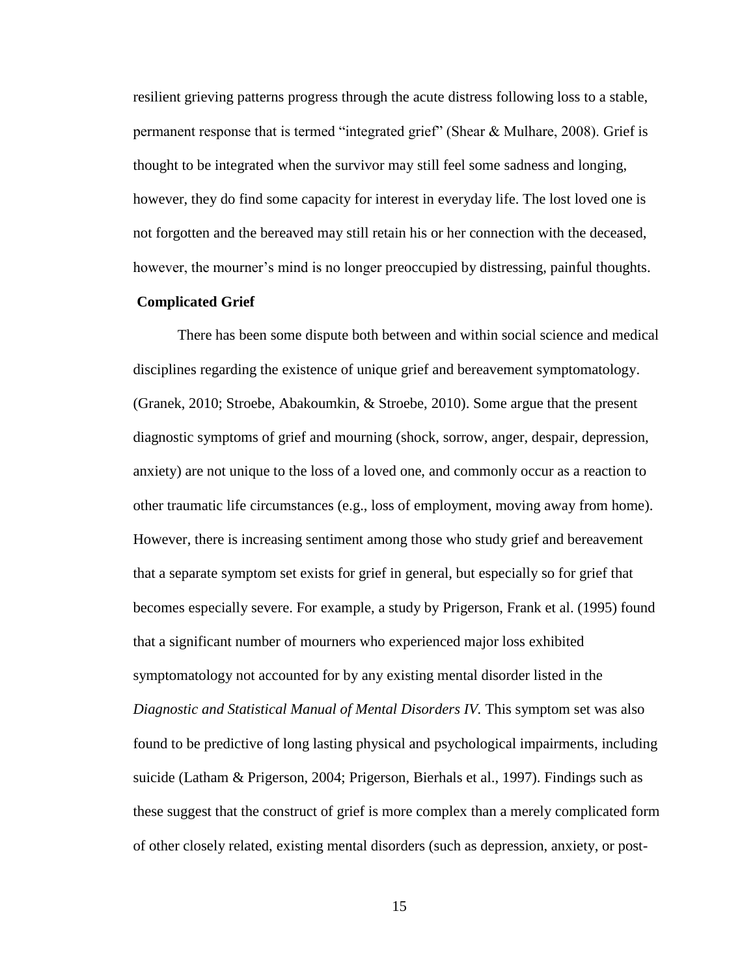resilient grieving patterns progress through the acute distress following loss to a stable, permanent response that is termed "integrated grief" (Shear & Mulhare, 2008). Grief is thought to be integrated when the survivor may still feel some sadness and longing, however, they do find some capacity for interest in everyday life. The lost loved one is not forgotten and the bereaved may still retain his or her connection with the deceased, however, the mourner's mind is no longer preoccupied by distressing, painful thoughts.

# **Complicated Grief**

There has been some dispute both between and within social science and medical disciplines regarding the existence of unique grief and bereavement symptomatology. (Granek, 2010; Stroebe, Abakoumkin, & Stroebe, 2010). Some argue that the present diagnostic symptoms of grief and mourning (shock, sorrow, anger, despair, depression, anxiety) are not unique to the loss of a loved one, and commonly occur as a reaction to other traumatic life circumstances (e.g., loss of employment, moving away from home). However, there is increasing sentiment among those who study grief and bereavement that a separate symptom set exists for grief in general, but especially so for grief that becomes especially severe. For example, a study by Prigerson, Frank et al. (1995) found that a significant number of mourners who experienced major loss exhibited symptomatology not accounted for by any existing mental disorder listed in the *Diagnostic and Statistical Manual of Mental Disorders IV.* This symptom set was also found to be predictive of long lasting physical and psychological impairments, including suicide (Latham & Prigerson, 2004; Prigerson, Bierhals et al., 1997). Findings such as these suggest that the construct of grief is more complex than a merely complicated form of other closely related, existing mental disorders (such as depression, anxiety, or post-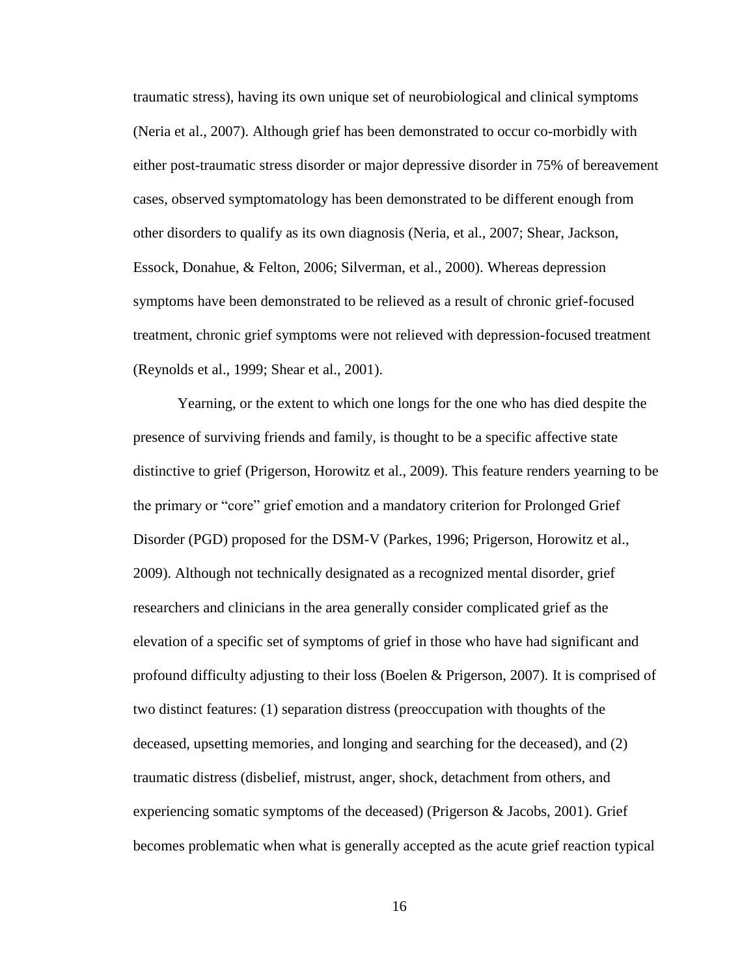traumatic stress), having its own unique set of neurobiological and clinical symptoms (Neria et al., 2007). Although grief has been demonstrated to occur co-morbidly with either post-traumatic stress disorder or major depressive disorder in 75% of bereavement cases, observed symptomatology has been demonstrated to be different enough from other disorders to qualify as its own diagnosis (Neria, et al., 2007; Shear, Jackson, Essock, Donahue, & Felton, 2006; Silverman, et al., 2000). Whereas depression symptoms have been demonstrated to be relieved as a result of chronic grief-focused treatment, chronic grief symptoms were not relieved with depression-focused treatment (Reynolds et al., 1999; Shear et al., 2001).

Yearning, or the extent to which one longs for the one who has died despite the presence of surviving friends and family, is thought to be a specific affective state distinctive to grief (Prigerson, Horowitz et al., 2009). This feature renders yearning to be the primary or "core" grief emotion and a mandatory criterion for Prolonged Grief Disorder (PGD) proposed for the DSM-V (Parkes, 1996; Prigerson, Horowitz et al., 2009). Although not technically designated as a recognized mental disorder, grief researchers and clinicians in the area generally consider complicated grief as the elevation of a specific set of symptoms of grief in those who have had significant and profound difficulty adjusting to their loss (Boelen & Prigerson, 2007). It is comprised of two distinct features: (1) separation distress (preoccupation with thoughts of the deceased, upsetting memories, and longing and searching for the deceased), and (2) traumatic distress (disbelief, mistrust, anger, shock, detachment from others, and experiencing somatic symptoms of the deceased) (Prigerson & Jacobs, 2001). Grief becomes problematic when what is generally accepted as the acute grief reaction typical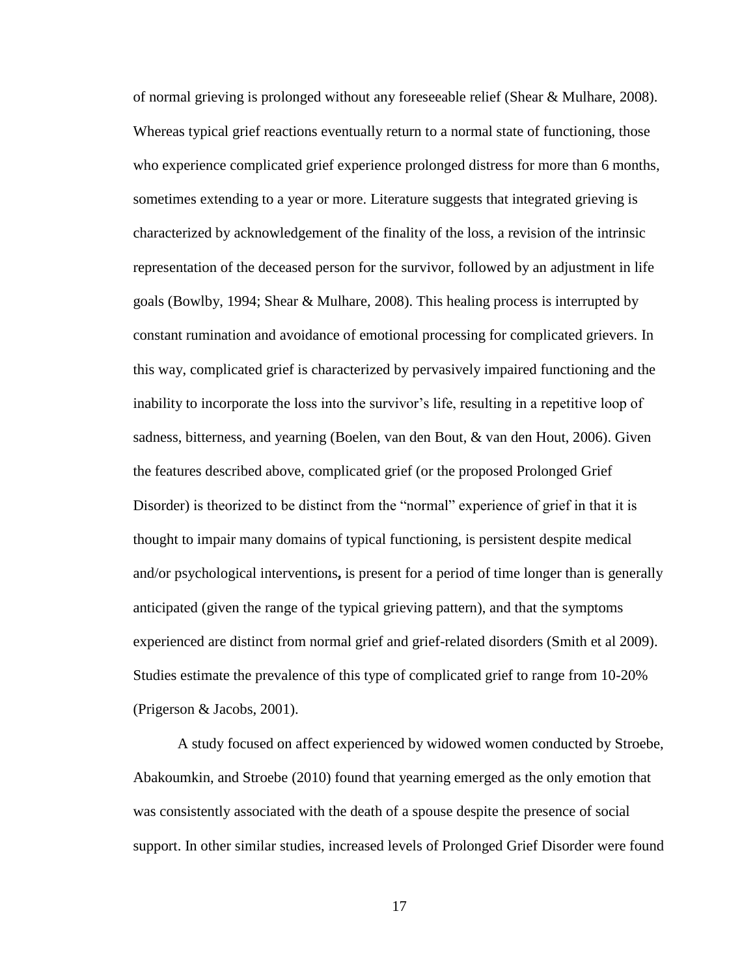of normal grieving is prolonged without any foreseeable relief (Shear & Mulhare, 2008). Whereas typical grief reactions eventually return to a normal state of functioning, those who experience complicated grief experience prolonged distress for more than 6 months, sometimes extending to a year or more. Literature suggests that integrated grieving is characterized by acknowledgement of the finality of the loss, a revision of the intrinsic representation of the deceased person for the survivor, followed by an adjustment in life goals (Bowlby, 1994; Shear & Mulhare, 2008). This healing process is interrupted by constant rumination and avoidance of emotional processing for complicated grievers. In this way, complicated grief is characterized by pervasively impaired functioning and the inability to incorporate the loss into the survivor's life, resulting in a repetitive loop of sadness, bitterness, and yearning (Boelen, van den Bout, & van den Hout, 2006). Given the features described above, complicated grief (or the proposed Prolonged Grief Disorder) is theorized to be distinct from the "normal" experience of grief in that it is thought to impair many domains of typical functioning, is persistent despite medical and/or psychological interventions**,** is present for a period of time longer than is generally anticipated (given the range of the typical grieving pattern), and that the symptoms experienced are distinct from normal grief and grief-related disorders (Smith et al 2009). Studies estimate the prevalence of this type of complicated grief to range from 10-20% (Prigerson & Jacobs, 2001).

A study focused on affect experienced by widowed women conducted by Stroebe, Abakoumkin, and Stroebe (2010) found that yearning emerged as the only emotion that was consistently associated with the death of a spouse despite the presence of social support. In other similar studies, increased levels of Prolonged Grief Disorder were found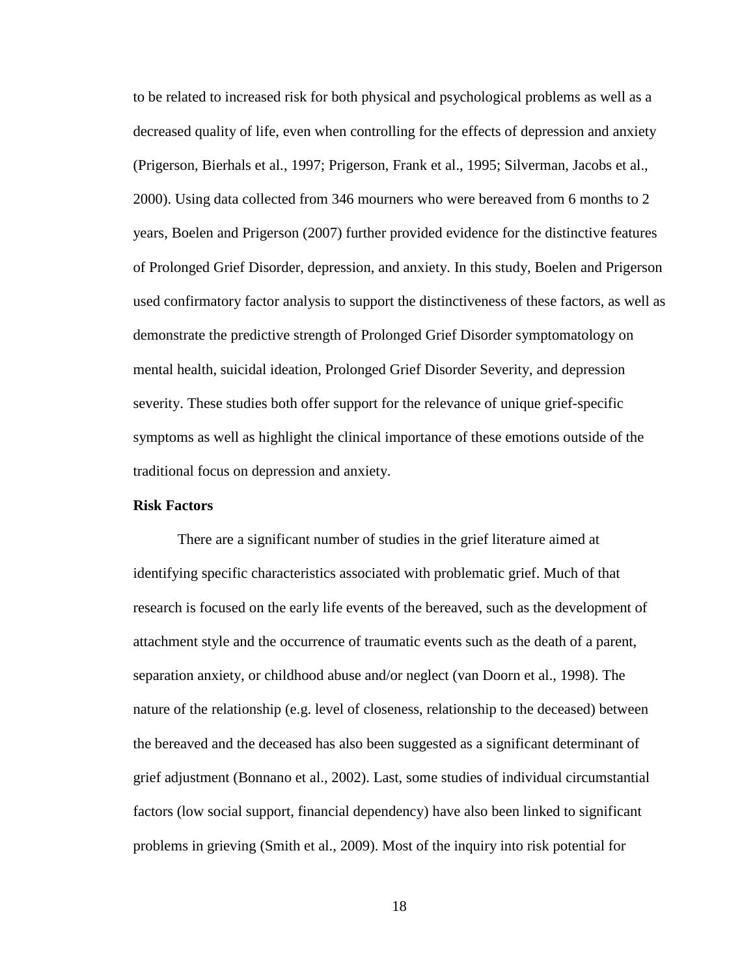to be related to increased risk for both physical and psychological problems as well as a decreased quality of life, even when controlling for the effects of depression and anxiety (Prigerson, Bierhals et al., 1997; Prigerson, Frank et al., 1995; Silverman, Jacobs et al., 2000). Using data collected from 346 mourners who were bereaved from 6 months to 2 years, Boelen and Prigerson (2007) further provided evidence for the distinctive features of Prolonged Grief Disorder, depression, and anxiety. In this study, Boelen and Prigerson used confirmatory factor analysis to support the distinctiveness of these factors, as well as demonstrate the predictive strength of Prolonged Grief Disorder symptomatology on mental health, suicidal ideation, Prolonged Grief Disorder Severity, and depression severity. These studies both offer support for the relevance of unique grief-specific symptoms as well as highlight the clinical importance of these emotions outside of the traditional focus on depression and anxiety.

# **Risk Factors**

There are a significant number of studies in the grief literature aimed at identifying specific characteristics associated with problematic grief. Much of that research is focused on the early life events of the bereaved, such as the development of attachment style and the occurrence of traumatic events such as the death of a parent, separation anxiety, or childhood abuse and/or neglect (van Doorn et al., 1998). The nature of the relationship (e.g. level of closeness, relationship to the deceased) between the bereaved and the deceased has also been suggested as a significant determinant of grief adjustment (Bonnano et al., 2002). Last, some studies of individual circumstantial factors (low social support, financial dependency) have also been linked to significant problems in grieving (Smith et al., 2009). Most of the inquiry into risk potential for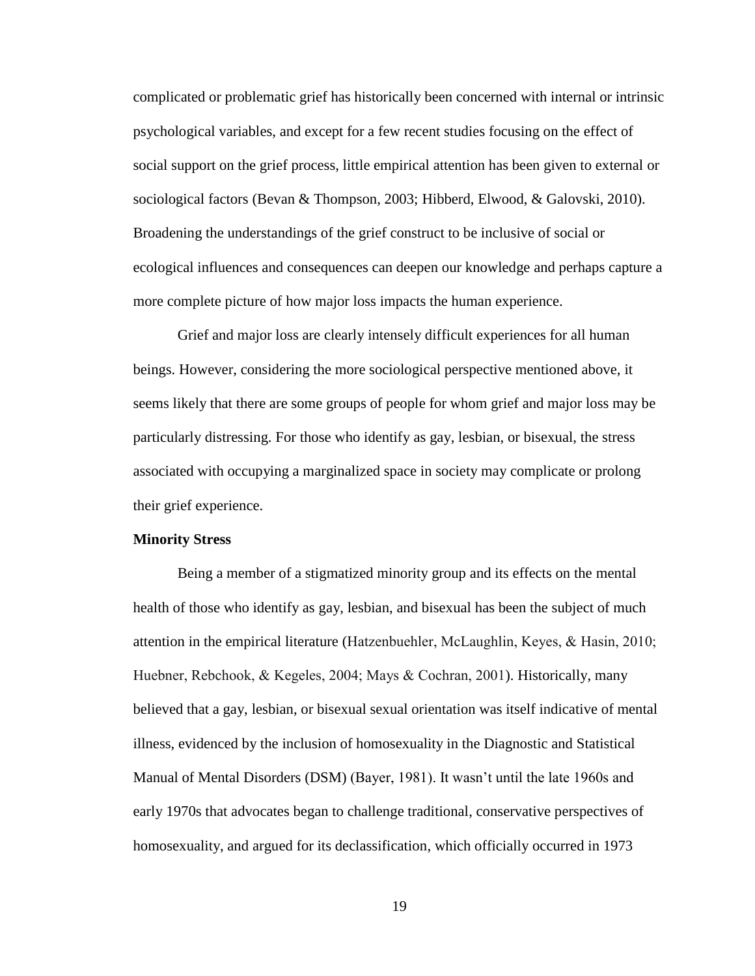complicated or problematic grief has historically been concerned with internal or intrinsic psychological variables, and except for a few recent studies focusing on the effect of social support on the grief process, little empirical attention has been given to external or sociological factors (Bevan & Thompson, 2003; Hibberd, Elwood, & Galovski, 2010). Broadening the understandings of the grief construct to be inclusive of social or ecological influences and consequences can deepen our knowledge and perhaps capture a more complete picture of how major loss impacts the human experience.

Grief and major loss are clearly intensely difficult experiences for all human beings. However, considering the more sociological perspective mentioned above, it seems likely that there are some groups of people for whom grief and major loss may be particularly distressing. For those who identify as gay, lesbian, or bisexual, the stress associated with occupying a marginalized space in society may complicate or prolong their grief experience.

#### **Minority Stress**

Being a member of a stigmatized minority group and its effects on the mental health of those who identify as gay, lesbian, and bisexual has been the subject of much attention in the empirical literature (Hatzenbuehler, McLaughlin, Keyes, & Hasin, 2010; Huebner, Rebchook, & Kegeles, 2004; Mays & Cochran, 2001). Historically, many believed that a gay, lesbian, or bisexual sexual orientation was itself indicative of mental illness, evidenced by the inclusion of homosexuality in the Diagnostic and Statistical Manual of Mental Disorders (DSM) (Bayer, 1981). It wasn't until the late 1960s and early 1970s that advocates began to challenge traditional, conservative perspectives of homosexuality, and argued for its declassification, which officially occurred in 1973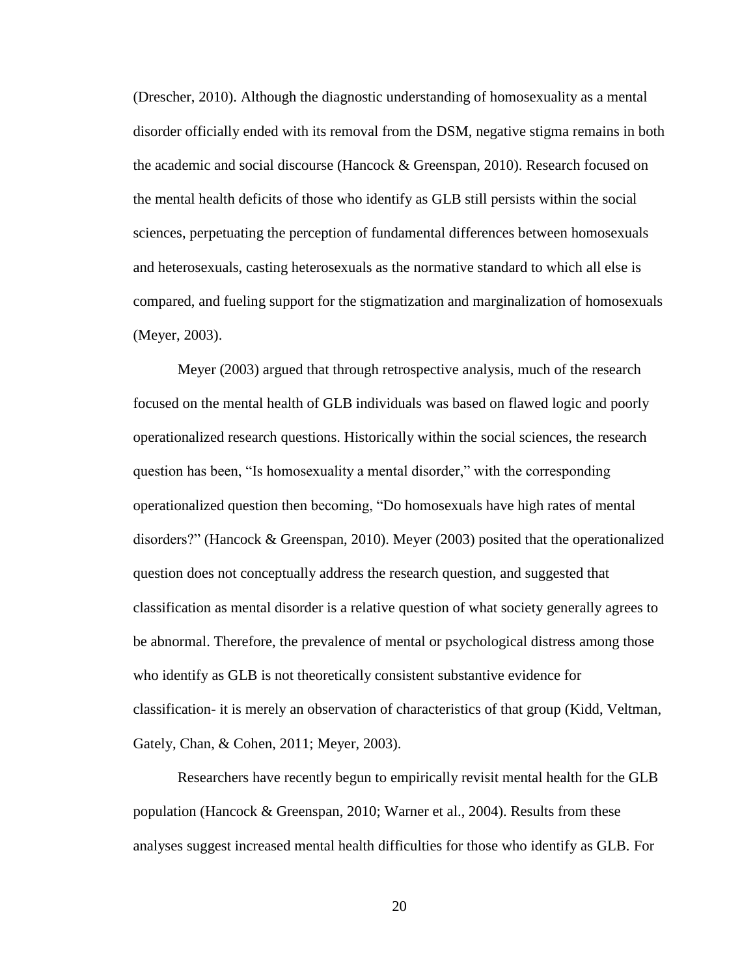(Drescher, 2010). Although the diagnostic understanding of homosexuality as a mental disorder officially ended with its removal from the DSM, negative stigma remains in both the academic and social discourse (Hancock & Greenspan, 2010). Research focused on the mental health deficits of those who identify as GLB still persists within the social sciences, perpetuating the perception of fundamental differences between homosexuals and heterosexuals, casting heterosexuals as the normative standard to which all else is compared, and fueling support for the stigmatization and marginalization of homosexuals (Meyer, 2003).

Meyer (2003) argued that through retrospective analysis, much of the research focused on the mental health of GLB individuals was based on flawed logic and poorly operationalized research questions. Historically within the social sciences, the research question has been, "Is homosexuality a mental disorder," with the corresponding operationalized question then becoming, "Do homosexuals have high rates of mental disorders?" (Hancock & Greenspan, 2010). Meyer (2003) posited that the operationalized question does not conceptually address the research question, and suggested that classification as mental disorder is a relative question of what society generally agrees to be abnormal. Therefore, the prevalence of mental or psychological distress among those who identify as GLB is not theoretically consistent substantive evidence for classification- it is merely an observation of characteristics of that group (Kidd, Veltman, Gately, Chan, & Cohen, 2011; Meyer, 2003).

Researchers have recently begun to empirically revisit mental health for the GLB population (Hancock & Greenspan, 2010; Warner et al., 2004). Results from these analyses suggest increased mental health difficulties for those who identify as GLB. For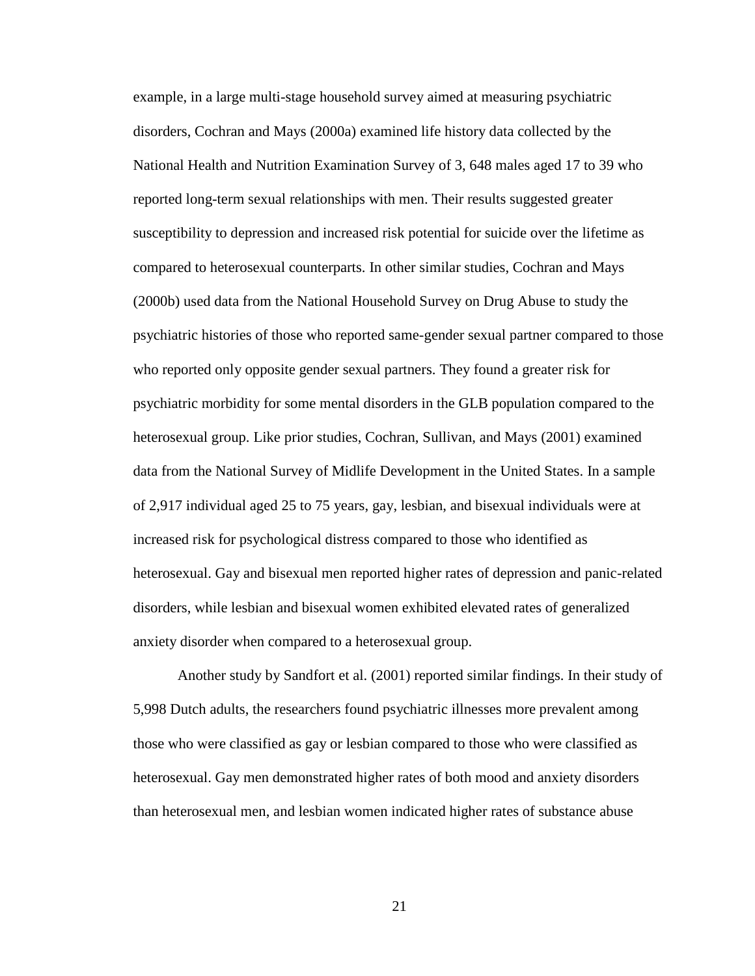example, in a large multi-stage household survey aimed at measuring psychiatric disorders, Cochran and Mays (2000a) examined life history data collected by the National Health and Nutrition Examination Survey of 3, 648 males aged 17 to 39 who reported long-term sexual relationships with men. Their results suggested greater susceptibility to depression and increased risk potential for suicide over the lifetime as compared to heterosexual counterparts. In other similar studies, Cochran and Mays (2000b) used data from the National Household Survey on Drug Abuse to study the psychiatric histories of those who reported same-gender sexual partner compared to those who reported only opposite gender sexual partners. They found a greater risk for psychiatric morbidity for some mental disorders in the GLB population compared to the heterosexual group. Like prior studies, Cochran, Sullivan, and Mays (2001) examined data from the National Survey of Midlife Development in the United States. In a sample of 2,917 individual aged 25 to 75 years, gay, lesbian, and bisexual individuals were at increased risk for psychological distress compared to those who identified as heterosexual. Gay and bisexual men reported higher rates of depression and panic-related disorders, while lesbian and bisexual women exhibited elevated rates of generalized anxiety disorder when compared to a heterosexual group.

Another study by Sandfort et al. (2001) reported similar findings. In their study of 5,998 Dutch adults, the researchers found psychiatric illnesses more prevalent among those who were classified as gay or lesbian compared to those who were classified as heterosexual. Gay men demonstrated higher rates of both mood and anxiety disorders than heterosexual men, and lesbian women indicated higher rates of substance abuse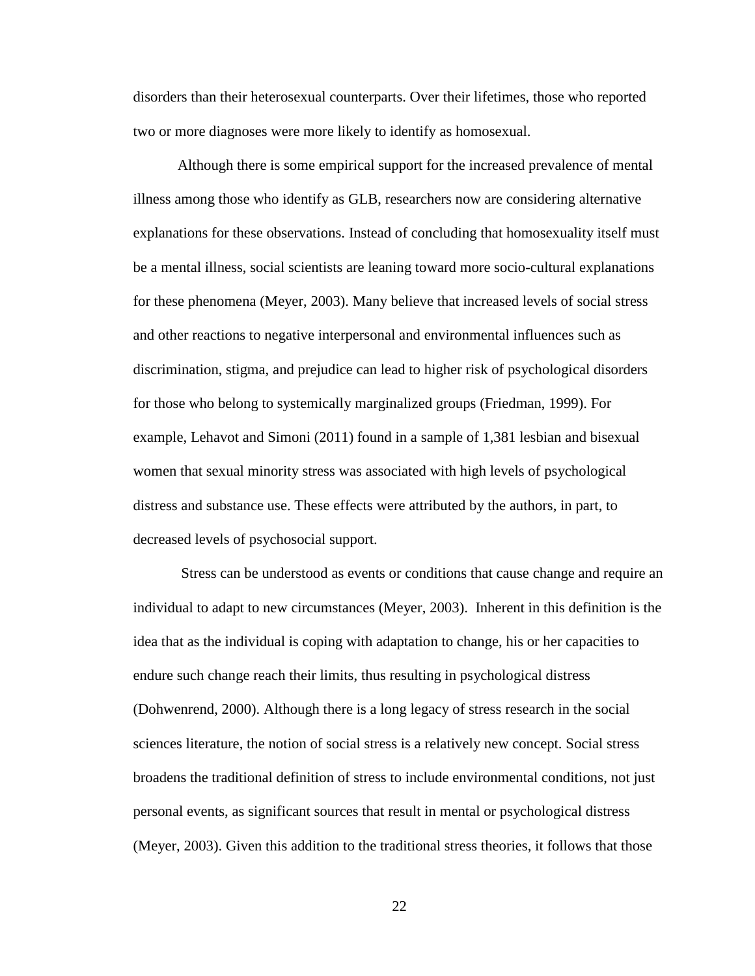disorders than their heterosexual counterparts. Over their lifetimes, those who reported two or more diagnoses were more likely to identify as homosexual.

Although there is some empirical support for the increased prevalence of mental illness among those who identify as GLB, researchers now are considering alternative explanations for these observations. Instead of concluding that homosexuality itself must be a mental illness, social scientists are leaning toward more socio-cultural explanations for these phenomena (Meyer, 2003). Many believe that increased levels of social stress and other reactions to negative interpersonal and environmental influences such as discrimination, stigma, and prejudice can lead to higher risk of psychological disorders for those who belong to systemically marginalized groups (Friedman, 1999). For example, Lehavot and Simoni (2011) found in a sample of 1,381 lesbian and bisexual women that sexual minority stress was associated with high levels of psychological distress and substance use. These effects were attributed by the authors, in part, to decreased levels of psychosocial support.

Stress can be understood as events or conditions that cause change and require an individual to adapt to new circumstances (Meyer, 2003). Inherent in this definition is the idea that as the individual is coping with adaptation to change, his or her capacities to endure such change reach their limits, thus resulting in psychological distress (Dohwenrend, 2000). Although there is a long legacy of stress research in the social sciences literature, the notion of social stress is a relatively new concept. Social stress broadens the traditional definition of stress to include environmental conditions, not just personal events, as significant sources that result in mental or psychological distress (Meyer, 2003). Given this addition to the traditional stress theories, it follows that those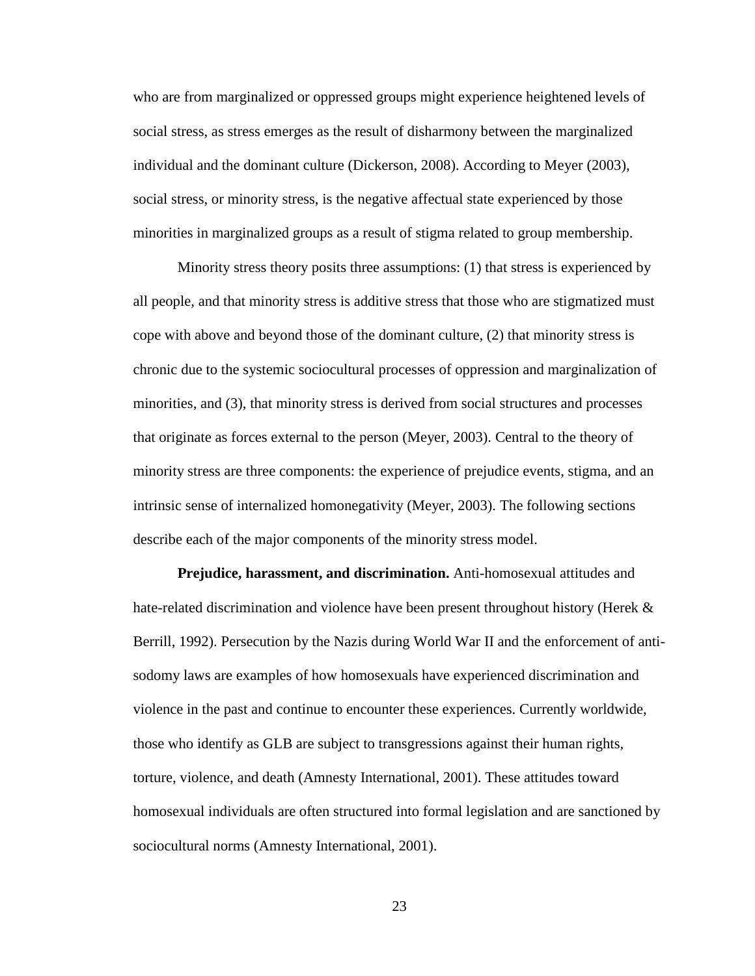who are from marginalized or oppressed groups might experience heightened levels of social stress, as stress emerges as the result of disharmony between the marginalized individual and the dominant culture (Dickerson, 2008). According to Meyer (2003), social stress, or minority stress, is the negative affectual state experienced by those minorities in marginalized groups as a result of stigma related to group membership.

Minority stress theory posits three assumptions: (1) that stress is experienced by all people, and that minority stress is additive stress that those who are stigmatized must cope with above and beyond those of the dominant culture, (2) that minority stress is chronic due to the systemic sociocultural processes of oppression and marginalization of minorities, and (3), that minority stress is derived from social structures and processes that originate as forces external to the person (Meyer, 2003). Central to the theory of minority stress are three components: the experience of prejudice events, stigma, and an intrinsic sense of internalized homonegativity (Meyer, 2003). The following sections describe each of the major components of the minority stress model.

**Prejudice, harassment, and discrimination.** Anti-homosexual attitudes and hate-related discrimination and violence have been present throughout history (Herek & Berrill, 1992). Persecution by the Nazis during World War II and the enforcement of antisodomy laws are examples of how homosexuals have experienced discrimination and violence in the past and continue to encounter these experiences. Currently worldwide, those who identify as GLB are subject to transgressions against their human rights, torture, violence, and death (Amnesty International, 2001). These attitudes toward homosexual individuals are often structured into formal legislation and are sanctioned by sociocultural norms (Amnesty International, 2001).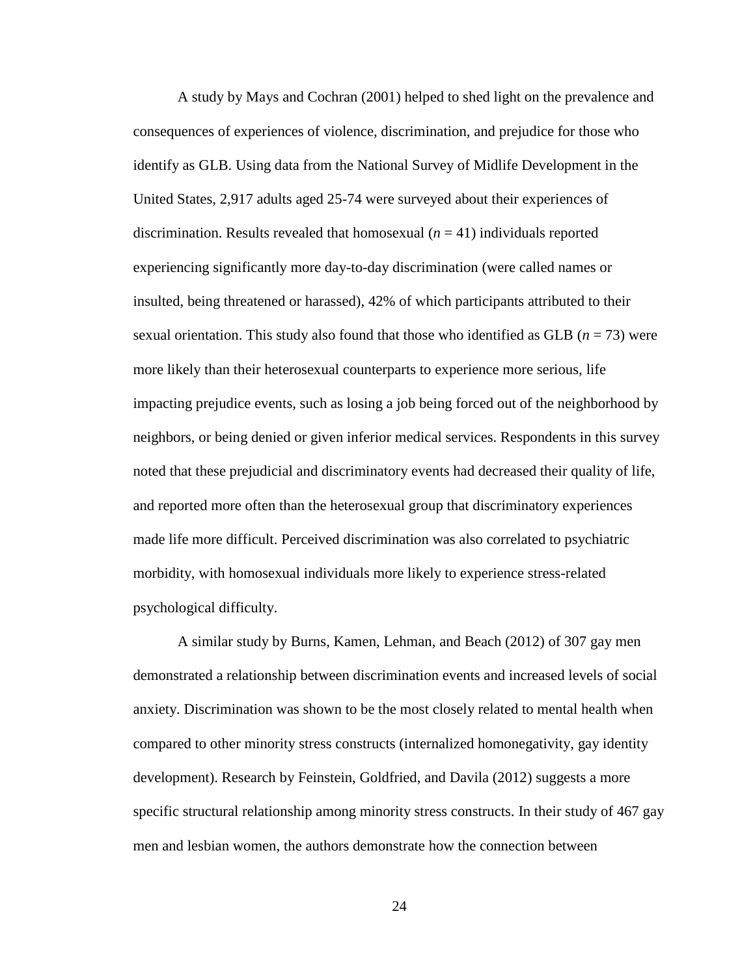A study by Mays and Cochran (2001) helped to shed light on the prevalence and consequences of experiences of violence, discrimination, and prejudice for those who identify as GLB. Using data from the National Survey of Midlife Development in the United States, 2,917 adults aged 25-74 were surveyed about their experiences of discrimination. Results revealed that homosexual (*n* = 41) individuals reported experiencing significantly more day-to-day discrimination (were called names or insulted, being threatened or harassed), 42% of which participants attributed to their sexual orientation. This study also found that those who identified as GLB (*n* = 73) were more likely than their heterosexual counterparts to experience more serious, life impacting prejudice events, such as losing a job being forced out of the neighborhood by neighbors, or being denied or given inferior medical services. Respondents in this survey noted that these prejudicial and discriminatory events had decreased their quality of life, and reported more often than the heterosexual group that discriminatory experiences made life more difficult. Perceived discrimination was also correlated to psychiatric morbidity, with homosexual individuals more likely to experience stress-related psychological difficulty.

A similar study by Burns, Kamen, Lehman, and Beach (2012) of 307 gay men demonstrated a relationship between discrimination events and increased levels of social anxiety. Discrimination was shown to be the most closely related to mental health when compared to other minority stress constructs (internalized homonegativity, gay identity development). Research by Feinstein, Goldfried, and Davila (2012) suggests a more specific structural relationship among minority stress constructs. In their study of 467 gay men and lesbian women, the authors demonstrate how the connection between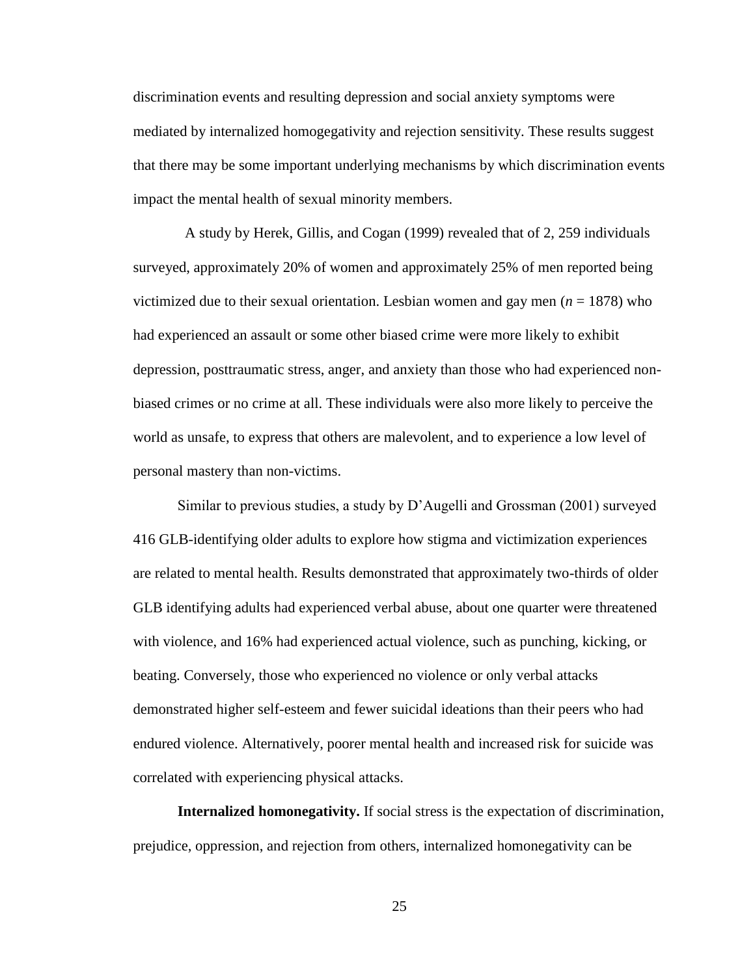discrimination events and resulting depression and social anxiety symptoms were mediated by internalized homogegativity and rejection sensitivity. These results suggest that there may be some important underlying mechanisms by which discrimination events impact the mental health of sexual minority members.

 A study by Herek, Gillis, and Cogan (1999) revealed that of 2, 259 individuals surveyed, approximately 20% of women and approximately 25% of men reported being victimized due to their sexual orientation. Lesbian women and gay men  $(n = 1878)$  who had experienced an assault or some other biased crime were more likely to exhibit depression, posttraumatic stress, anger, and anxiety than those who had experienced nonbiased crimes or no crime at all. These individuals were also more likely to perceive the world as unsafe, to express that others are malevolent, and to experience a low level of personal mastery than non-victims.

Similar to previous studies, a study by D'Augelli and Grossman (2001) surveyed 416 GLB-identifying older adults to explore how stigma and victimization experiences are related to mental health. Results demonstrated that approximately two-thirds of older GLB identifying adults had experienced verbal abuse, about one quarter were threatened with violence, and 16% had experienced actual violence, such as punching, kicking, or beating. Conversely, those who experienced no violence or only verbal attacks demonstrated higher self-esteem and fewer suicidal ideations than their peers who had endured violence. Alternatively, poorer mental health and increased risk for suicide was correlated with experiencing physical attacks.

**Internalized homonegativity.** If social stress is the expectation of discrimination, prejudice, oppression, and rejection from others, internalized homonegativity can be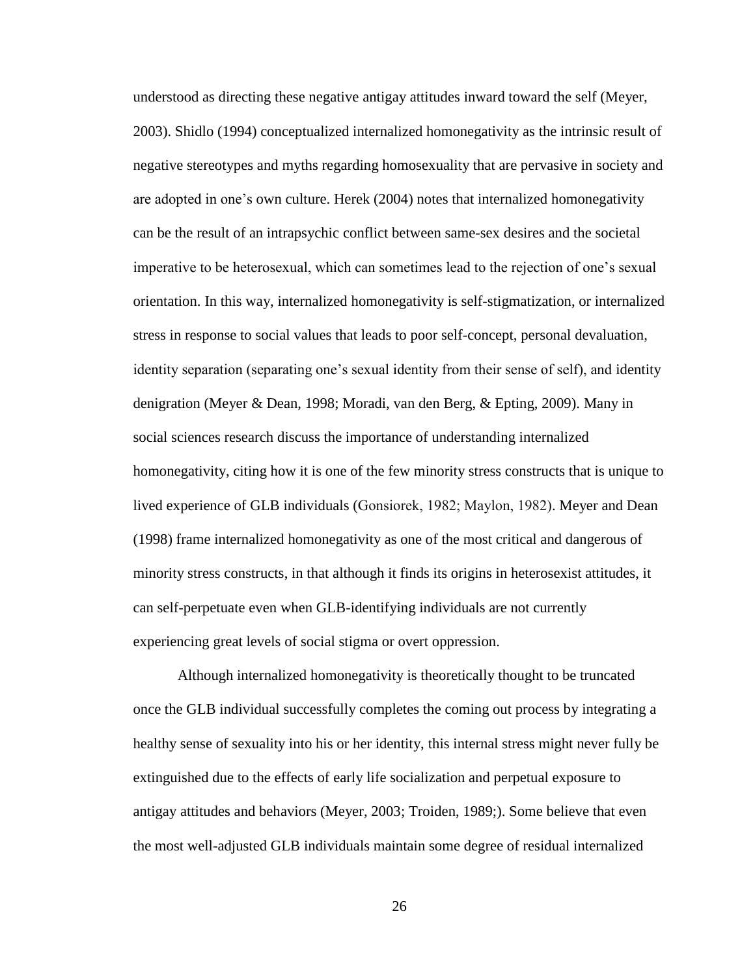understood as directing these negative antigay attitudes inward toward the self (Meyer, 2003). Shidlo (1994) conceptualized internalized homonegativity as the intrinsic result of negative stereotypes and myths regarding homosexuality that are pervasive in society and are adopted in one's own culture. Herek (2004) notes that internalized homonegativity can be the result of an intrapsychic conflict between same-sex desires and the societal imperative to be heterosexual, which can sometimes lead to the rejection of one's sexual orientation. In this way, internalized homonegativity is self-stigmatization, or internalized stress in response to social values that leads to poor self-concept, personal devaluation, identity separation (separating one's sexual identity from their sense of self), and identity denigration (Meyer & Dean, 1998; Moradi, van den Berg, & Epting, 2009). Many in social sciences research discuss the importance of understanding internalized homonegativity, citing how it is one of the few minority stress constructs that is unique to lived experience of GLB individuals (Gonsiorek, 1982; Maylon, 1982). Meyer and Dean (1998) frame internalized homonegativity as one of the most critical and dangerous of minority stress constructs, in that although it finds its origins in heterosexist attitudes, it can self-perpetuate even when GLB-identifying individuals are not currently experiencing great levels of social stigma or overt oppression.

Although internalized homonegativity is theoretically thought to be truncated once the GLB individual successfully completes the coming out process by integrating a healthy sense of sexuality into his or her identity, this internal stress might never fully be extinguished due to the effects of early life socialization and perpetual exposure to antigay attitudes and behaviors (Meyer, 2003; Troiden, 1989;). Some believe that even the most well-adjusted GLB individuals maintain some degree of residual internalized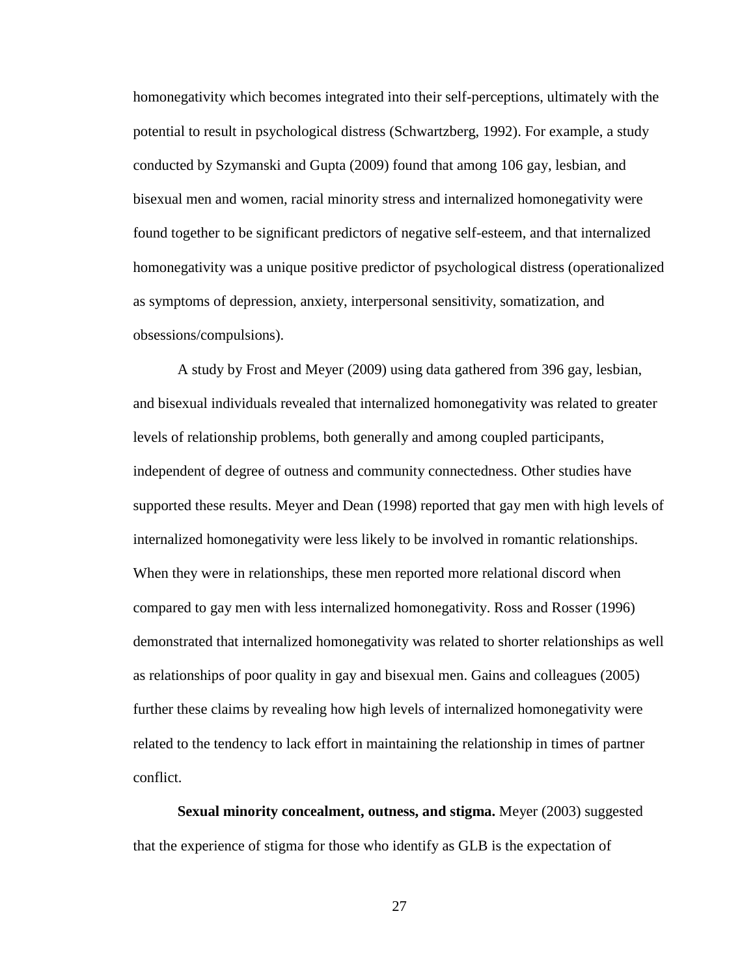homonegativity which becomes integrated into their self-perceptions, ultimately with the potential to result in psychological distress (Schwartzberg, 1992). For example, a study conducted by Szymanski and Gupta (2009) found that among 106 gay, lesbian, and bisexual men and women, racial minority stress and internalized homonegativity were found together to be significant predictors of negative self-esteem, and that internalized homonegativity was a unique positive predictor of psychological distress (operationalized as symptoms of depression, anxiety, interpersonal sensitivity, somatization, and obsessions/compulsions).

A study by Frost and Meyer (2009) using data gathered from 396 gay, lesbian, and bisexual individuals revealed that internalized homonegativity was related to greater levels of relationship problems, both generally and among coupled participants, independent of degree of outness and community connectedness. Other studies have supported these results. Meyer and Dean (1998) reported that gay men with high levels of internalized homonegativity were less likely to be involved in romantic relationships. When they were in relationships, these men reported more relational discord when compared to gay men with less internalized homonegativity. Ross and Rosser (1996) demonstrated that internalized homonegativity was related to shorter relationships as well as relationships of poor quality in gay and bisexual men. Gains and colleagues (2005) further these claims by revealing how high levels of internalized homonegativity were related to the tendency to lack effort in maintaining the relationship in times of partner conflict.

**Sexual minority concealment, outness, and stigma.** Meyer (2003) suggested that the experience of stigma for those who identify as GLB is the expectation of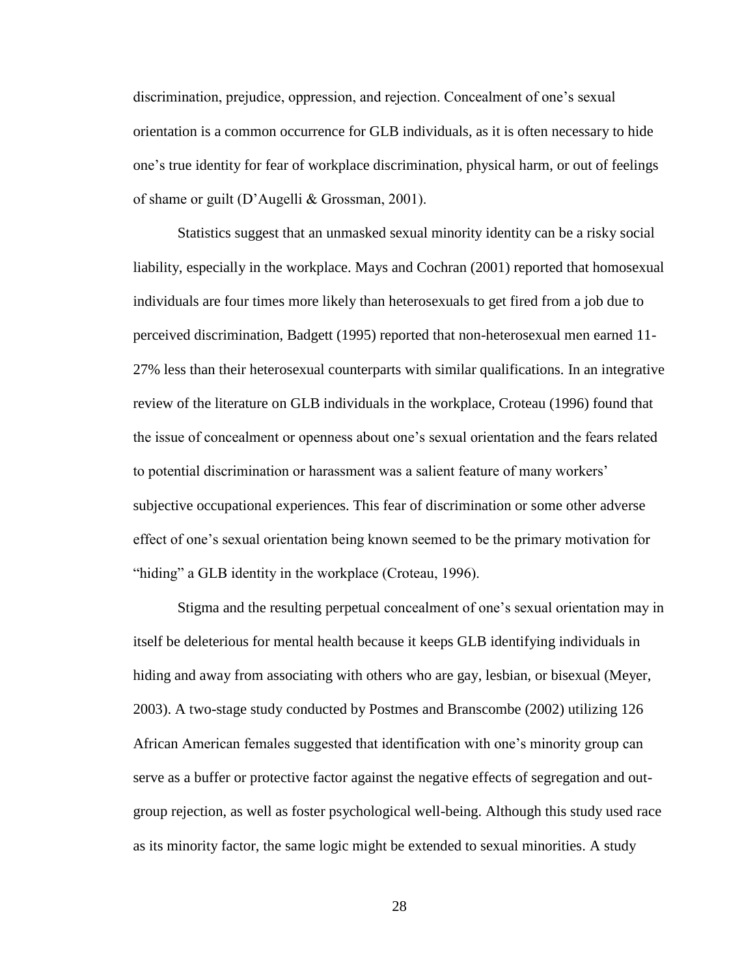discrimination, prejudice, oppression, and rejection. Concealment of one's sexual orientation is a common occurrence for GLB individuals, as it is often necessary to hide one's true identity for fear of workplace discrimination, physical harm, or out of feelings of shame or guilt (D'Augelli & Grossman, 2001).

Statistics suggest that an unmasked sexual minority identity can be a risky social liability, especially in the workplace. Mays and Cochran (2001) reported that homosexual individuals are four times more likely than heterosexuals to get fired from a job due to perceived discrimination, Badgett (1995) reported that non-heterosexual men earned 11- 27% less than their heterosexual counterparts with similar qualifications. In an integrative review of the literature on GLB individuals in the workplace, Croteau (1996) found that the issue of concealment or openness about one's sexual orientation and the fears related to potential discrimination or harassment was a salient feature of many workers' subjective occupational experiences. This fear of discrimination or some other adverse effect of one's sexual orientation being known seemed to be the primary motivation for "hiding" a GLB identity in the workplace (Croteau, 1996).

Stigma and the resulting perpetual concealment of one's sexual orientation may in itself be deleterious for mental health because it keeps GLB identifying individuals in hiding and away from associating with others who are gay, lesbian, or bisexual (Meyer, 2003). A two-stage study conducted by Postmes and Branscombe (2002) utilizing 126 African American females suggested that identification with one's minority group can serve as a buffer or protective factor against the negative effects of segregation and outgroup rejection, as well as foster psychological well-being. Although this study used race as its minority factor, the same logic might be extended to sexual minorities. A study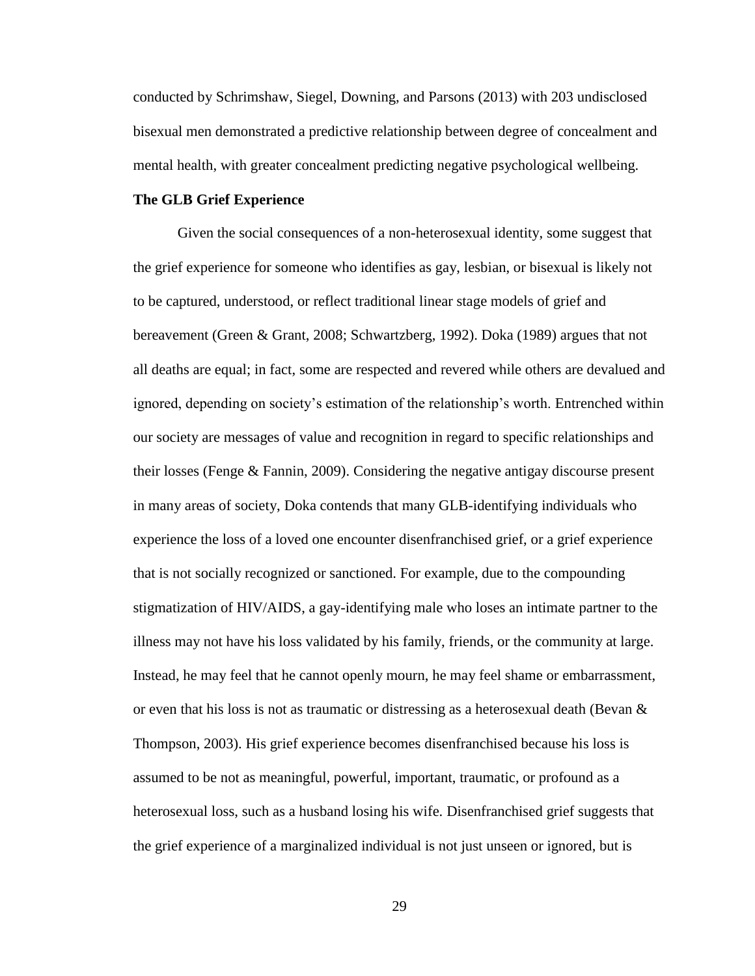conducted by Schrimshaw, Siegel, Downing, and Parsons (2013) with 203 undisclosed bisexual men demonstrated a predictive relationship between degree of concealment and mental health, with greater concealment predicting negative psychological wellbeing.

# **The GLB Grief Experience**

Given the social consequences of a non-heterosexual identity, some suggest that the grief experience for someone who identifies as gay, lesbian, or bisexual is likely not to be captured, understood, or reflect traditional linear stage models of grief and bereavement (Green & Grant, 2008; Schwartzberg, 1992). Doka (1989) argues that not all deaths are equal; in fact, some are respected and revered while others are devalued and ignored, depending on society's estimation of the relationship's worth. Entrenched within our society are messages of value and recognition in regard to specific relationships and their losses (Fenge & Fannin, 2009). Considering the negative antigay discourse present in many areas of society, Doka contends that many GLB-identifying individuals who experience the loss of a loved one encounter disenfranchised grief, or a grief experience that is not socially recognized or sanctioned. For example, due to the compounding stigmatization of HIV/AIDS, a gay-identifying male who loses an intimate partner to the illness may not have his loss validated by his family, friends, or the community at large. Instead, he may feel that he cannot openly mourn, he may feel shame or embarrassment, or even that his loss is not as traumatic or distressing as a heterosexual death (Bevan  $\&$ Thompson, 2003). His grief experience becomes disenfranchised because his loss is assumed to be not as meaningful, powerful, important, traumatic, or profound as a heterosexual loss, such as a husband losing his wife. Disenfranchised grief suggests that the grief experience of a marginalized individual is not just unseen or ignored, but is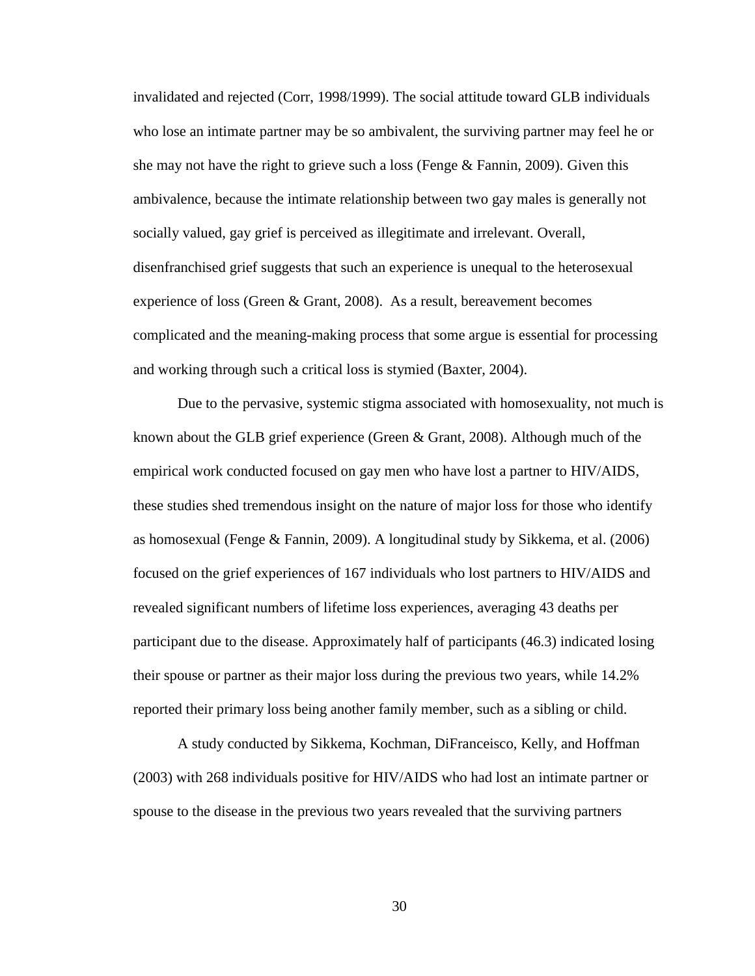invalidated and rejected (Corr, 1998/1999). The social attitude toward GLB individuals who lose an intimate partner may be so ambivalent, the surviving partner may feel he or she may not have the right to grieve such a loss (Fenge  $\&$  Fannin, 2009). Given this ambivalence, because the intimate relationship between two gay males is generally not socially valued, gay grief is perceived as illegitimate and irrelevant. Overall, disenfranchised grief suggests that such an experience is unequal to the heterosexual experience of loss (Green & Grant, 2008). As a result, bereavement becomes complicated and the meaning-making process that some argue is essential for processing and working through such a critical loss is stymied (Baxter, 2004).

Due to the pervasive, systemic stigma associated with homosexuality, not much is known about the GLB grief experience (Green & Grant, 2008). Although much of the empirical work conducted focused on gay men who have lost a partner to HIV/AIDS, these studies shed tremendous insight on the nature of major loss for those who identify as homosexual (Fenge & Fannin, 2009). A longitudinal study by Sikkema, et al. (2006) focused on the grief experiences of 167 individuals who lost partners to HIV/AIDS and revealed significant numbers of lifetime loss experiences, averaging 43 deaths per participant due to the disease. Approximately half of participants (46.3) indicated losing their spouse or partner as their major loss during the previous two years, while 14.2% reported their primary loss being another family member, such as a sibling or child.

A study conducted by Sikkema, Kochman, DiFranceisco, Kelly, and Hoffman (2003) with 268 individuals positive for HIV/AIDS who had lost an intimate partner or spouse to the disease in the previous two years revealed that the surviving partners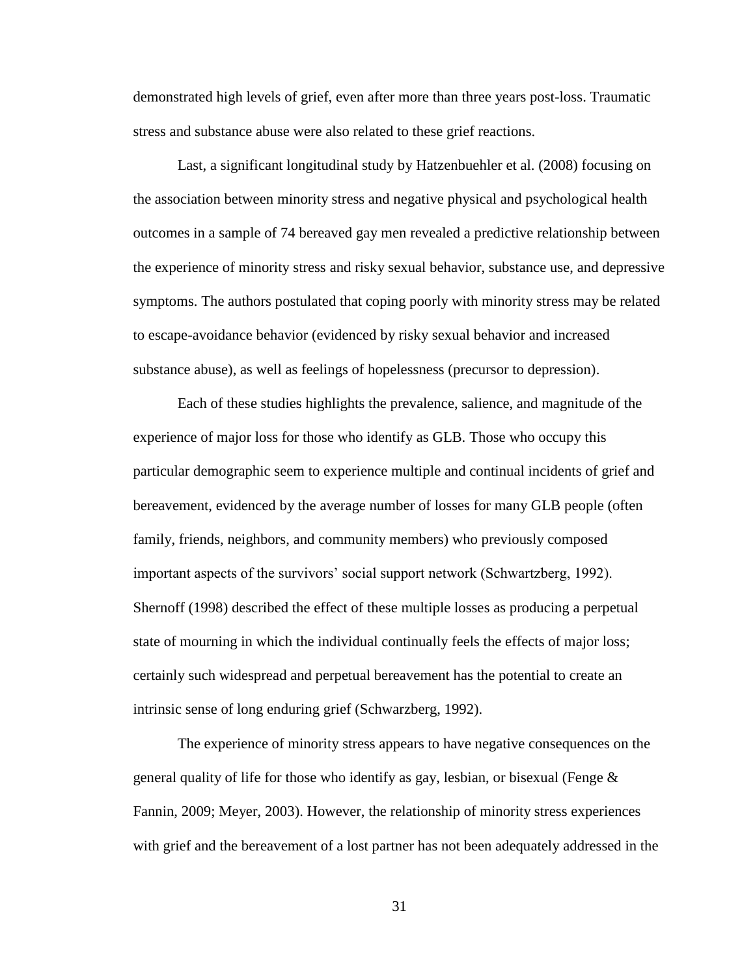demonstrated high levels of grief, even after more than three years post-loss. Traumatic stress and substance abuse were also related to these grief reactions.

Last, a significant longitudinal study by Hatzenbuehler et al. (2008) focusing on the association between minority stress and negative physical and psychological health outcomes in a sample of 74 bereaved gay men revealed a predictive relationship between the experience of minority stress and risky sexual behavior, substance use, and depressive symptoms. The authors postulated that coping poorly with minority stress may be related to escape-avoidance behavior (evidenced by risky sexual behavior and increased substance abuse), as well as feelings of hopelessness (precursor to depression).

Each of these studies highlights the prevalence, salience, and magnitude of the experience of major loss for those who identify as GLB. Those who occupy this particular demographic seem to experience multiple and continual incidents of grief and bereavement, evidenced by the average number of losses for many GLB people (often family, friends, neighbors, and community members) who previously composed important aspects of the survivors' social support network (Schwartzberg, 1992). Shernoff (1998) described the effect of these multiple losses as producing a perpetual state of mourning in which the individual continually feels the effects of major loss; certainly such widespread and perpetual bereavement has the potential to create an intrinsic sense of long enduring grief (Schwarzberg, 1992).

The experience of minority stress appears to have negative consequences on the general quality of life for those who identify as gay, lesbian, or bisexual (Fenge  $\&$ Fannin, 2009; Meyer, 2003). However, the relationship of minority stress experiences with grief and the bereavement of a lost partner has not been adequately addressed in the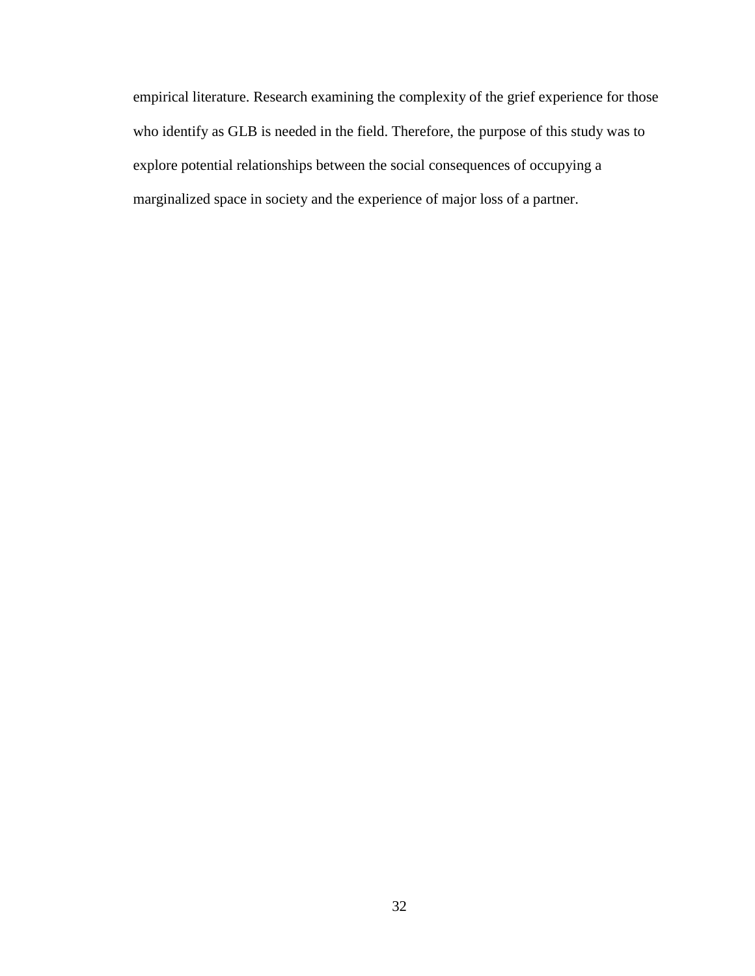empirical literature. Research examining the complexity of the grief experience for those who identify as GLB is needed in the field. Therefore, the purpose of this study was to explore potential relationships between the social consequences of occupying a marginalized space in society and the experience of major loss of a partner.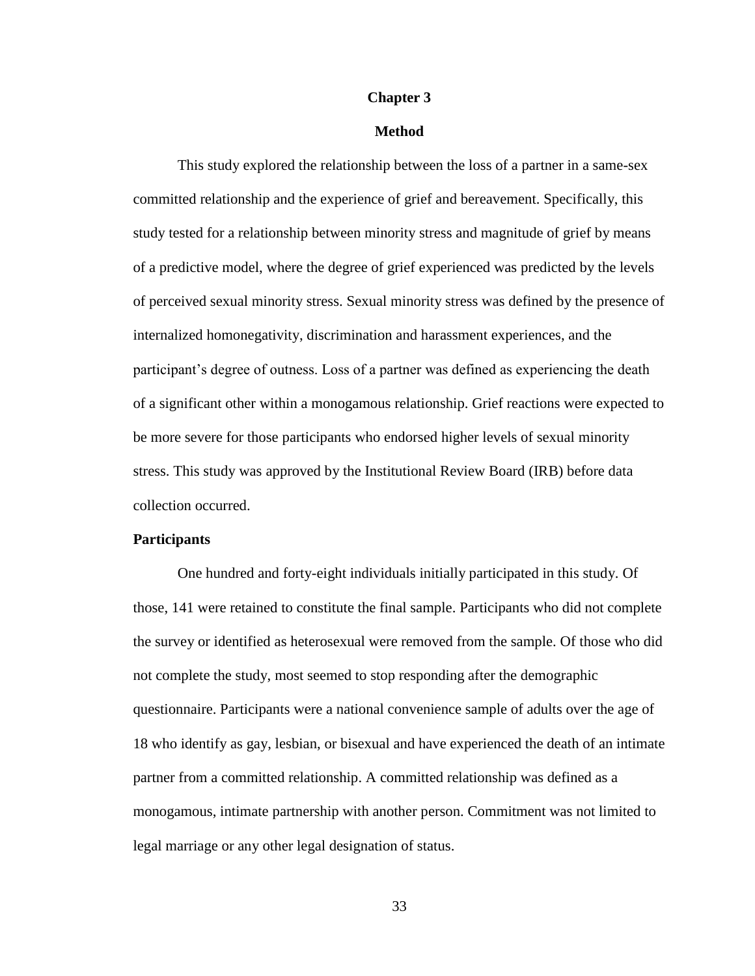#### **Chapter 3**

# **Method**

This study explored the relationship between the loss of a partner in a same-sex committed relationship and the experience of grief and bereavement. Specifically, this study tested for a relationship between minority stress and magnitude of grief by means of a predictive model, where the degree of grief experienced was predicted by the levels of perceived sexual minority stress. Sexual minority stress was defined by the presence of internalized homonegativity, discrimination and harassment experiences, and the participant's degree of outness. Loss of a partner was defined as experiencing the death of a significant other within a monogamous relationship. Grief reactions were expected to be more severe for those participants who endorsed higher levels of sexual minority stress. This study was approved by the Institutional Review Board (IRB) before data collection occurred.

### **Participants**

One hundred and forty-eight individuals initially participated in this study. Of those, 141 were retained to constitute the final sample. Participants who did not complete the survey or identified as heterosexual were removed from the sample. Of those who did not complete the study, most seemed to stop responding after the demographic questionnaire. Participants were a national convenience sample of adults over the age of 18 who identify as gay, lesbian, or bisexual and have experienced the death of an intimate partner from a committed relationship. A committed relationship was defined as a monogamous, intimate partnership with another person. Commitment was not limited to legal marriage or any other legal designation of status.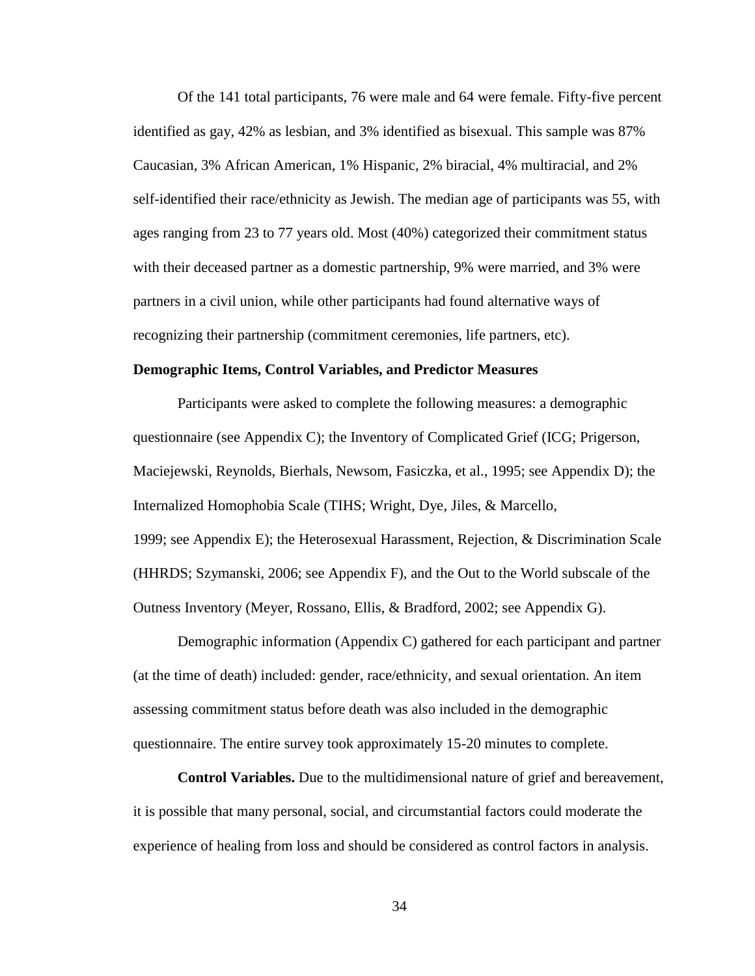Of the 141 total participants, 76 were male and 64 were female. Fifty-five percent identified as gay, 42% as lesbian, and 3% identified as bisexual. This sample was 87% Caucasian, 3% African American, 1% Hispanic, 2% biracial, 4% multiracial, and 2% self-identified their race/ethnicity as Jewish. The median age of participants was 55, with ages ranging from 23 to 77 years old. Most (40%) categorized their commitment status with their deceased partner as a domestic partnership, 9% were married, and 3% were partners in a civil union, while other participants had found alternative ways of recognizing their partnership (commitment ceremonies, life partners, etc).

# **Demographic Items, Control Variables, and Predictor Measures**

Participants were asked to complete the following measures: a demographic questionnaire (see Appendix C); the Inventory of Complicated Grief (ICG; Prigerson, Maciejewski, Reynolds, Bierhals, Newsom, Fasiczka, et al., 1995; see Appendix D); the Internalized Homophobia Scale (TIHS; Wright, Dye, Jiles, & Marcello, 1999; see Appendix E); the Heterosexual Harassment, Rejection, & Discrimination Scale (HHRDS; Szymanski, 2006; see Appendix F), and the Out to the World subscale of the Outness Inventory (Meyer, Rossano, Ellis, & Bradford, 2002; see Appendix G).

Demographic information (Appendix C) gathered for each participant and partner (at the time of death) included: gender, race/ethnicity, and sexual orientation. An item assessing commitment status before death was also included in the demographic questionnaire. The entire survey took approximately 15-20 minutes to complete.

**Control Variables.** Due to the multidimensional nature of grief and bereavement, it is possible that many personal, social, and circumstantial factors could moderate the experience of healing from loss and should be considered as control factors in analysis.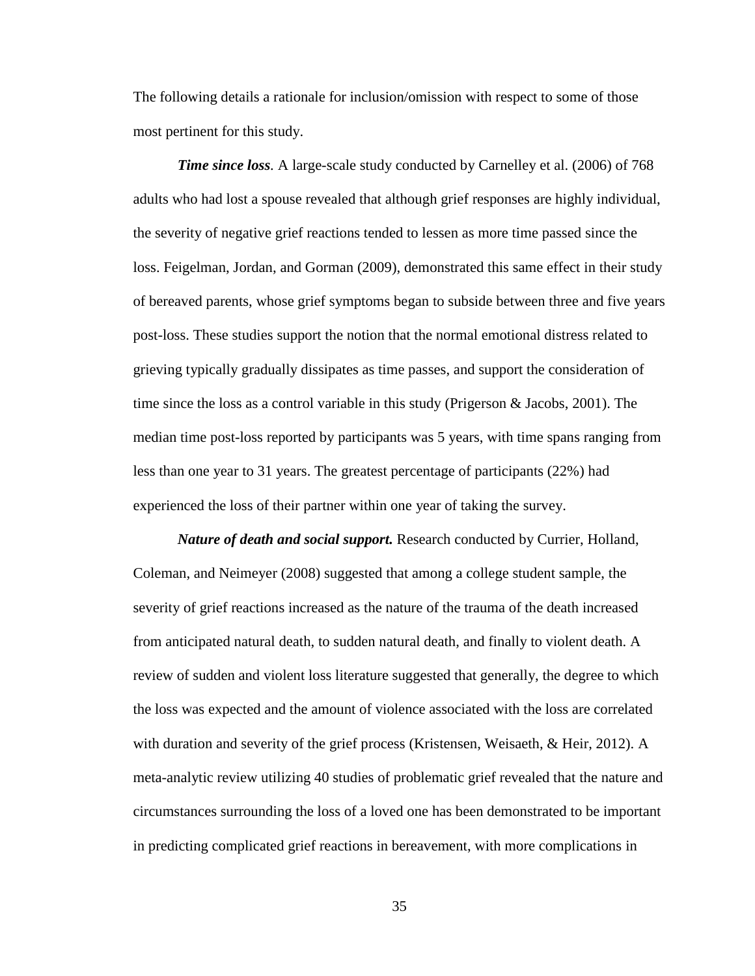The following details a rationale for inclusion/omission with respect to some of those most pertinent for this study.

*Time since loss.* A large-scale study conducted by Carnelley et al. (2006) of 768 adults who had lost a spouse revealed that although grief responses are highly individual, the severity of negative grief reactions tended to lessen as more time passed since the loss. Feigelman, Jordan, and Gorman (2009), demonstrated this same effect in their study of bereaved parents, whose grief symptoms began to subside between three and five years post-loss. These studies support the notion that the normal emotional distress related to grieving typically gradually dissipates as time passes, and support the consideration of time since the loss as a control variable in this study (Prigerson & Jacobs, 2001). The median time post-loss reported by participants was 5 years, with time spans ranging from less than one year to 31 years. The greatest percentage of participants (22%) had experienced the loss of their partner within one year of taking the survey.

*Nature of death and social support.* Research conducted by Currier, Holland, Coleman, and Neimeyer (2008) suggested that among a college student sample, the severity of grief reactions increased as the nature of the trauma of the death increased from anticipated natural death, to sudden natural death, and finally to violent death. A review of sudden and violent loss literature suggested that generally, the degree to which the loss was expected and the amount of violence associated with the loss are correlated with duration and severity of the grief process (Kristensen, Weisaeth, & Heir, 2012). A meta-analytic review utilizing 40 studies of problematic grief revealed that the nature and circumstances surrounding the loss of a loved one has been demonstrated to be important in predicting complicated grief reactions in bereavement, with more complications in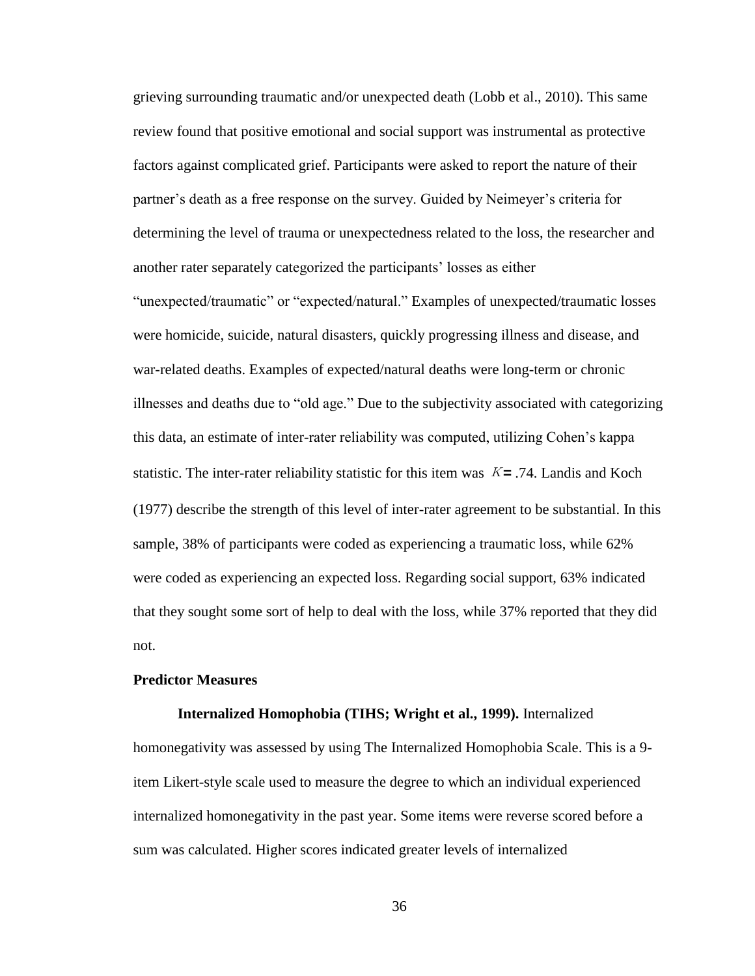grieving surrounding traumatic and/or unexpected death (Lobb et al., 2010). This same review found that positive emotional and social support was instrumental as protective factors against complicated grief. Participants were asked to report the nature of their partner's death as a free response on the survey. Guided by Neimeyer's criteria for determining the level of trauma or unexpectedness related to the loss, the researcher and another rater separately categorized the participants' losses as either

"unexpected/traumatic" or "expected/natural." Examples of unexpected/traumatic losses were homicide, suicide, natural disasters, quickly progressing illness and disease, and war-related deaths. Examples of expected/natural deaths were long-term or chronic illnesses and deaths due to "old age." Due to the subjectivity associated with categorizing this data, an estimate of inter-rater reliability was computed, utilizing Cohen's kappa statistic. The inter-rater reliability statistic for this item was <sup>Κ</sup>*=* .74. Landis and Koch (1977) describe the strength of this level of inter-rater agreement to be substantial. In this sample, 38% of participants were coded as experiencing a traumatic loss, while 62% were coded as experiencing an expected loss. Regarding social support, 63% indicated that they sought some sort of help to deal with the loss, while 37% reported that they did not.

## **Predictor Measures**

# **Internalized Homophobia (TIHS; Wright et al., 1999).** Internalized

homonegativity was assessed by using The Internalized Homophobia Scale. This is a 9 item Likert-style scale used to measure the degree to which an individual experienced internalized homonegativity in the past year. Some items were reverse scored before a sum was calculated. Higher scores indicated greater levels of internalized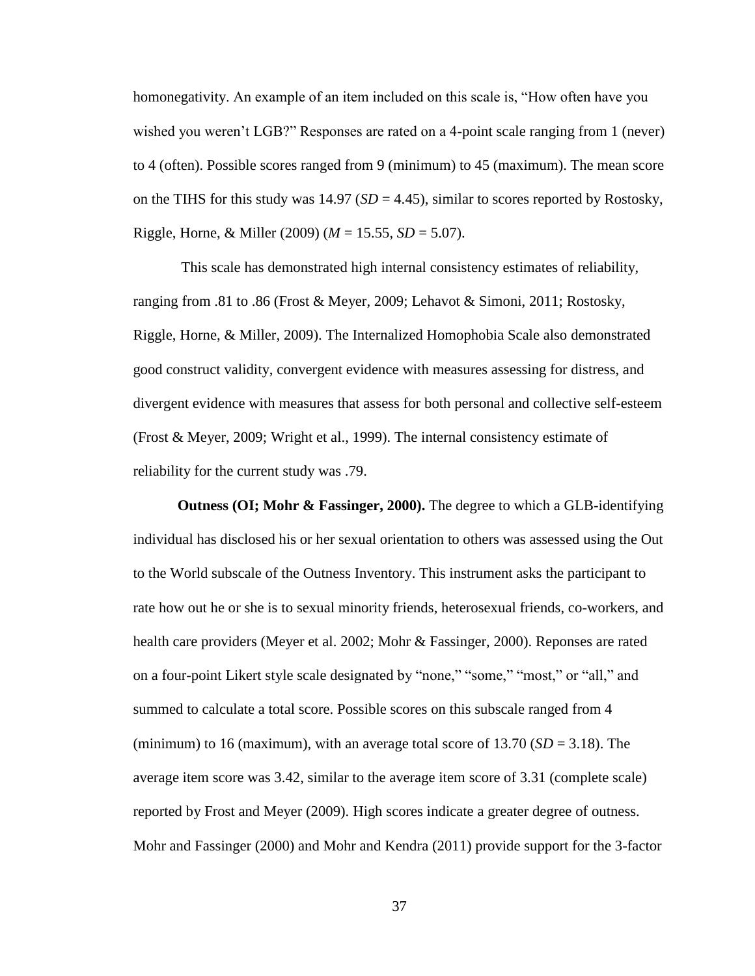homonegativity. An example of an item included on this scale is, "How often have you wished you weren't LGB?" Responses are rated on a 4-point scale ranging from 1 (never) to 4 (often). Possible scores ranged from 9 (minimum) to 45 (maximum). The mean score on the TIHS for this study was  $14.97$  (*SD* = 4.45), similar to scores reported by Rostosky, Riggle, Horne, & Miller (2009) (*M* = 15.55, *SD* = 5.07).

This scale has demonstrated high internal consistency estimates of reliability, ranging from .81 to .86 (Frost & Meyer, 2009; Lehavot & Simoni, 2011; Rostosky, Riggle, Horne, & Miller, 2009). The Internalized Homophobia Scale also demonstrated good construct validity, convergent evidence with measures assessing for distress, and divergent evidence with measures that assess for both personal and collective self-esteem (Frost & Meyer, 2009; Wright et al., 1999). The internal consistency estimate of reliability for the current study was .79.

**Outness (OI; Mohr & Fassinger, 2000).** The degree to which a GLB-identifying individual has disclosed his or her sexual orientation to others was assessed using the Out to the World subscale of the Outness Inventory. This instrument asks the participant to rate how out he or she is to sexual minority friends, heterosexual friends, co-workers, and health care providers (Meyer et al. 2002; Mohr & Fassinger, 2000). Reponses are rated on a four-point Likert style scale designated by "none," "some," "most," or "all," and summed to calculate a total score. Possible scores on this subscale ranged from 4 (minimum) to 16 (maximum), with an average total score of  $13.70$  (*SD* = 3.18). The average item score was 3.42, similar to the average item score of 3.31 (complete scale) reported by Frost and Meyer (2009). High scores indicate a greater degree of outness. Mohr and Fassinger (2000) and Mohr and Kendra (2011) provide support for the 3-factor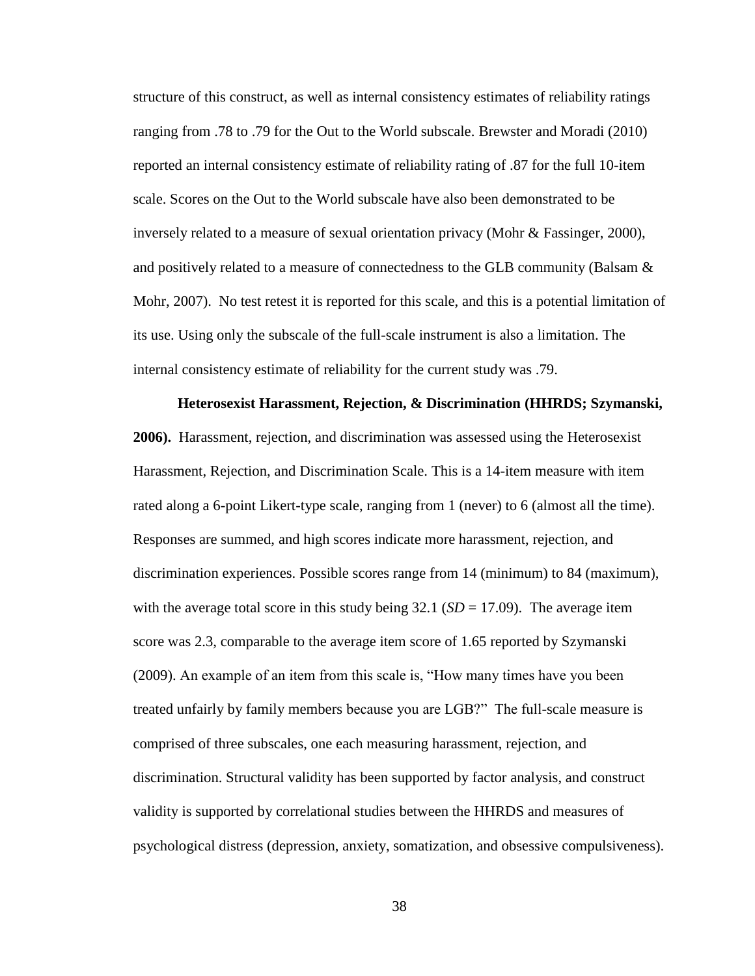structure of this construct, as well as internal consistency estimates of reliability ratings ranging from .78 to .79 for the Out to the World subscale. Brewster and Moradi (2010) reported an internal consistency estimate of reliability rating of .87 for the full 10-item scale. Scores on the Out to the World subscale have also been demonstrated to be inversely related to a measure of sexual orientation privacy (Mohr & Fassinger, 2000), and positively related to a measure of connectedness to the GLB community (Balsam  $\&$ Mohr, 2007). No test retest it is reported for this scale, and this is a potential limitation of its use. Using only the subscale of the full-scale instrument is also a limitation. The internal consistency estimate of reliability for the current study was .79.

**Heterosexist Harassment, Rejection, & Discrimination (HHRDS; Szymanski, 2006).** Harassment, rejection, and discrimination was assessed using the Heterosexist Harassment, Rejection, and Discrimination Scale. This is a 14-item measure with item rated along a 6-point Likert-type scale, ranging from 1 (never) to 6 (almost all the time). Responses are summed, and high scores indicate more harassment, rejection, and discrimination experiences. Possible scores range from 14 (minimum) to 84 (maximum), with the average total score in this study being  $32.1$  (*SD* = 17.09). The average item score was 2.3, comparable to the average item score of 1.65 reported by Szymanski (2009). An example of an item from this scale is, "How many times have you been treated unfairly by family members because you are LGB?" The full-scale measure is comprised of three subscales, one each measuring harassment, rejection, and discrimination. Structural validity has been supported by factor analysis, and construct validity is supported by correlational studies between the HHRDS and measures of psychological distress (depression, anxiety, somatization, and obsessive compulsiveness).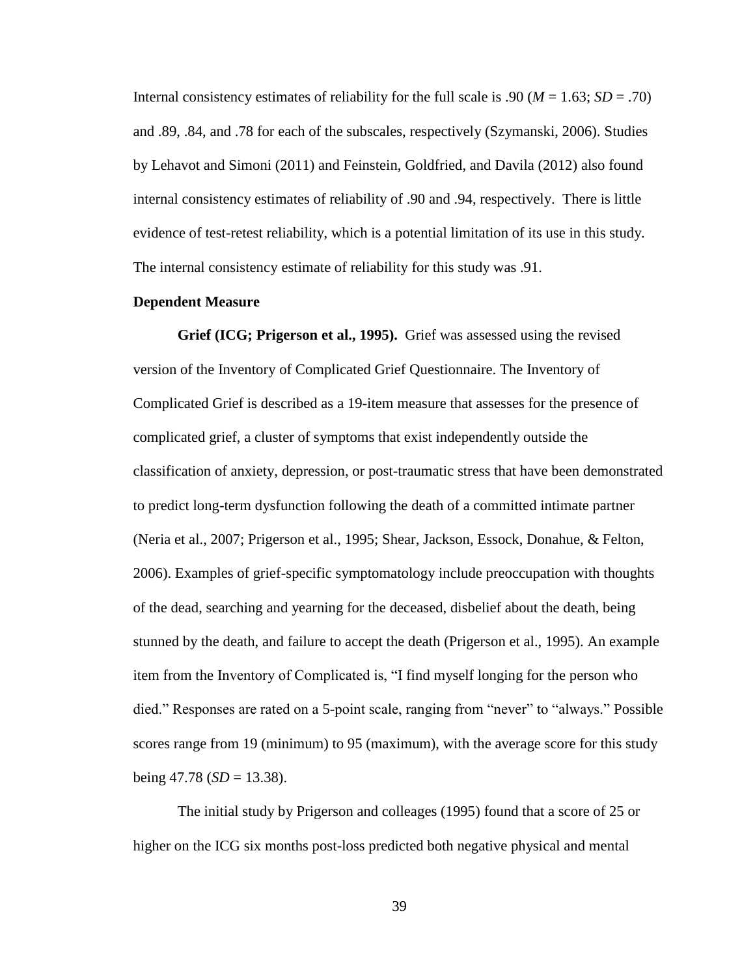Internal consistency estimates of reliability for the full scale is .90 ( $M = 1.63$ ;  $SD = .70$ ) and .89, .84, and .78 for each of the subscales, respectively (Szymanski, 2006). Studies by Lehavot and Simoni (2011) and Feinstein, Goldfried, and Davila (2012) also found internal consistency estimates of reliability of .90 and .94, respectively. There is little evidence of test-retest reliability, which is a potential limitation of its use in this study. The internal consistency estimate of reliability for this study was .91.

# **Dependent Measure**

**Grief (ICG; Prigerson et al., 1995).** Grief was assessed using the revised version of the Inventory of Complicated Grief Questionnaire. The Inventory of Complicated Grief is described as a 19-item measure that assesses for the presence of complicated grief, a cluster of symptoms that exist independently outside the classification of anxiety, depression, or post-traumatic stress that have been demonstrated to predict long-term dysfunction following the death of a committed intimate partner (Neria et al., 2007; Prigerson et al., 1995; Shear, Jackson, Essock, Donahue, & Felton, 2006). Examples of grief-specific symptomatology include preoccupation with thoughts of the dead, searching and yearning for the deceased, disbelief about the death, being stunned by the death, and failure to accept the death (Prigerson et al., 1995). An example item from the Inventory of Complicated is, "I find myself longing for the person who died." Responses are rated on a 5-point scale, ranging from "never" to "always." Possible scores range from 19 (minimum) to 95 (maximum), with the average score for this study being  $47.78$  (*SD* = 13.38).

The initial study by Prigerson and colleages (1995) found that a score of 25 or higher on the ICG six months post-loss predicted both negative physical and mental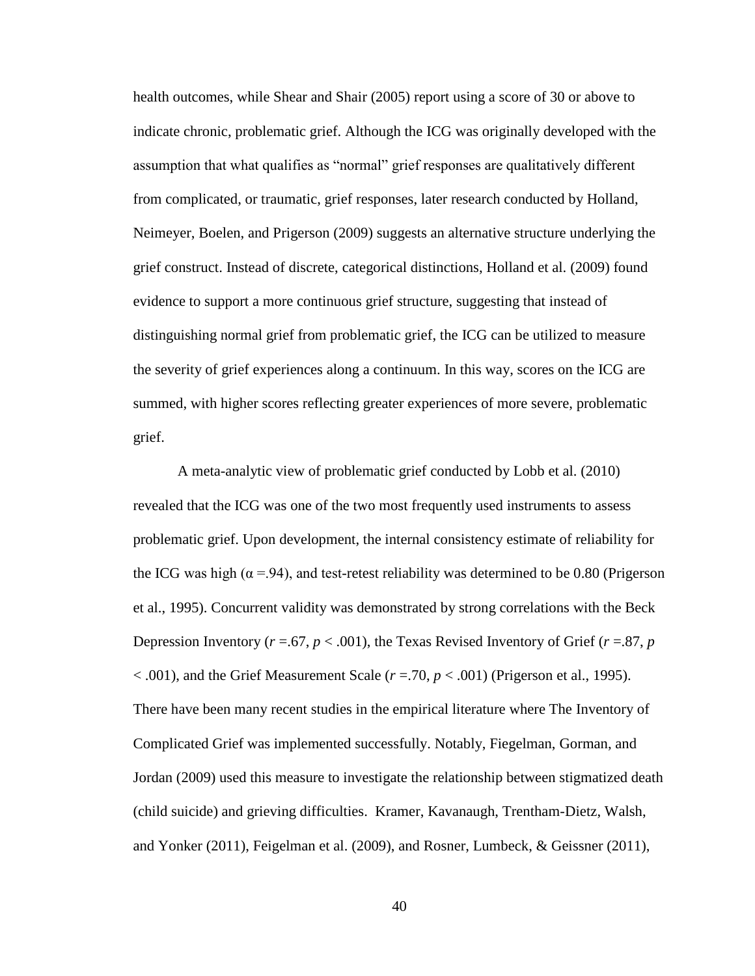health outcomes, while Shear and Shair (2005) report using a score of 30 or above to indicate chronic, problematic grief. Although the ICG was originally developed with the assumption that what qualifies as "normal" grief responses are qualitatively different from complicated, or traumatic, grief responses, later research conducted by Holland, Neimeyer, Boelen, and Prigerson (2009) suggests an alternative structure underlying the grief construct. Instead of discrete, categorical distinctions, Holland et al. (2009) found evidence to support a more continuous grief structure, suggesting that instead of distinguishing normal grief from problematic grief, the ICG can be utilized to measure the severity of grief experiences along a continuum. In this way, scores on the ICG are summed, with higher scores reflecting greater experiences of more severe, problematic grief.

A meta-analytic view of problematic grief conducted by Lobb et al. (2010) revealed that the ICG was one of the two most frequently used instruments to assess problematic grief. Upon development, the internal consistency estimate of reliability for the ICG was high ( $\alpha$  =.94), and test-retest reliability was determined to be 0.80 (Prigerson et al., 1995). Concurrent validity was demonstrated by strong correlations with the Beck Depression Inventory  $(r = .67, p < .001)$ , the Texas Revised Inventory of Grief  $(r = .87, p$ < .001), and the Grief Measurement Scale (*r* =.70, *p* < .001) (Prigerson et al., 1995). There have been many recent studies in the empirical literature where The Inventory of Complicated Grief was implemented successfully. Notably, Fiegelman, Gorman, and Jordan (2009) used this measure to investigate the relationship between stigmatized death (child suicide) and grieving difficulties. Kramer, Kavanaugh, Trentham-Dietz, Walsh, and Yonker (2011), Feigelman et al. (2009), and Rosner, Lumbeck, & Geissner (2011),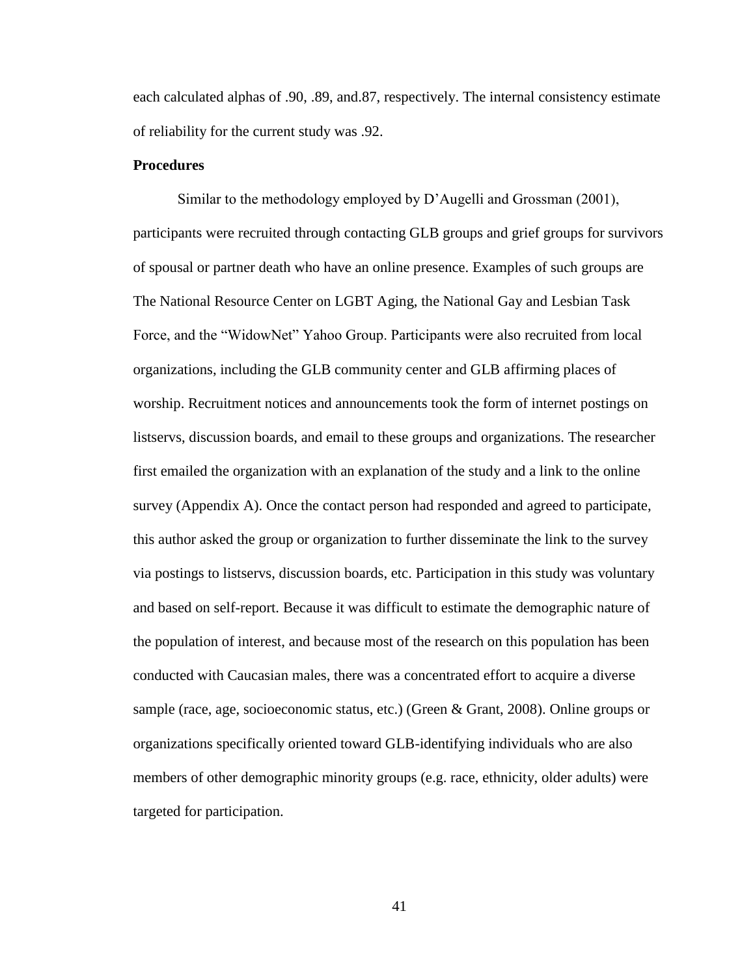each calculated alphas of .90, .89, and.87, respectively. The internal consistency estimate of reliability for the current study was .92.

# **Procedures**

Similar to the methodology employed by D'Augelli and Grossman (2001), participants were recruited through contacting GLB groups and grief groups for survivors of spousal or partner death who have an online presence. Examples of such groups are The National Resource Center on LGBT Aging, the National Gay and Lesbian Task Force, and the "WidowNet" Yahoo Group. Participants were also recruited from local organizations, including the GLB community center and GLB affirming places of worship. Recruitment notices and announcements took the form of internet postings on listservs, discussion boards, and email to these groups and organizations. The researcher first emailed the organization with an explanation of the study and a link to the online survey (Appendix A). Once the contact person had responded and agreed to participate, this author asked the group or organization to further disseminate the link to the survey via postings to listservs, discussion boards, etc. Participation in this study was voluntary and based on self-report. Because it was difficult to estimate the demographic nature of the population of interest, and because most of the research on this population has been conducted with Caucasian males, there was a concentrated effort to acquire a diverse sample (race, age, socioeconomic status, etc.) (Green & Grant, 2008). Online groups or organizations specifically oriented toward GLB-identifying individuals who are also members of other demographic minority groups (e.g. race, ethnicity, older adults) were targeted for participation.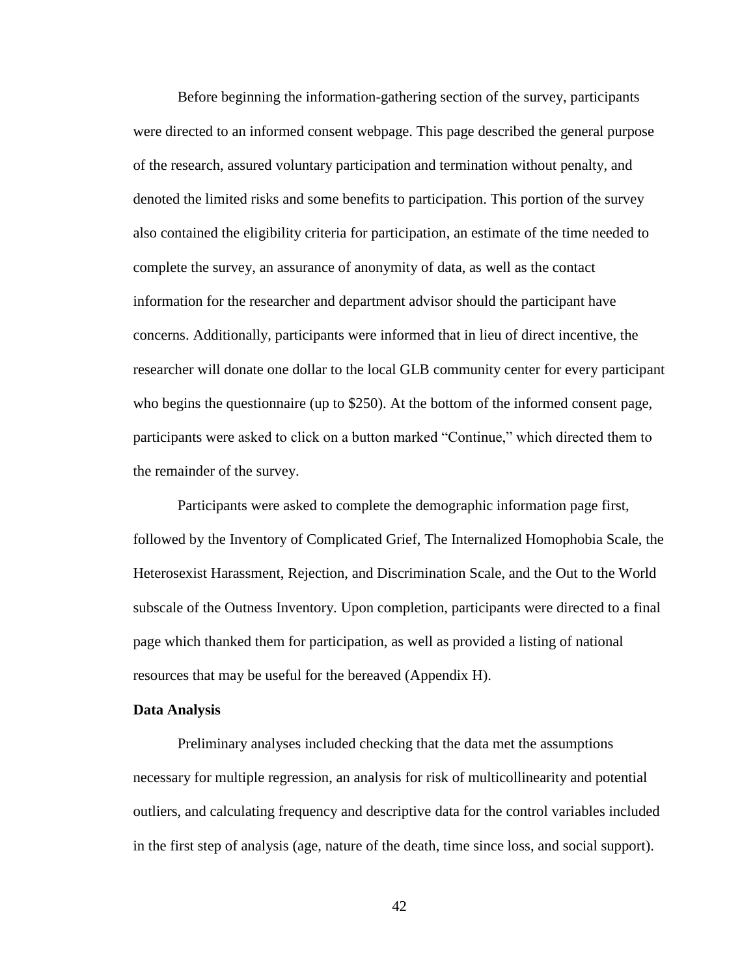Before beginning the information-gathering section of the survey, participants were directed to an informed consent webpage. This page described the general purpose of the research, assured voluntary participation and termination without penalty, and denoted the limited risks and some benefits to participation. This portion of the survey also contained the eligibility criteria for participation, an estimate of the time needed to complete the survey, an assurance of anonymity of data, as well as the contact information for the researcher and department advisor should the participant have concerns. Additionally, participants were informed that in lieu of direct incentive, the researcher will donate one dollar to the local GLB community center for every participant who begins the questionnaire (up to \$250). At the bottom of the informed consent page, participants were asked to click on a button marked "Continue," which directed them to the remainder of the survey.

Participants were asked to complete the demographic information page first, followed by the Inventory of Complicated Grief, The Internalized Homophobia Scale, the Heterosexist Harassment, Rejection, and Discrimination Scale, and the Out to the World subscale of the Outness Inventory. Upon completion, participants were directed to a final page which thanked them for participation, as well as provided a listing of national resources that may be useful for the bereaved (Appendix H).

### **Data Analysis**

Preliminary analyses included checking that the data met the assumptions necessary for multiple regression, an analysis for risk of multicollinearity and potential outliers, and calculating frequency and descriptive data for the control variables included in the first step of analysis (age, nature of the death, time since loss, and social support).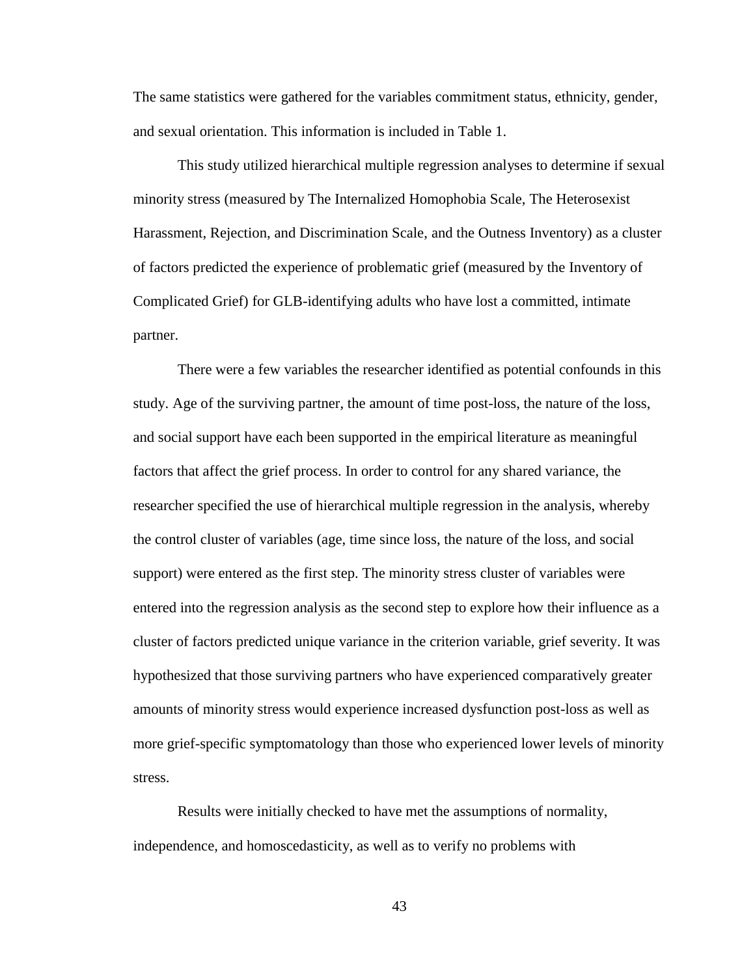The same statistics were gathered for the variables commitment status, ethnicity, gender, and sexual orientation. This information is included in Table 1.

This study utilized hierarchical multiple regression analyses to determine if sexual minority stress (measured by The Internalized Homophobia Scale, The Heterosexist Harassment, Rejection, and Discrimination Scale, and the Outness Inventory) as a cluster of factors predicted the experience of problematic grief (measured by the Inventory of Complicated Grief) for GLB-identifying adults who have lost a committed, intimate partner.

There were a few variables the researcher identified as potential confounds in this study. Age of the surviving partner, the amount of time post-loss, the nature of the loss, and social support have each been supported in the empirical literature as meaningful factors that affect the grief process. In order to control for any shared variance, the researcher specified the use of hierarchical multiple regression in the analysis, whereby the control cluster of variables (age, time since loss, the nature of the loss, and social support) were entered as the first step. The minority stress cluster of variables were entered into the regression analysis as the second step to explore how their influence as a cluster of factors predicted unique variance in the criterion variable, grief severity. It was hypothesized that those surviving partners who have experienced comparatively greater amounts of minority stress would experience increased dysfunction post-loss as well as more grief-specific symptomatology than those who experienced lower levels of minority stress.

Results were initially checked to have met the assumptions of normality, independence, and homoscedasticity, as well as to verify no problems with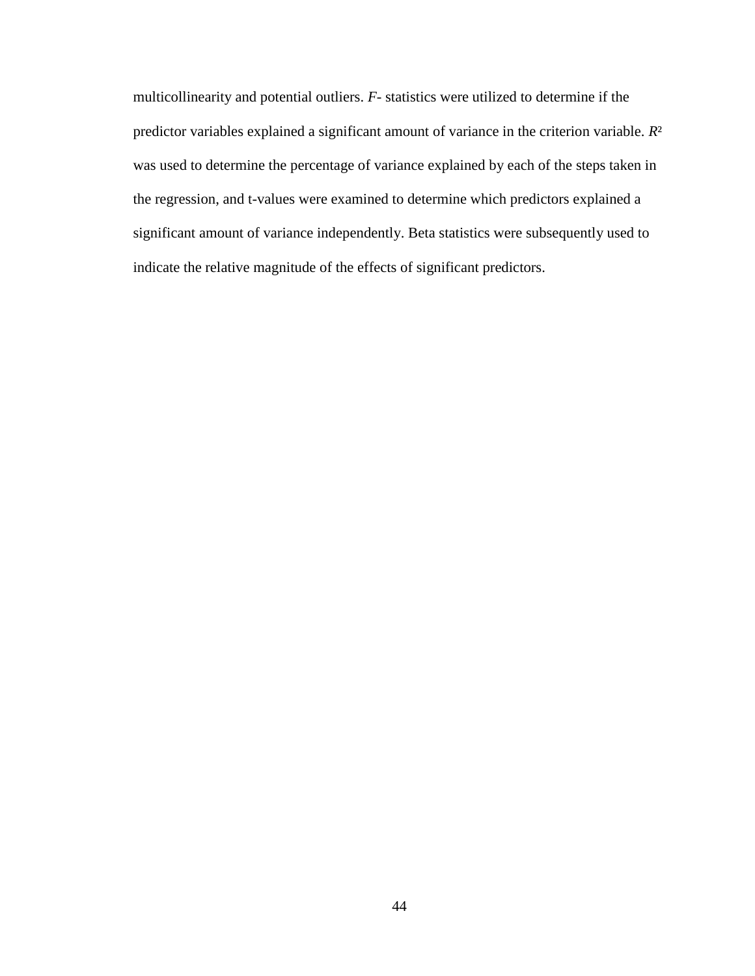multicollinearity and potential outliers. *F-* statistics were utilized to determine if the predictor variables explained a significant amount of variance in the criterion variable. *R*² was used to determine the percentage of variance explained by each of the steps taken in the regression, and t-values were examined to determine which predictors explained a significant amount of variance independently. Beta statistics were subsequently used to indicate the relative magnitude of the effects of significant predictors.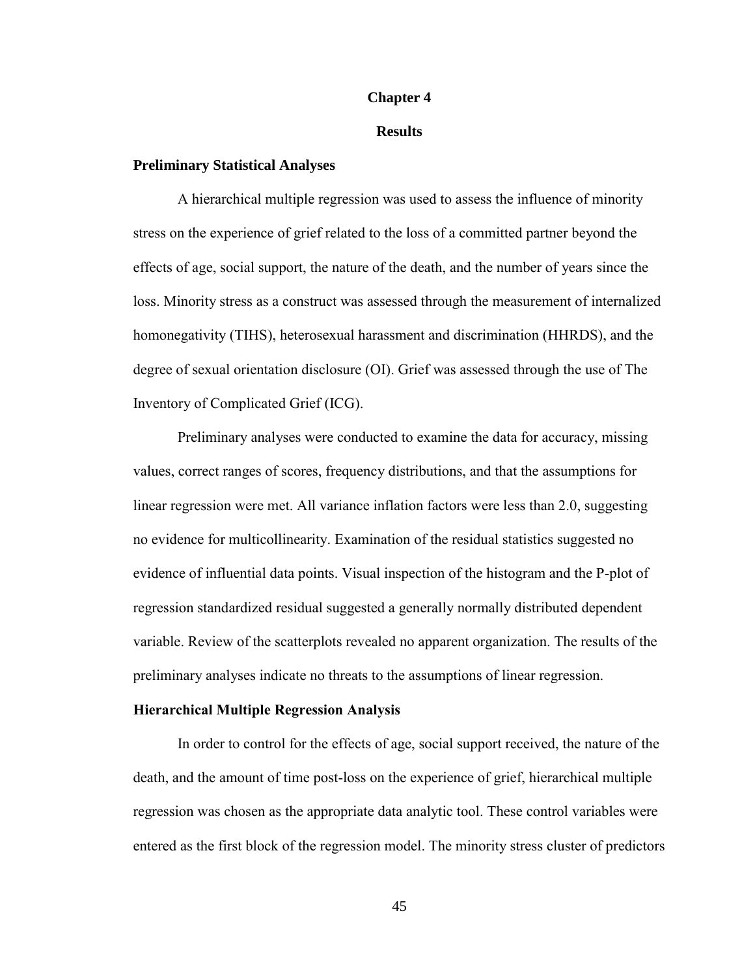# **Chapter 4**

# **Results**

# **Preliminary Statistical Analyses**

A hierarchical multiple regression was used to assess the influence of minority stress on the experience of grief related to the loss of a committed partner beyond the effects of age, social support, the nature of the death, and the number of years since the loss. Minority stress as a construct was assessed through the measurement of internalized homonegativity (TIHS), heterosexual harassment and discrimination (HHRDS), and the degree of sexual orientation disclosure (OI). Grief was assessed through the use of The Inventory of Complicated Grief (ICG).

Preliminary analyses were conducted to examine the data for accuracy, missing values, correct ranges of scores, frequency distributions, and that the assumptions for linear regression were met. All variance inflation factors were less than 2.0, suggesting no evidence for multicollinearity. Examination of the residual statistics suggested no evidence of influential data points. Visual inspection of the histogram and the P-plot of regression standardized residual suggested a generally normally distributed dependent variable. Review of the scatterplots revealed no apparent organization. The results of the preliminary analyses indicate no threats to the assumptions of linear regression.

### **Hierarchical Multiple Regression Analysis**

In order to control for the effects of age, social support received, the nature of the death, and the amount of time post-loss on the experience of grief, hierarchical multiple regression was chosen as the appropriate data analytic tool. These control variables were entered as the first block of the regression model. The minority stress cluster of predictors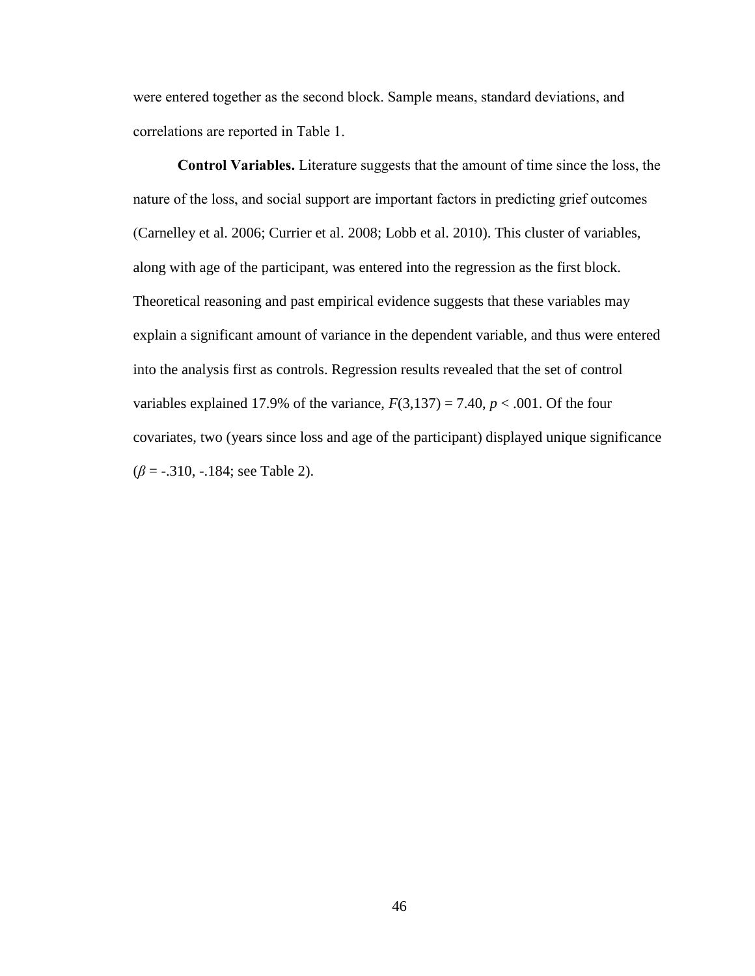were entered together as the second block. Sample means, standard deviations, and correlations are reported in Table 1.

**Control Variables.** Literature suggests that the amount of time since the loss, the nature of the loss, and social support are important factors in predicting grief outcomes (Carnelley et al. 2006; Currier et al. 2008; Lobb et al. 2010). This cluster of variables, along with age of the participant, was entered into the regression as the first block. Theoretical reasoning and past empirical evidence suggests that these variables may explain a significant amount of variance in the dependent variable, and thus were entered into the analysis first as controls. Regression results revealed that the set of control variables explained 17.9% of the variance,  $F(3,137) = 7.40$ ,  $p < .001$ . Of the four covariates, two (years since loss and age of the participant) displayed unique significance (*β* = -.310, -.184; see Table 2).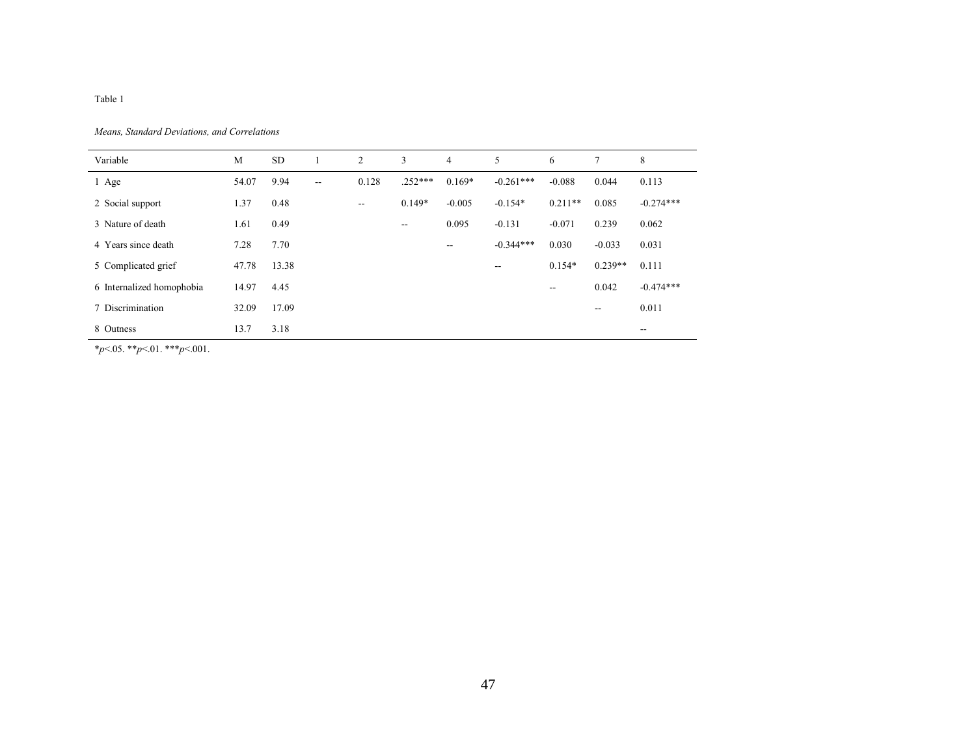Table 1

*Means, Standard Deviations, and Correlations*

| Variable                  | M     | <b>SD</b> |               | 2      | 3         | $\overline{4}$ | 5           | 6         | 7         | 8           |
|---------------------------|-------|-----------|---------------|--------|-----------|----------------|-------------|-----------|-----------|-------------|
| 1 Age                     | 54.07 | 9.94      | $\sim$ $\sim$ | 0.128  | $.252***$ | $0.169*$       | $-0.261***$ | $-0.088$  | 0.044     | 0.113       |
| 2 Social support          | 1.37  | 0.48      |               | $\sim$ | $0.149*$  | $-0.005$       | $-0.154*$   | $0.211**$ | 0.085     | $-0.274***$ |
| 3 Nature of death         | 1.61  | 0.49      |               |        | $-$       | 0.095          | $-0.131$    | $-0.071$  | 0.239     | 0.062       |
| 4 Years since death       | 7.28  | 7.70      |               |        |           | --             | $-0.344***$ | 0.030     | $-0.033$  | 0.031       |
| 5 Complicated grief       | 47.78 | 13.38     |               |        |           |                | --          | $0.154*$  | $0.239**$ | 0.111       |
| 6 Internalized homophobia | 14.97 | 4.45      |               |        |           |                |             | $- -$     | 0.042     | $-0.474***$ |
| 7 Discrimination          | 32.09 | 17.09     |               |        |           |                |             |           | --        | 0.011       |
| 8 Outness                 | 13.7  | 3.18      |               |        |           |                |             |           |           | $- -$       |

\**p*<.05. \*\**p*<.01. \*\*\**p*<.001.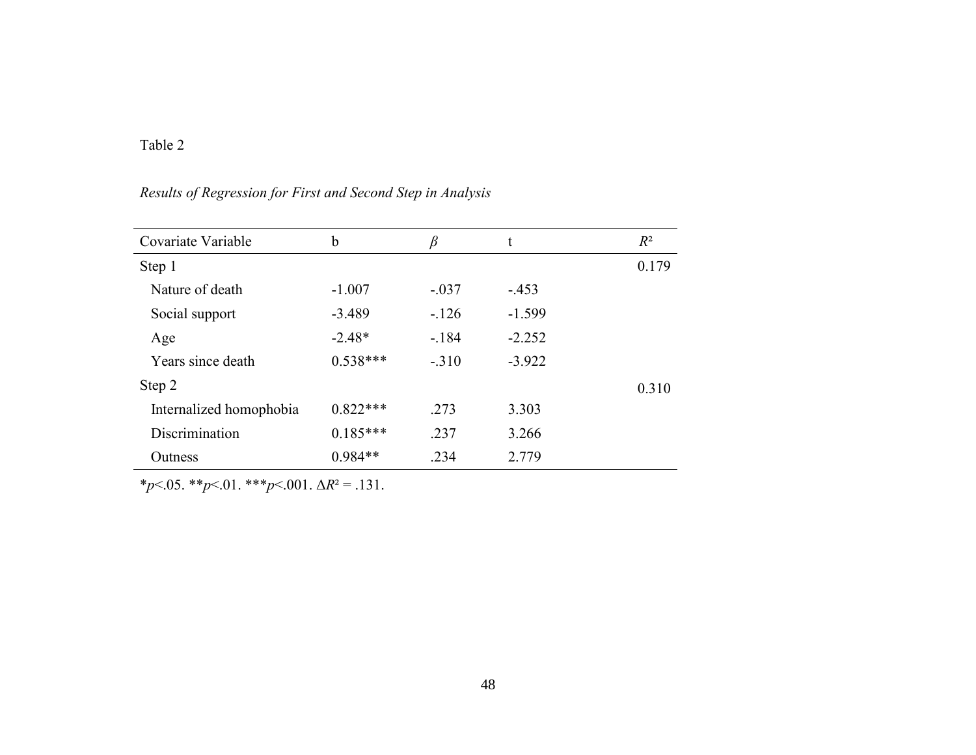# Table 2

# *Results of Regression for First and Second Step in Analysis*

| Covariate Variable      | b          | β       | t        | $R^2$ |
|-------------------------|------------|---------|----------|-------|
| Step 1                  |            |         |          | 0.179 |
| Nature of death         | $-1.007$   | $-.037$ | $-453$   |       |
| Social support          | $-3.489$   | $-126$  | $-1.599$ |       |
| Age                     | $-2.48*$   | $-184$  | $-2.252$ |       |
| Years since death       | $0.538***$ | $-.310$ | $-3.922$ |       |
| Step 2                  |            |         |          | 0.310 |
| Internalized homophobia | $0.822***$ | .273    | 3.303    |       |
| Discrimination          | $0.185***$ | .237    | 3.266    |       |
| Outness                 | $0.984**$  | .234    | 2.779    |       |

\**p*<.05. \*\**p*<.01. \*\*\**p*<.001. Δ*R*² = .131.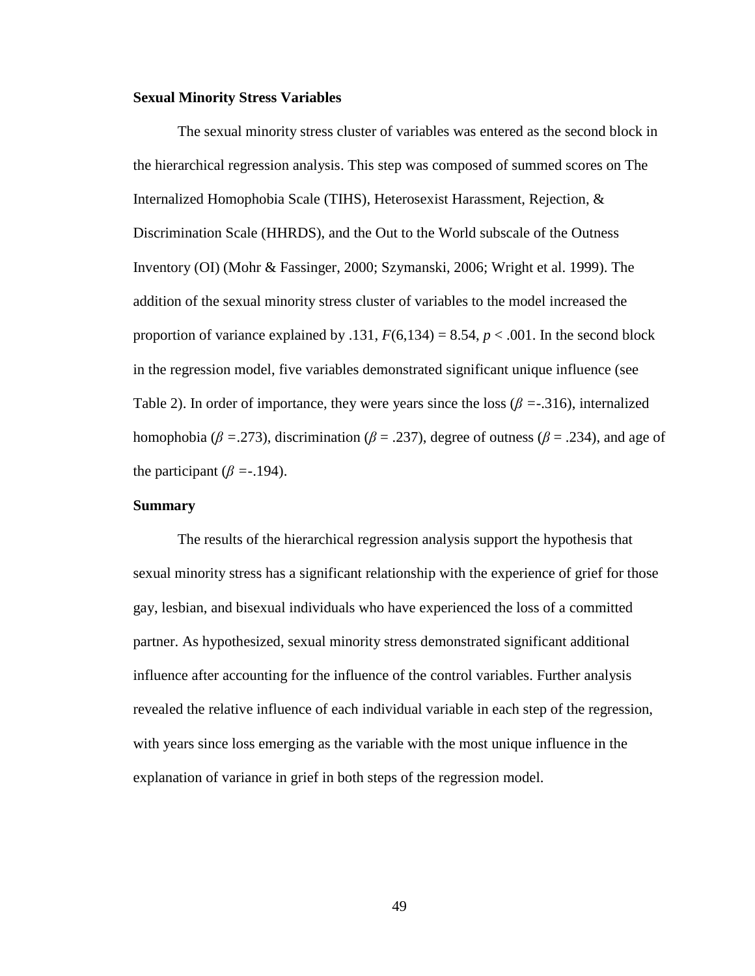# **Sexual Minority Stress Variables**

The sexual minority stress cluster of variables was entered as the second block in the hierarchical regression analysis. This step was composed of summed scores on The Internalized Homophobia Scale (TIHS), Heterosexist Harassment, Rejection, & Discrimination Scale (HHRDS), and the Out to the World subscale of the Outness Inventory (OI) (Mohr & Fassinger, 2000; Szymanski, 2006; Wright et al. 1999). The addition of the sexual minority stress cluster of variables to the model increased the proportion of variance explained by .131,  $F(6,134) = 8.54$ ,  $p < .001$ . In the second block in the regression model, five variables demonstrated significant unique influence (see Table 2). In order of importance, they were years since the loss ( $\beta$  =-.316), internalized homophobia ( $\beta$  = .273), discrimination ( $\beta$  = .237), degree of outness ( $\beta$  = .234), and age of the participant ( $\beta$  =-.194).

# **Summary**

The results of the hierarchical regression analysis support the hypothesis that sexual minority stress has a significant relationship with the experience of grief for those gay, lesbian, and bisexual individuals who have experienced the loss of a committed partner. As hypothesized, sexual minority stress demonstrated significant additional influence after accounting for the influence of the control variables. Further analysis revealed the relative influence of each individual variable in each step of the regression, with years since loss emerging as the variable with the most unique influence in the explanation of variance in grief in both steps of the regression model.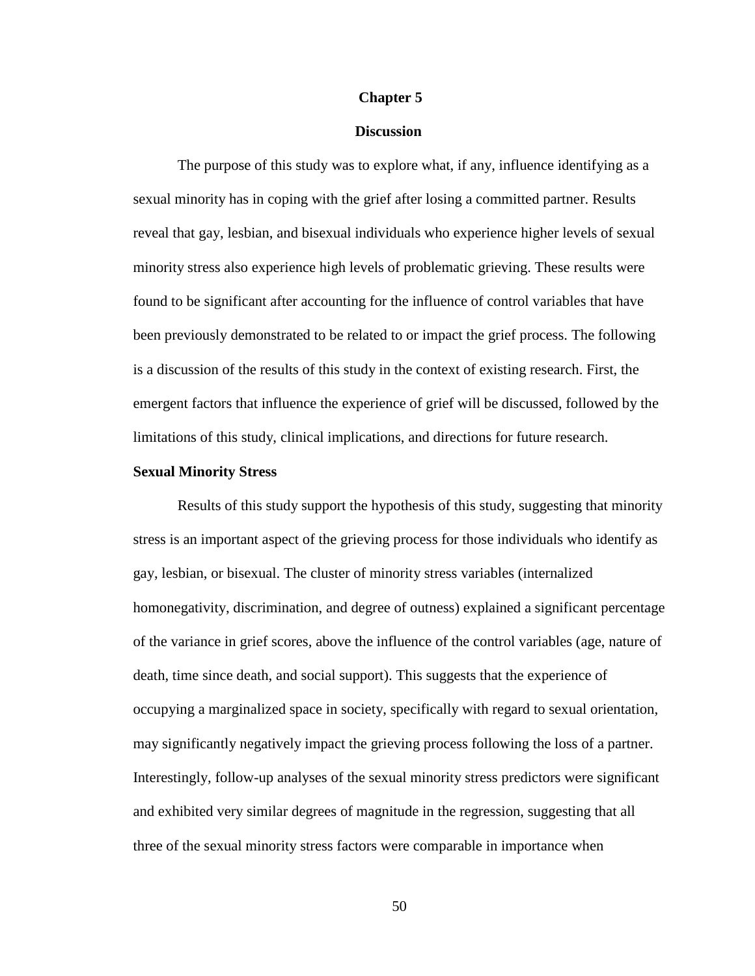# **Chapter 5**

# **Discussion**

The purpose of this study was to explore what, if any, influence identifying as a sexual minority has in coping with the grief after losing a committed partner. Results reveal that gay, lesbian, and bisexual individuals who experience higher levels of sexual minority stress also experience high levels of problematic grieving. These results were found to be significant after accounting for the influence of control variables that have been previously demonstrated to be related to or impact the grief process. The following is a discussion of the results of this study in the context of existing research. First, the emergent factors that influence the experience of grief will be discussed, followed by the limitations of this study, clinical implications, and directions for future research.

### **Sexual Minority Stress**

Results of this study support the hypothesis of this study, suggesting that minority stress is an important aspect of the grieving process for those individuals who identify as gay, lesbian, or bisexual. The cluster of minority stress variables (internalized homonegativity, discrimination, and degree of outness) explained a significant percentage of the variance in grief scores, above the influence of the control variables (age, nature of death, time since death, and social support). This suggests that the experience of occupying a marginalized space in society, specifically with regard to sexual orientation, may significantly negatively impact the grieving process following the loss of a partner. Interestingly, follow-up analyses of the sexual minority stress predictors were significant and exhibited very similar degrees of magnitude in the regression, suggesting that all three of the sexual minority stress factors were comparable in importance when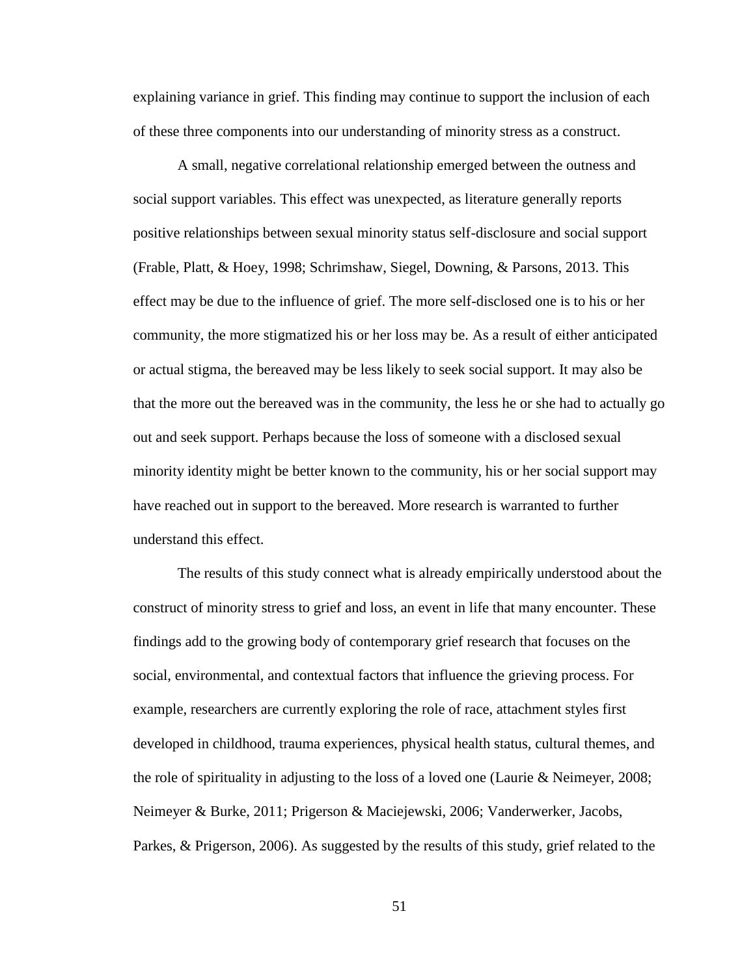explaining variance in grief. This finding may continue to support the inclusion of each of these three components into our understanding of minority stress as a construct.

A small, negative correlational relationship emerged between the outness and social support variables. This effect was unexpected, as literature generally reports positive relationships between sexual minority status self-disclosure and social support (Frable, Platt, & Hoey, 1998; Schrimshaw, Siegel, Downing, & Parsons, 2013. This effect may be due to the influence of grief. The more self-disclosed one is to his or her community, the more stigmatized his or her loss may be. As a result of either anticipated or actual stigma, the bereaved may be less likely to seek social support. It may also be that the more out the bereaved was in the community, the less he or she had to actually go out and seek support. Perhaps because the loss of someone with a disclosed sexual minority identity might be better known to the community, his or her social support may have reached out in support to the bereaved. More research is warranted to further understand this effect.

The results of this study connect what is already empirically understood about the construct of minority stress to grief and loss, an event in life that many encounter. These findings add to the growing body of contemporary grief research that focuses on the social, environmental, and contextual factors that influence the grieving process. For example, researchers are currently exploring the role of race, attachment styles first developed in childhood, trauma experiences, physical health status, cultural themes, and the role of spirituality in adjusting to the loss of a loved one (Laurie  $\&$  Neimeyer, 2008; Neimeyer & Burke, 2011; Prigerson & Maciejewski, 2006; Vanderwerker, Jacobs, Parkes, & Prigerson, 2006). As suggested by the results of this study, grief related to the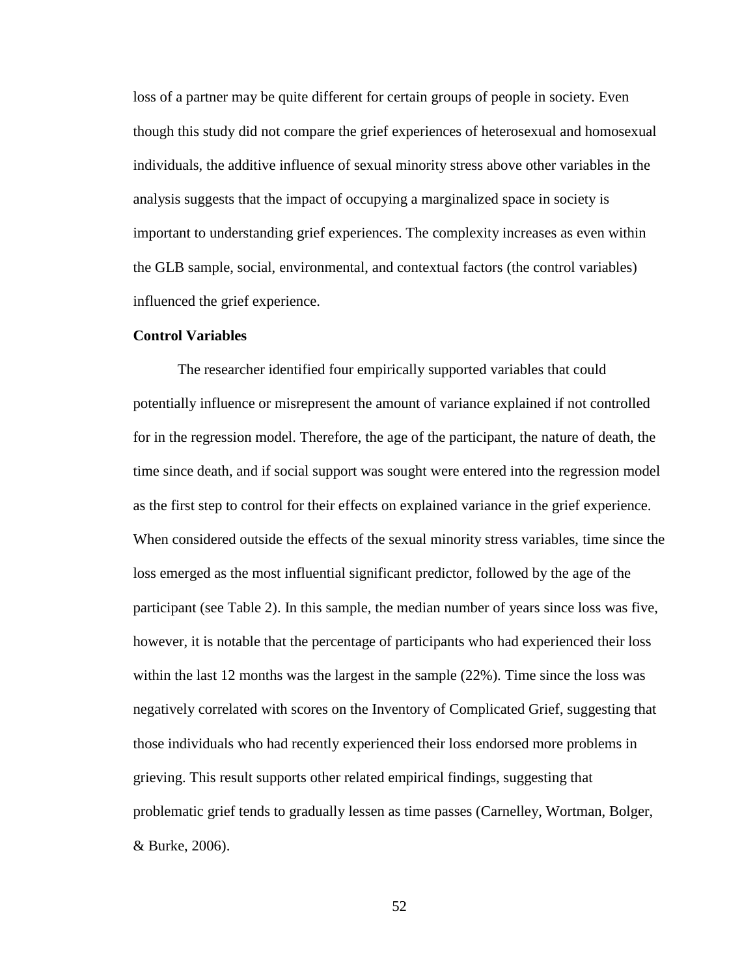loss of a partner may be quite different for certain groups of people in society. Even though this study did not compare the grief experiences of heterosexual and homosexual individuals, the additive influence of sexual minority stress above other variables in the analysis suggests that the impact of occupying a marginalized space in society is important to understanding grief experiences. The complexity increases as even within the GLB sample, social, environmental, and contextual factors (the control variables) influenced the grief experience.

# **Control Variables**

The researcher identified four empirically supported variables that could potentially influence or misrepresent the amount of variance explained if not controlled for in the regression model. Therefore, the age of the participant, the nature of death, the time since death, and if social support was sought were entered into the regression model as the first step to control for their effects on explained variance in the grief experience. When considered outside the effects of the sexual minority stress variables, time since the loss emerged as the most influential significant predictor, followed by the age of the participant (see Table 2). In this sample, the median number of years since loss was five, however, it is notable that the percentage of participants who had experienced their loss within the last 12 months was the largest in the sample (22%). Time since the loss was negatively correlated with scores on the Inventory of Complicated Grief, suggesting that those individuals who had recently experienced their loss endorsed more problems in grieving. This result supports other related empirical findings, suggesting that problematic grief tends to gradually lessen as time passes (Carnelley, Wortman, Bolger, & Burke, 2006).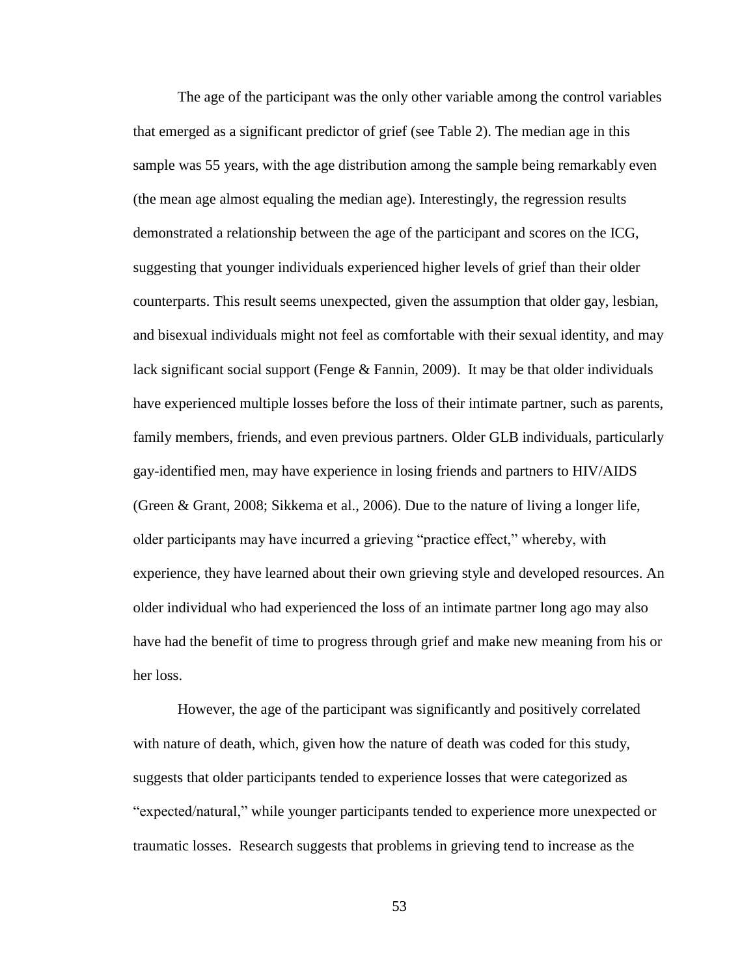The age of the participant was the only other variable among the control variables that emerged as a significant predictor of grief (see Table 2). The median age in this sample was 55 years, with the age distribution among the sample being remarkably even (the mean age almost equaling the median age). Interestingly, the regression results demonstrated a relationship between the age of the participant and scores on the ICG, suggesting that younger individuals experienced higher levels of grief than their older counterparts. This result seems unexpected, given the assumption that older gay, lesbian, and bisexual individuals might not feel as comfortable with their sexual identity, and may lack significant social support (Fenge  $& Fannin, 2009$ ). It may be that older individuals have experienced multiple losses before the loss of their intimate partner, such as parents, family members, friends, and even previous partners. Older GLB individuals, particularly gay-identified men, may have experience in losing friends and partners to HIV/AIDS (Green & Grant, 2008; Sikkema et al., 2006). Due to the nature of living a longer life, older participants may have incurred a grieving "practice effect," whereby, with experience, they have learned about their own grieving style and developed resources. An older individual who had experienced the loss of an intimate partner long ago may also have had the benefit of time to progress through grief and make new meaning from his or her loss.

However, the age of the participant was significantly and positively correlated with nature of death, which, given how the nature of death was coded for this study, suggests that older participants tended to experience losses that were categorized as "expected/natural," while younger participants tended to experience more unexpected or traumatic losses. Research suggests that problems in grieving tend to increase as the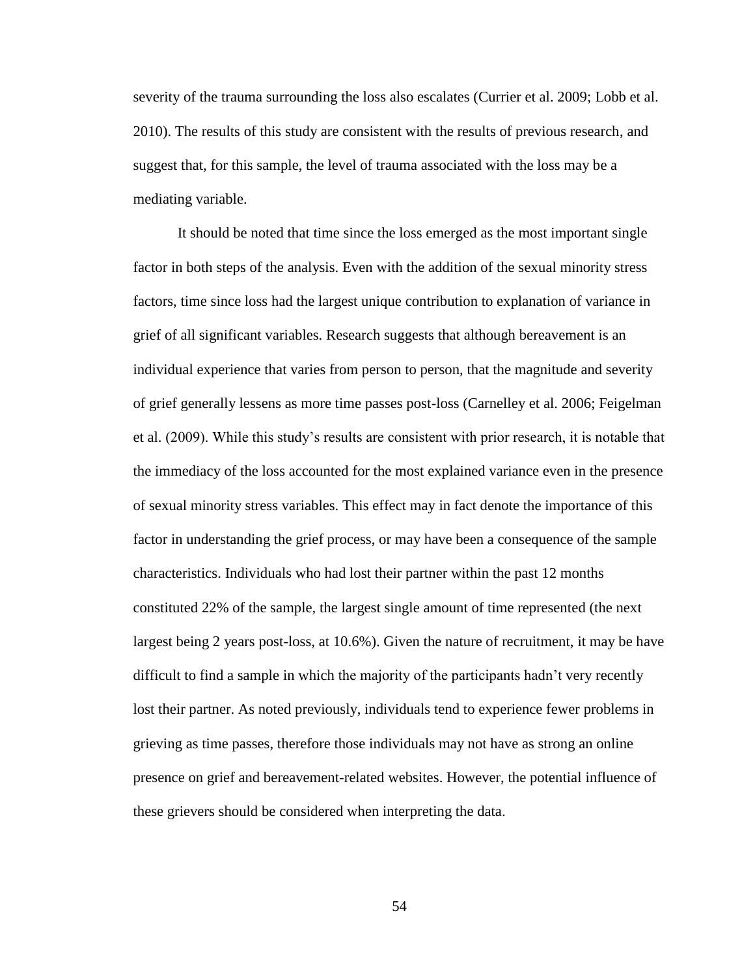severity of the trauma surrounding the loss also escalates (Currier et al. 2009; Lobb et al. 2010). The results of this study are consistent with the results of previous research, and suggest that, for this sample, the level of trauma associated with the loss may be a mediating variable.

It should be noted that time since the loss emerged as the most important single factor in both steps of the analysis. Even with the addition of the sexual minority stress factors, time since loss had the largest unique contribution to explanation of variance in grief of all significant variables. Research suggests that although bereavement is an individual experience that varies from person to person, that the magnitude and severity of grief generally lessens as more time passes post-loss (Carnelley et al. 2006; Feigelman et al. (2009). While this study's results are consistent with prior research, it is notable that the immediacy of the loss accounted for the most explained variance even in the presence of sexual minority stress variables. This effect may in fact denote the importance of this factor in understanding the grief process, or may have been a consequence of the sample characteristics. Individuals who had lost their partner within the past 12 months constituted 22% of the sample, the largest single amount of time represented (the next largest being 2 years post-loss, at 10.6%). Given the nature of recruitment, it may be have difficult to find a sample in which the majority of the participants hadn't very recently lost their partner. As noted previously, individuals tend to experience fewer problems in grieving as time passes, therefore those individuals may not have as strong an online presence on grief and bereavement-related websites. However, the potential influence of these grievers should be considered when interpreting the data.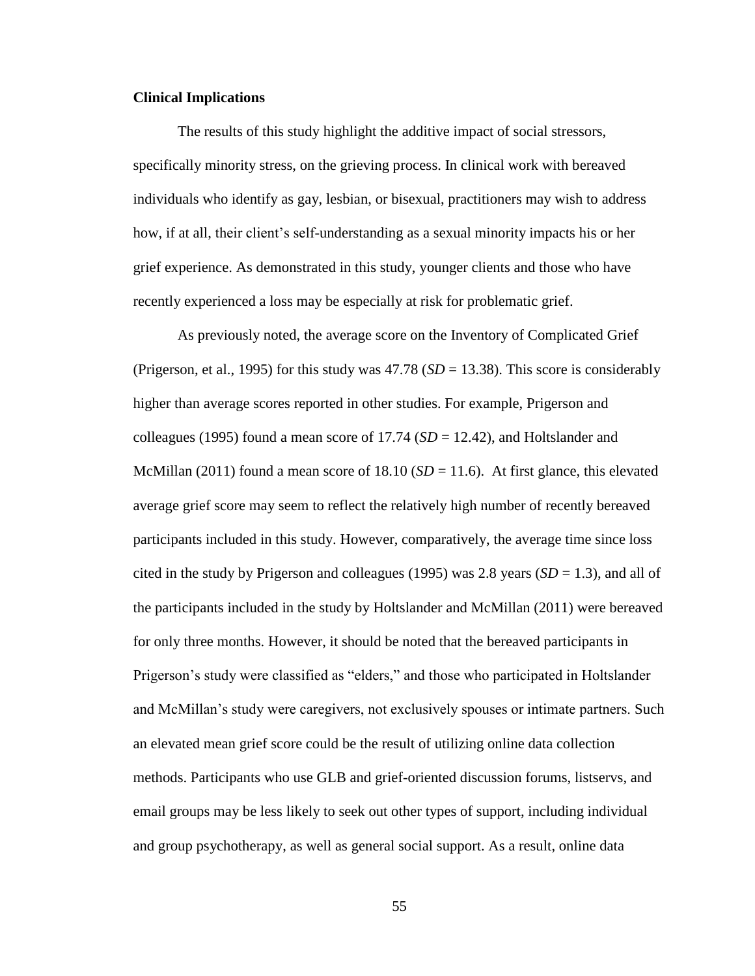# **Clinical Implications**

The results of this study highlight the additive impact of social stressors, specifically minority stress, on the grieving process. In clinical work with bereaved individuals who identify as gay, lesbian, or bisexual, practitioners may wish to address how, if at all, their client's self-understanding as a sexual minority impacts his or her grief experience. As demonstrated in this study, younger clients and those who have recently experienced a loss may be especially at risk for problematic grief.

As previously noted, the average score on the Inventory of Complicated Grief (Prigerson, et al., 1995) for this study was  $47.78$  ( $SD = 13.38$ ). This score is considerably higher than average scores reported in other studies. For example, Prigerson and colleagues (1995) found a mean score of 17.74 (*SD* = 12.42), and Holtslander and McMillan (2011) found a mean score of 18.10 ( $SD = 11.6$ ). At first glance, this elevated average grief score may seem to reflect the relatively high number of recently bereaved participants included in this study. However, comparatively, the average time since loss cited in the study by Prigerson and colleagues (1995) was 2.8 years ( $SD = 1.3$ ), and all of the participants included in the study by Holtslander and McMillan (2011) were bereaved for only three months. However, it should be noted that the bereaved participants in Prigerson's study were classified as "elders," and those who participated in Holtslander and McMillan's study were caregivers, not exclusively spouses or intimate partners. Such an elevated mean grief score could be the result of utilizing online data collection methods. Participants who use GLB and grief-oriented discussion forums, listservs, and email groups may be less likely to seek out other types of support, including individual and group psychotherapy, as well as general social support. As a result, online data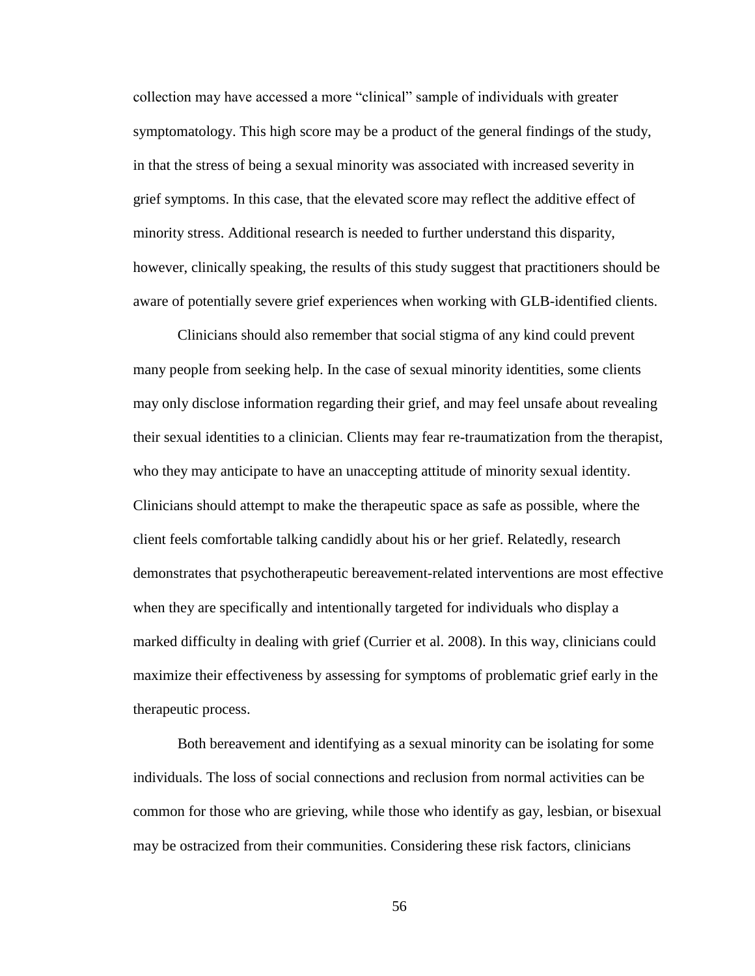collection may have accessed a more "clinical" sample of individuals with greater symptomatology. This high score may be a product of the general findings of the study, in that the stress of being a sexual minority was associated with increased severity in grief symptoms. In this case, that the elevated score may reflect the additive effect of minority stress. Additional research is needed to further understand this disparity, however, clinically speaking, the results of this study suggest that practitioners should be aware of potentially severe grief experiences when working with GLB-identified clients.

Clinicians should also remember that social stigma of any kind could prevent many people from seeking help. In the case of sexual minority identities, some clients may only disclose information regarding their grief, and may feel unsafe about revealing their sexual identities to a clinician. Clients may fear re-traumatization from the therapist, who they may anticipate to have an unaccepting attitude of minority sexual identity. Clinicians should attempt to make the therapeutic space as safe as possible, where the client feels comfortable talking candidly about his or her grief. Relatedly, research demonstrates that psychotherapeutic bereavement-related interventions are most effective when they are specifically and intentionally targeted for individuals who display a marked difficulty in dealing with grief (Currier et al. 2008). In this way, clinicians could maximize their effectiveness by assessing for symptoms of problematic grief early in the therapeutic process.

Both bereavement and identifying as a sexual minority can be isolating for some individuals. The loss of social connections and reclusion from normal activities can be common for those who are grieving, while those who identify as gay, lesbian, or bisexual may be ostracized from their communities. Considering these risk factors, clinicians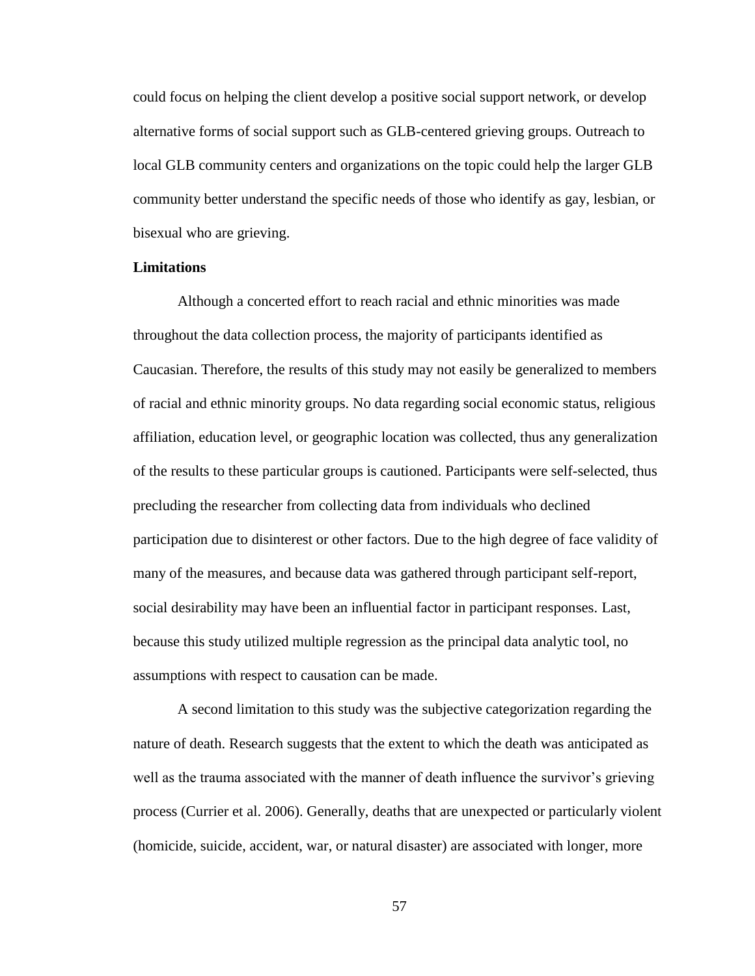could focus on helping the client develop a positive social support network, or develop alternative forms of social support such as GLB-centered grieving groups. Outreach to local GLB community centers and organizations on the topic could help the larger GLB community better understand the specific needs of those who identify as gay, lesbian, or bisexual who are grieving.

# **Limitations**

Although a concerted effort to reach racial and ethnic minorities was made throughout the data collection process, the majority of participants identified as Caucasian. Therefore, the results of this study may not easily be generalized to members of racial and ethnic minority groups. No data regarding social economic status, religious affiliation, education level, or geographic location was collected, thus any generalization of the results to these particular groups is cautioned. Participants were self-selected, thus precluding the researcher from collecting data from individuals who declined participation due to disinterest or other factors. Due to the high degree of face validity of many of the measures, and because data was gathered through participant self-report, social desirability may have been an influential factor in participant responses. Last, because this study utilized multiple regression as the principal data analytic tool, no assumptions with respect to causation can be made.

A second limitation to this study was the subjective categorization regarding the nature of death. Research suggests that the extent to which the death was anticipated as well as the trauma associated with the manner of death influence the survivor's grieving process (Currier et al. 2006). Generally, deaths that are unexpected or particularly violent (homicide, suicide, accident, war, or natural disaster) are associated with longer, more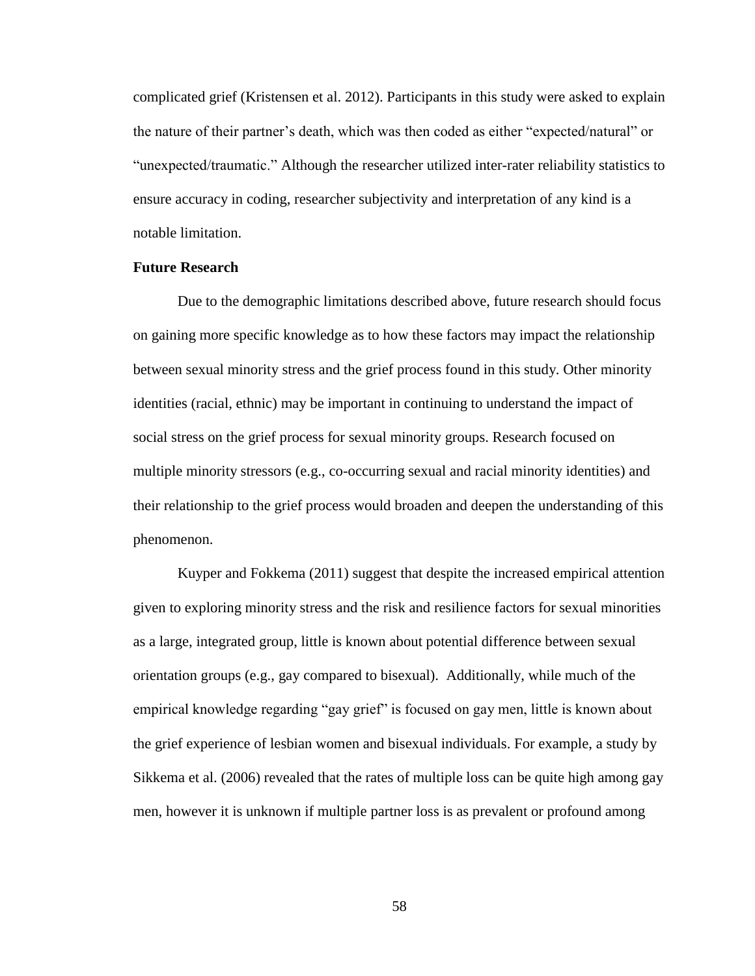complicated grief (Kristensen et al. 2012). Participants in this study were asked to explain the nature of their partner's death, which was then coded as either "expected/natural" or "unexpected/traumatic." Although the researcher utilized inter-rater reliability statistics to ensure accuracy in coding, researcher subjectivity and interpretation of any kind is a notable limitation.

# **Future Research**

Due to the demographic limitations described above, future research should focus on gaining more specific knowledge as to how these factors may impact the relationship between sexual minority stress and the grief process found in this study. Other minority identities (racial, ethnic) may be important in continuing to understand the impact of social stress on the grief process for sexual minority groups. Research focused on multiple minority stressors (e.g., co-occurring sexual and racial minority identities) and their relationship to the grief process would broaden and deepen the understanding of this phenomenon.

Kuyper and Fokkema (2011) suggest that despite the increased empirical attention given to exploring minority stress and the risk and resilience factors for sexual minorities as a large, integrated group, little is known about potential difference between sexual orientation groups (e.g., gay compared to bisexual). Additionally, while much of the empirical knowledge regarding "gay grief" is focused on gay men, little is known about the grief experience of lesbian women and bisexual individuals. For example, a study by Sikkema et al. (2006) revealed that the rates of multiple loss can be quite high among gay men, however it is unknown if multiple partner loss is as prevalent or profound among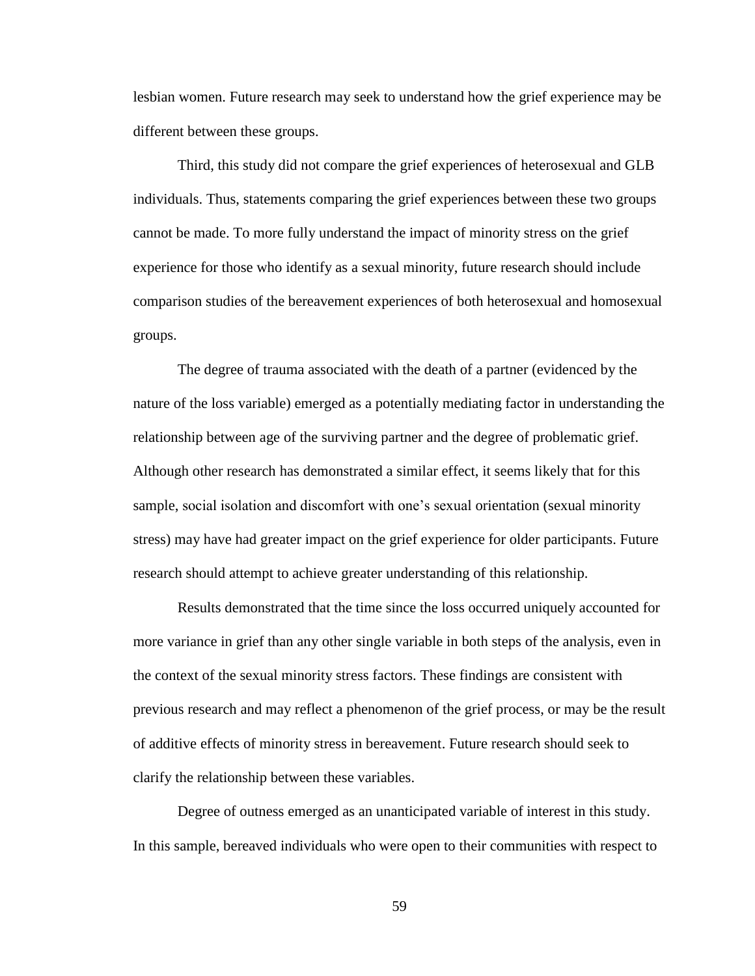lesbian women. Future research may seek to understand how the grief experience may be different between these groups.

Third, this study did not compare the grief experiences of heterosexual and GLB individuals. Thus, statements comparing the grief experiences between these two groups cannot be made. To more fully understand the impact of minority stress on the grief experience for those who identify as a sexual minority, future research should include comparison studies of the bereavement experiences of both heterosexual and homosexual groups.

The degree of trauma associated with the death of a partner (evidenced by the nature of the loss variable) emerged as a potentially mediating factor in understanding the relationship between age of the surviving partner and the degree of problematic grief. Although other research has demonstrated a similar effect, it seems likely that for this sample, social isolation and discomfort with one's sexual orientation (sexual minority stress) may have had greater impact on the grief experience for older participants. Future research should attempt to achieve greater understanding of this relationship.

Results demonstrated that the time since the loss occurred uniquely accounted for more variance in grief than any other single variable in both steps of the analysis, even in the context of the sexual minority stress factors. These findings are consistent with previous research and may reflect a phenomenon of the grief process, or may be the result of additive effects of minority stress in bereavement. Future research should seek to clarify the relationship between these variables.

Degree of outness emerged as an unanticipated variable of interest in this study. In this sample, bereaved individuals who were open to their communities with respect to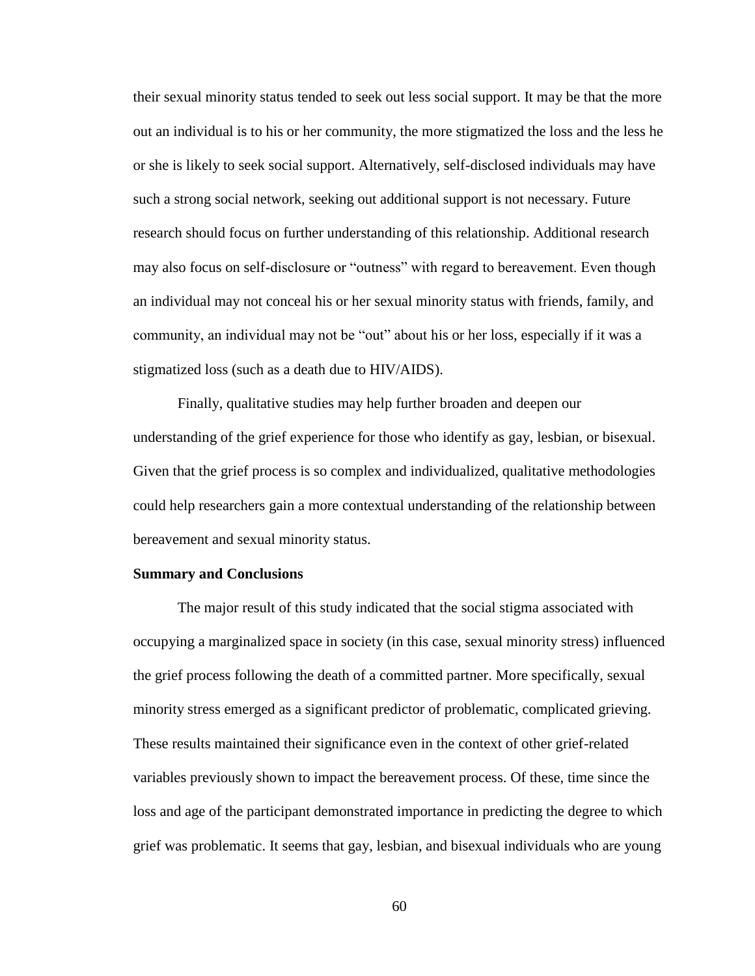their sexual minority status tended to seek out less social support. It may be that the more out an individual is to his or her community, the more stigmatized the loss and the less he or she is likely to seek social support. Alternatively, self-disclosed individuals may have such a strong social network, seeking out additional support is not necessary. Future research should focus on further understanding of this relationship. Additional research may also focus on self-disclosure or "outness" with regard to bereavement. Even though an individual may not conceal his or her sexual minority status with friends, family, and community, an individual may not be "out" about his or her loss, especially if it was a stigmatized loss (such as a death due to HIV/AIDS).

Finally, qualitative studies may help further broaden and deepen our understanding of the grief experience for those who identify as gay, lesbian, or bisexual. Given that the grief process is so complex and individualized, qualitative methodologies could help researchers gain a more contextual understanding of the relationship between bereavement and sexual minority status.

# **Summary and Conclusions**

The major result of this study indicated that the social stigma associated with occupying a marginalized space in society (in this case, sexual minority stress) influenced the grief process following the death of a committed partner. More specifically, sexual minority stress emerged as a significant predictor of problematic, complicated grieving. These results maintained their significance even in the context of other grief-related variables previously shown to impact the bereavement process. Of these, time since the loss and age of the participant demonstrated importance in predicting the degree to which grief was problematic. It seems that gay, lesbian, and bisexual individuals who are young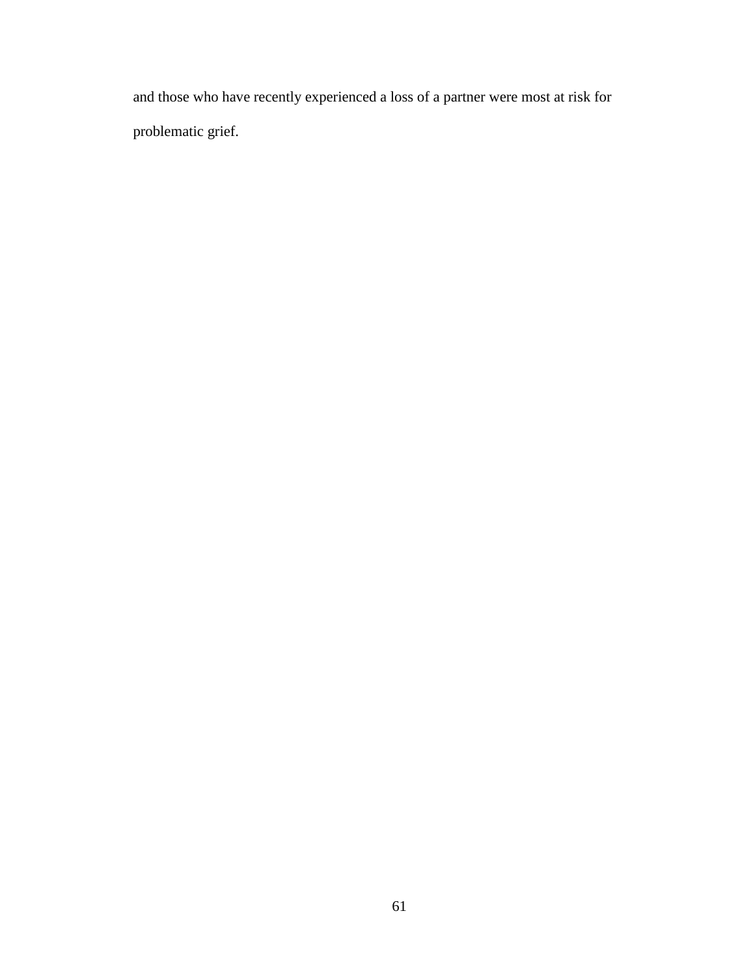and those who have recently experienced a loss of a partner were most at risk for problematic grief.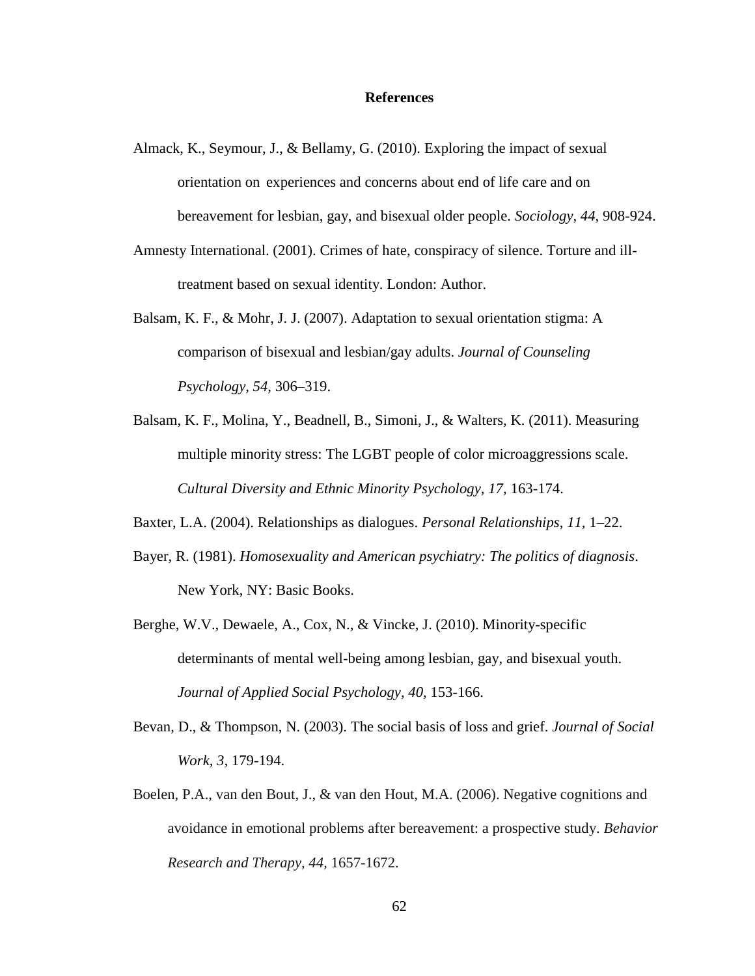# **References**

- Almack, K., Seymour, J., & Bellamy, G. (2010). Exploring the impact of sexual orientation on experiences and concerns about end of life care and on bereavement for lesbian, gay, and bisexual older people. *Sociology, 44,* 908-924.
- Amnesty International. (2001). Crimes of hate, conspiracy of silence. Torture and illtreatment based on sexual identity. London: Author.
- Balsam, K. F., & Mohr, J. J. (2007). Adaptation to sexual orientation stigma: A comparison of bisexual and lesbian/gay adults. *Journal of Counseling Psychology, 54,* 306–319.
- Balsam, K. F., Molina, Y., Beadnell, B., Simoni, J., & Walters, K. (2011). Measuring multiple minority stress: The LGBT people of color microaggressions scale. *Cultural Diversity and Ethnic Minority Psychology, 17,* 163-174.
- Baxter, L.A. (2004). Relationships as dialogues. *Personal Relationships*, *11,* 1–22.
- Bayer, R. (1981). *Homosexuality and American psychiatry: The politics of diagnosis*. New York, NY: Basic Books.
- Berghe, W.V., Dewaele, A., Cox, N., & Vincke, J. (2010). Minority-specific determinants of mental well-being among lesbian, gay, and bisexual youth. *Journal of Applied Social Psychology, 40,* 153-166.
- Bevan, D., & Thompson, N. (2003). The social basis of loss and grief. *Journal of Social Work, 3,* 179-194.
- Boelen, P.A., van den Bout, J., & van den Hout, M.A. (2006). Negative cognitions and avoidance in emotional problems after bereavement: a prospective study. *Behavior Research and Therapy, 44,* 1657-1672.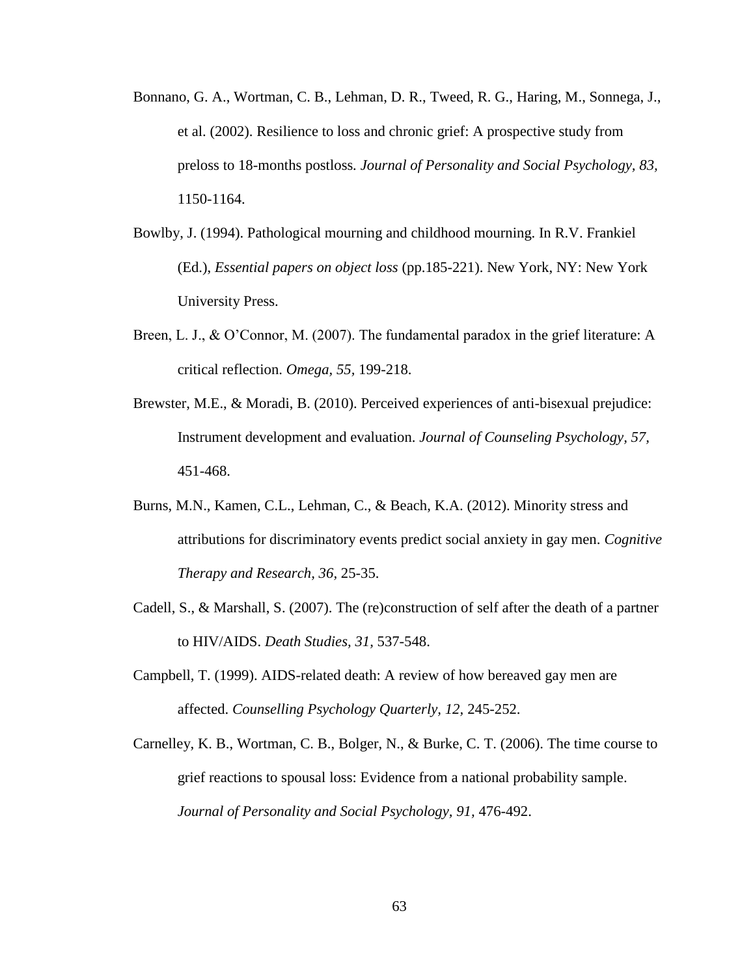- Bonnano, G. A., Wortman, C. B., Lehman, D. R., Tweed, R. G., Haring, M., Sonnega, J., et al. (2002). Resilience to loss and chronic grief: A prospective study from preloss to 18-months postloss*. Journal of Personality and Social Psychology, 83,* 1150-1164.
- Bowlby, J. (1994). Pathological mourning and childhood mourning. In R.V. Frankiel (Ed.), *Essential papers on object loss* (pp.185-221). New York, NY: New York University Press.
- Breen, L. J., & O'Connor, M. (2007). The fundamental paradox in the grief literature: A critical reflection. *Omega, 55,* 199-218.
- Brewster, M.E., & Moradi, B. (2010). Perceived experiences of anti-bisexual prejudice: Instrument development and evaluation. *Journal of Counseling Psychology, 57,* 451-468.
- Burns, M.N., Kamen, C.L., Lehman, C., & Beach, K.A. (2012). Minority stress and attributions for discriminatory events predict social anxiety in gay men. *Cognitive Therapy and Research, 36,* 25-35.
- Cadell, S., & Marshall, S. (2007). The (re)construction of self after the death of a partner to HIV/AIDS. *Death Studies, 31,* 537-548.
- Campbell, T. (1999). AIDS-related death: A review of how bereaved gay men are affected. *Counselling Psychology Quarterly, 12,* 245-252.
- Carnelley, K. B., Wortman, C. B., Bolger, N., & Burke, C. T. (2006). The time course to grief reactions to spousal loss: Evidence from a national probability sample. *Journal of Personality and Social Psychology, 91,* 476-492.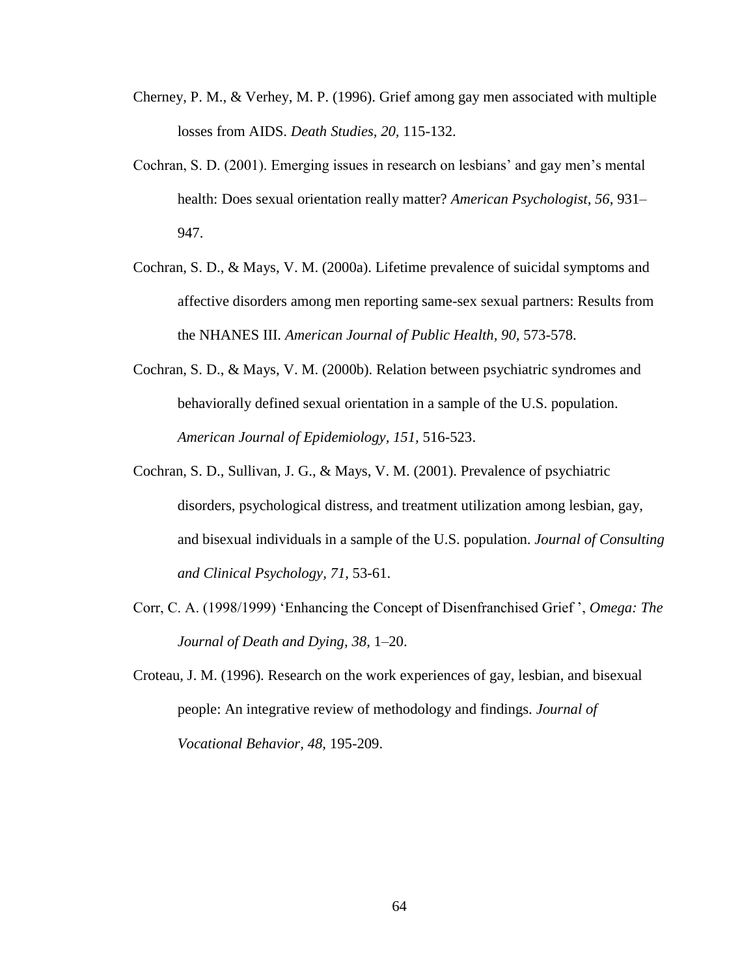- Cherney, P. M., & Verhey, M. P. (1996). Grief among gay men associated with multiple losses from AIDS. *Death Studies, 20,* 115-132.
- Cochran, S. D. (2001). Emerging issues in research on lesbians' and gay men's mental health: Does sexual orientation really matter? *American Psychologist, 56,* 931– 947.
- Cochran, S. D., & Mays, V. M. (2000a). Lifetime prevalence of suicidal symptoms and affective disorders among men reporting same-sex sexual partners: Results from the NHANES III. *American Journal of Public Health, 90,* 573-578.
- Cochran, S. D., & Mays, V. M. (2000b). Relation between psychiatric syndromes and behaviorally defined sexual orientation in a sample of the U.S. population. *American Journal of Epidemiology, 151,* 516-523.
- Cochran, S. D., Sullivan, J. G., & Mays, V. M. (2001). Prevalence of psychiatric disorders, psychological distress, and treatment utilization among lesbian, gay, and bisexual individuals in a sample of the U.S. population. *Journal of Consulting and Clinical Psychology, 71,* 53-61.
- Corr, C. A. (1998/1999) 'Enhancing the Concept of Disenfranchised Grief ', *Omega: The Journal of Death and Dying, 38*, 1–20.
- Croteau, J. M. (1996). Research on the work experiences of gay, lesbian, and bisexual people: An integrative review of methodology and findings. *Journal of Vocational Behavior, 48,* 195-209.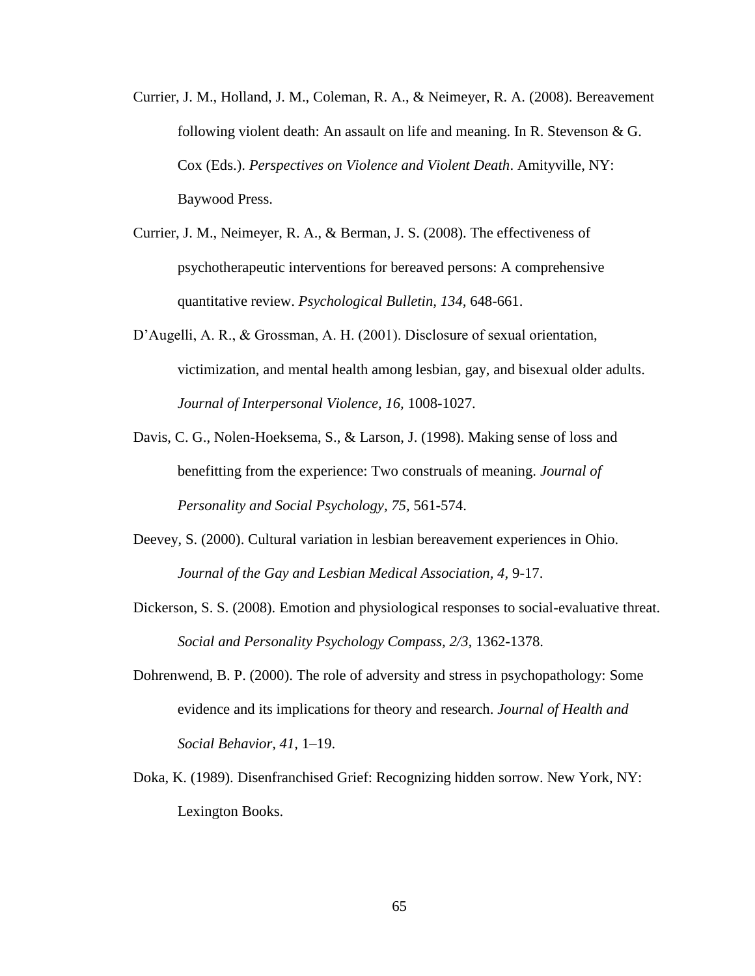- Currier, J. M., Holland, J. M., Coleman, R. A., & Neimeyer, R. A. (2008). Bereavement following violent death: An assault on life and meaning. In R. Stevenson & G. Cox (Eds.). *Perspectives on Violence and Violent Death*. Amityville, NY: Baywood Press.
- Currier, J. M., Neimeyer, R. A., & Berman, J. S. (2008). The effectiveness of psychotherapeutic interventions for bereaved persons: A comprehensive quantitative review. *Psychological Bulletin, 134,* 648-661.
- D'Augelli, A. R., & Grossman, A. H. (2001). Disclosure of sexual orientation, victimization, and mental health among lesbian, gay, and bisexual older adults. *Journal of Interpersonal Violence, 16,* 1008-1027.
- Davis, C. G., Nolen-Hoeksema, S., & Larson, J. (1998). Making sense of loss and benefitting from the experience: Two construals of meaning. *Journal of Personality and Social Psychology, 75,* 561-574.
- Deevey, S. (2000). Cultural variation in lesbian bereavement experiences in Ohio. *Journal of the Gay and Lesbian Medical Association, 4,* 9-17.
- Dickerson, S. S. (2008). Emotion and physiological responses to social-evaluative threat. *Social and Personality Psychology Compass, 2/3,* 1362-1378.
- Dohrenwend, B. P. (2000). The role of adversity and stress in psychopathology: Some evidence and its implications for theory and research. *Journal of Health and Social Behavior, 41,* 1–19.
- Doka, K. (1989). Disenfranchised Grief: Recognizing hidden sorrow. New York, NY: Lexington Books.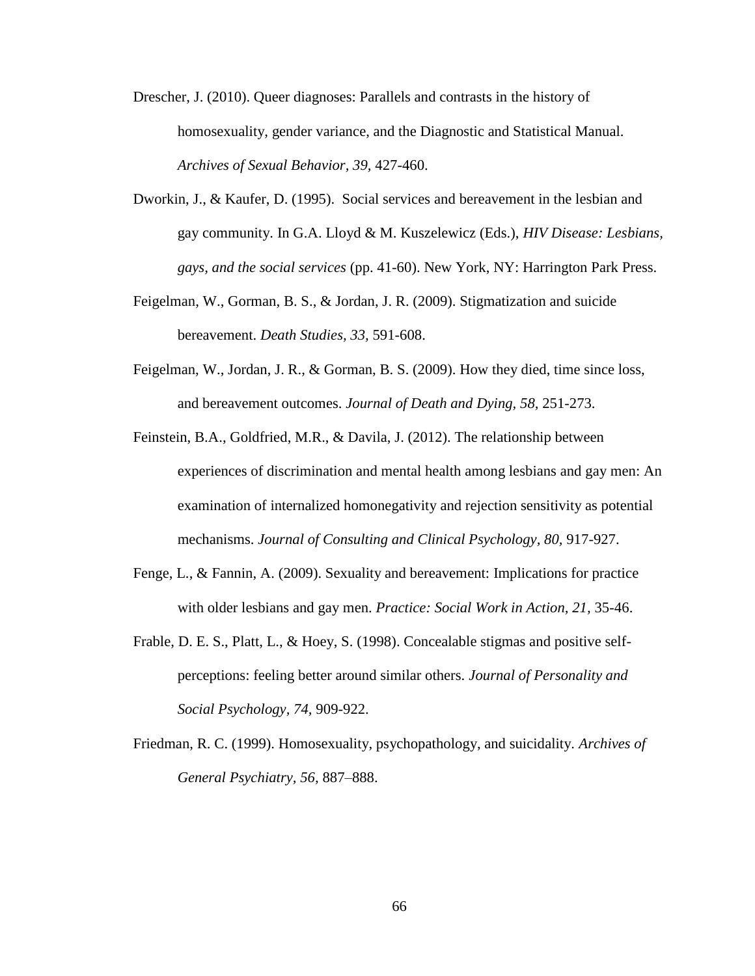- Drescher, J. (2010). Queer diagnoses: Parallels and contrasts in the history of homosexuality, gender variance, and the Diagnostic and Statistical Manual. *Archives of Sexual Behavior, 39,* 427-460.
- Dworkin, J., & Kaufer, D. (1995). Social services and bereavement in the lesbian and gay community. In G.A. Lloyd & M. Kuszelewicz (Eds.), *HIV Disease: Lesbians, gays, and the social services* (pp. 41-60). New York, NY: Harrington Park Press.
- Feigelman, W., Gorman, B. S., & Jordan, J. R. (2009). Stigmatization and suicide bereavement. *Death Studies, 33,* 591-608.
- Feigelman, W., Jordan, J. R., & Gorman, B. S. (2009). How they died, time since loss, and bereavement outcomes. *Journal of Death and Dying, 58,* 251-273.
- Feinstein, B.A., Goldfried, M.R., & Davila, J. (2012). The relationship between experiences of discrimination and mental health among lesbians and gay men: An examination of internalized homonegativity and rejection sensitivity as potential mechanisms. *Journal of Consulting and Clinical Psychology, 80,* 917-927.
- Fenge, L., & Fannin, A. (2009). Sexuality and bereavement: Implications for practice with older lesbians and gay men. *Practice: Social Work in Action, 21,* 35-46.
- Frable, D. E. S., Platt, L., & Hoey, S. (1998). Concealable stigmas and positive selfperceptions: feeling better around similar others. *Journal of Personality and Social Psychology, 74,* 909-922.
- Friedman, R. C. (1999). Homosexuality, psychopathology, and suicidality. *Archives of General Psychiatry, 56,* 887–888.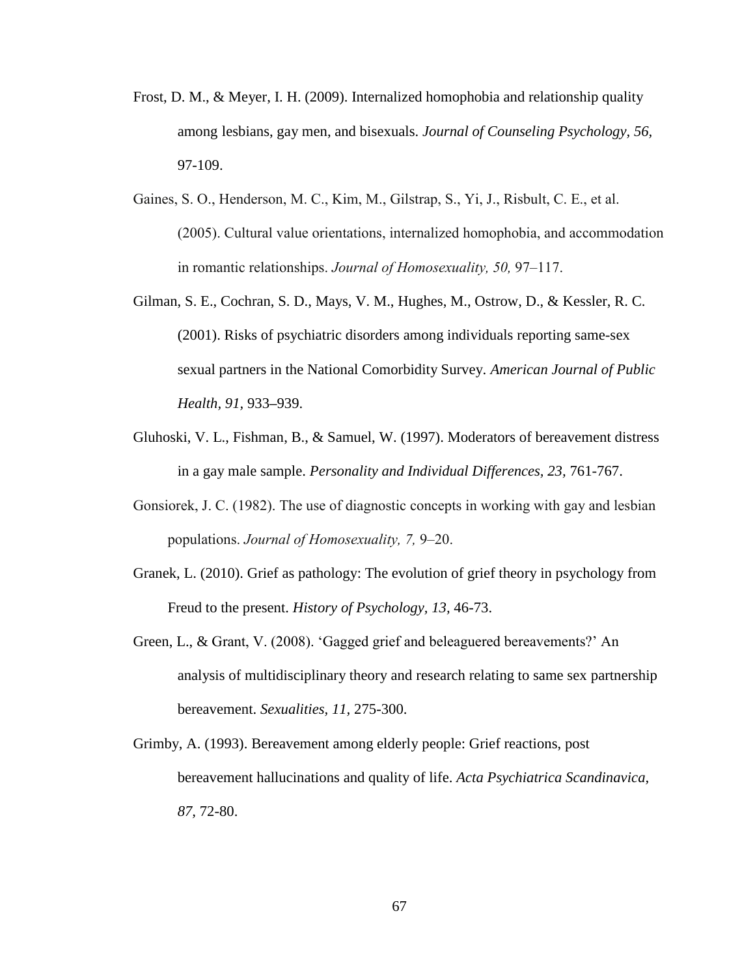- Frost, D. M., & Meyer, I. H. (2009). Internalized homophobia and relationship quality among lesbians, gay men, and bisexuals. *Journal of Counseling Psychology, 56,*  97-109.
- Gaines, S. O., Henderson, M. C., Kim, M., Gilstrap, S., Yi, J., Risbult, C. E., et al. (2005). Cultural value orientations, internalized homophobia, and accommodation in romantic relationships. *Journal of Homosexuality, 50,* 97–117.
- Gilman, S. E., Cochran, S. D., Mays, V. M., Hughes, M., Ostrow, D., & Kessler, R. C. (2001). Risks of psychiatric disorders among individuals reporting same-sex sexual partners in the National Comorbidity Survey. *American Journal of Public Health, 91,* 933**–**939.
- Gluhoski, V. L., Fishman, B., & Samuel, W. (1997). Moderators of bereavement distress in a gay male sample. *Personality and Individual Differences, 23,* 761-767.
- Gonsiorek, J. C. (1982). The use of diagnostic concepts in working with gay and lesbian populations. *Journal of Homosexuality, 7,* 9–20.
- Granek, L. (2010). Grief as pathology: The evolution of grief theory in psychology from Freud to the present. *History of Psychology, 13,* 46-73.
- Green, L., & Grant, V. (2008). 'Gagged grief and beleaguered bereavements?' An analysis of multidisciplinary theory and research relating to same sex partnership bereavement. *Sexualities, 11,* 275-300.
- Grimby, A. (1993). Bereavement among elderly people: Grief reactions, post bereavement hallucinations and quality of life. *Acta Psychiatrica Scandinavica, 87,* 72-80.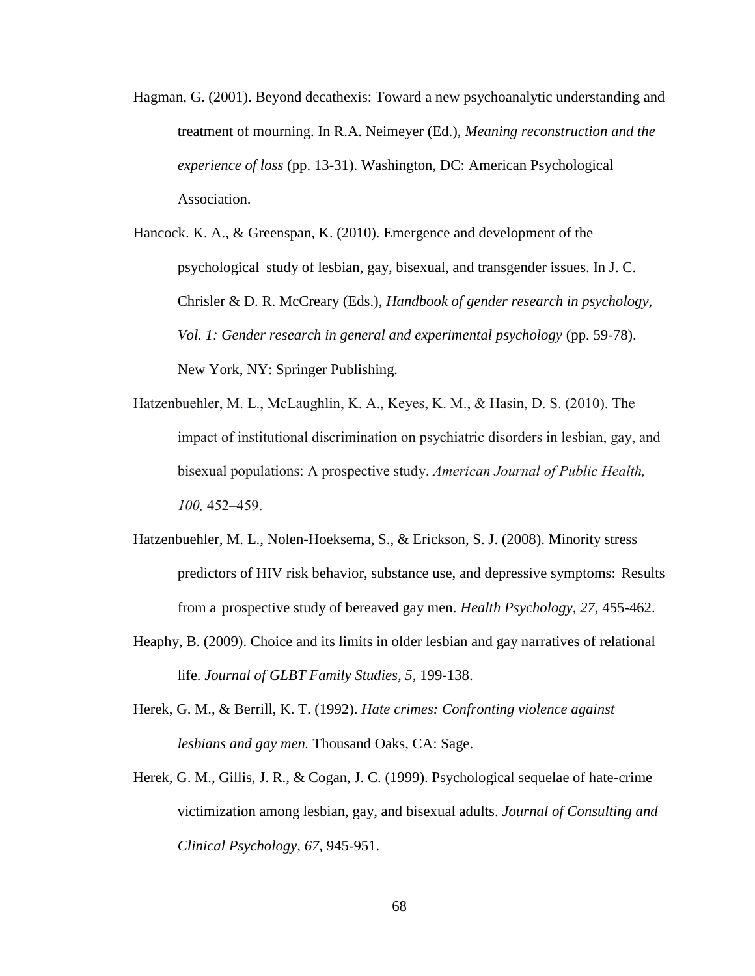- Hagman, G. (2001). Beyond decathexis: Toward a new psychoanalytic understanding and treatment of mourning. In R.A. Neimeyer (Ed.), *Meaning reconstruction and the experience of loss* (pp. 13-31). Washington, DC: American Psychological Association.
- Hancock. K. A., & Greenspan, K. (2010). Emergence and development of the psychological study of lesbian, gay, bisexual, and transgender issues. In J. C. Chrisler & D. R. McCreary (Eds.), *Handbook of gender research in psychology, Vol. 1: Gender research in general and experimental psychology* (pp. 59-78). New York, NY: Springer Publishing.
- Hatzenbuehler, M. L., McLaughlin, K. A., Keyes, K. M., & Hasin, D. S. (2010). The impact of institutional discrimination on psychiatric disorders in lesbian, gay, and bisexual populations: A prospective study. *American Journal of Public Health, 100,* 452–459.
- Hatzenbuehler, M. L., Nolen-Hoeksema, S., & Erickson, S. J. (2008). Minority stress predictors of HIV risk behavior, substance use, and depressive symptoms: Results from a prospective study of bereaved gay men. *Health Psychology, 27,* 455-462.
- Heaphy, B. (2009). Choice and its limits in older lesbian and gay narratives of relational life. *Journal of GLBT Family Studies, 5,* 199-138.
- Herek, G. M., & Berrill, K. T. (1992). *Hate crimes: Confronting violence against lesbians and gay men.* Thousand Oaks, CA: Sage.
- Herek, G. M., Gillis, J. R., & Cogan, J. C. (1999). Psychological sequelae of hate-crime victimization among lesbian, gay, and bisexual adults. *Journal of Consulting and Clinical Psychology, 67,* 945-951.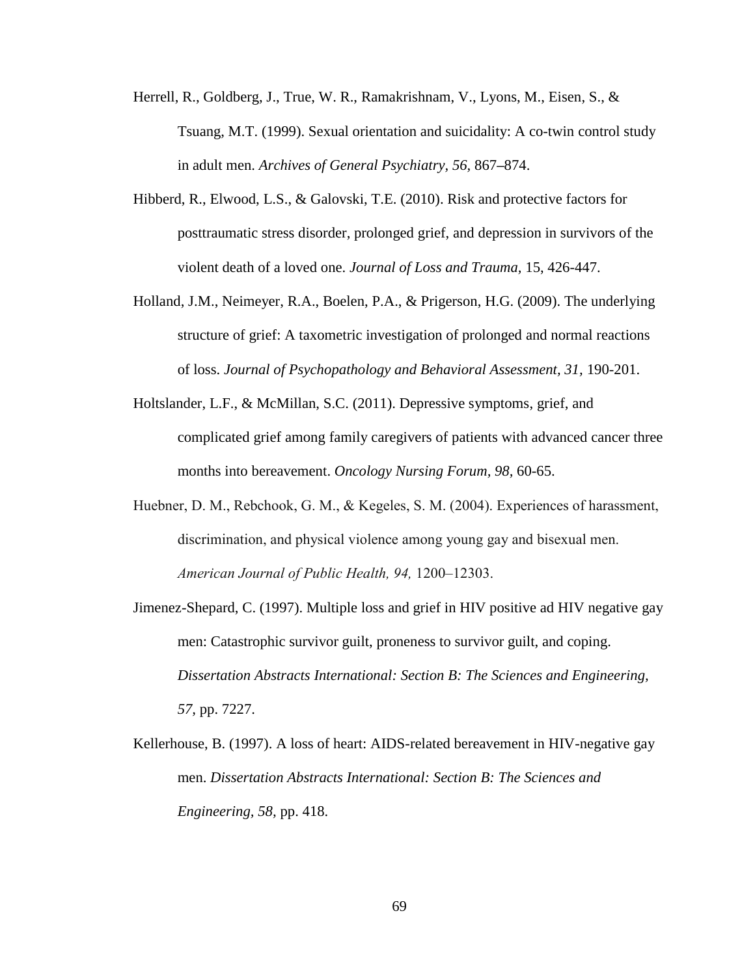- Herrell, R., Goldberg, J., True, W. R., Ramakrishnam, V., Lyons, M., Eisen, S., & Tsuang, M.T. (1999). Sexual orientation and suicidality: A co-twin control study in adult men. *Archives of General Psychiatry, 56,* 867**–**874.
- Hibberd, R., Elwood, L.S., & Galovski, T.E. (2010). Risk and protective factors for posttraumatic stress disorder, prolonged grief, and depression in survivors of the violent death of a loved one. *Journal of Loss and Trauma,* 15, 426-447.
- Holland, J.M., Neimeyer, R.A., Boelen, P.A., & Prigerson, H.G. (2009). The underlying structure of grief: A taxometric investigation of prolonged and normal reactions of loss. *Journal of Psychopathology and Behavioral Assessment, 31,* 190-201.
- Holtslander, L.F., & McMillan, S.C. (2011). Depressive symptoms, grief, and complicated grief among family caregivers of patients with advanced cancer three months into bereavement. *Oncology Nursing Forum, 98,* 60-65.
- Huebner, D. M., Rebchook, G. M., & Kegeles, S. M. (2004). Experiences of harassment, discrimination, and physical violence among young gay and bisexual men. *American Journal of Public Health, 94,* 1200–12303.
- Jimenez-Shepard, C. (1997). Multiple loss and grief in HIV positive ad HIV negative gay men: Catastrophic survivor guilt, proneness to survivor guilt, and coping. *Dissertation Abstracts International: Section B: The Sciences and Engineering, 57,* pp. 7227.
- Kellerhouse, B. (1997). A loss of heart: AIDS-related bereavement in HIV-negative gay men. *Dissertation Abstracts International: Section B: The Sciences and Engineering, 58,* pp. 418.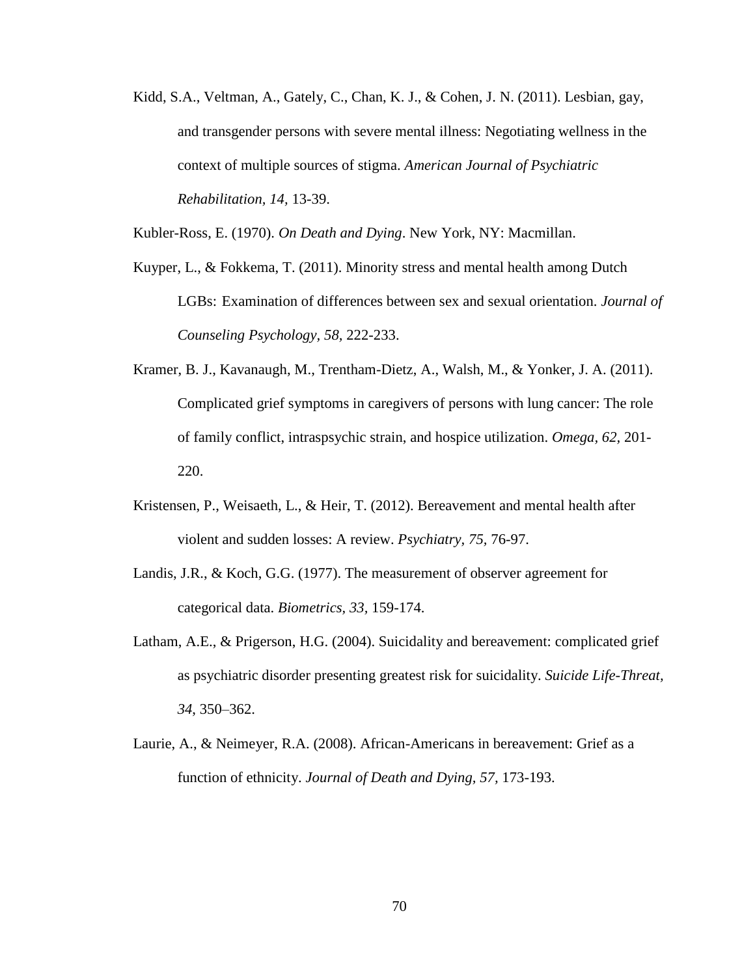Kidd, S.A., Veltman, A., Gately, C., Chan, K. J., & Cohen, J. N. (2011). Lesbian, gay, and transgender persons with severe mental illness: Negotiating wellness in the context of multiple sources of stigma. *American Journal of Psychiatric Rehabilitation, 14,* 13-39.

Kubler-Ross, E. (1970). *On Death and Dying*. New York, NY: Macmillan.

- Kuyper, L., & Fokkema, T. (2011). Minority stress and mental health among Dutch LGBs: Examination of differences between sex and sexual orientation. *Journal of Counseling Psychology, 58,* 222-233.
- Kramer, B. J., Kavanaugh, M., Trentham-Dietz, A., Walsh, M., & Yonker, J. A. (2011). Complicated grief symptoms in caregivers of persons with lung cancer: The role of family conflict, intraspsychic strain, and hospice utilization. *Omega, 62,* 201- 220.
- Kristensen, P., Weisaeth, L., & Heir, T. (2012). Bereavement and mental health after violent and sudden losses: A review. *Psychiatry, 75,* 76-97.
- Landis, J.R., & Koch, G.G. (1977). The measurement of observer agreement for categorical data. *Biometrics, 33,* 159-174.
- Latham, A.E., & Prigerson, H.G. (2004). Suicidality and bereavement: complicated grief as psychiatric disorder presenting greatest risk for suicidality. *Suicide Life-Threat, 34*, 350–362.
- Laurie, A., & Neimeyer, R.A. (2008). African-Americans in bereavement: Grief as a function of ethnicity. *Journal of Death and Dying, 57,* 173-193.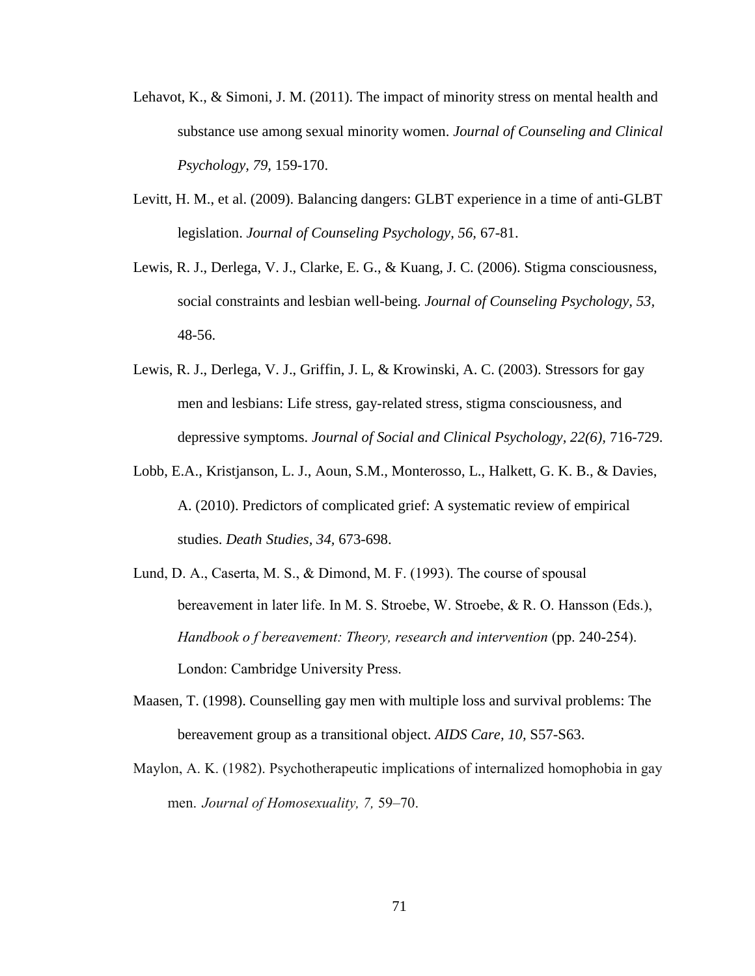- Lehavot, K., & Simoni, J. M. (2011). The impact of minority stress on mental health and substance use among sexual minority women. *Journal of Counseling and Clinical Psychology, 79,* 159-170.
- Levitt, H. M., et al. (2009). Balancing dangers: GLBT experience in a time of anti-GLBT legislation. *Journal of Counseling Psychology, 56,* 67-81.
- Lewis, R. J., Derlega, V. J., Clarke, E. G., & Kuang, J. C. (2006). Stigma consciousness, social constraints and lesbian well-being. *Journal of Counseling Psychology, 53,* 48-56.
- Lewis, R. J., Derlega, V. J., Griffin, J. L, & Krowinski, A. C. (2003). Stressors for gay men and lesbians: Life stress, gay-related stress, stigma consciousness, and depressive symptoms. *Journal of Social and Clinical Psychology, 22(6),* 716-729.
- Lobb, E.A., Kristjanson, L. J., Aoun, S.M., Monterosso, L., Halkett, G. K. B., & Davies, A. (2010). Predictors of complicated grief: A systematic review of empirical studies. *Death Studies, 34,* 673-698.
- Lund, D. A., Caserta, M. S., & Dimond, M. F. (1993). The course of spousal bereavement in later life. In M. S. Stroebe, W. Stroebe, & R. O. Hansson (Eds.), *Handbook o f bereavement: Theory, research and intervention (pp. 240-254).* London: Cambridge University Press.
- Maasen, T. (1998). Counselling gay men with multiple loss and survival problems: The bereavement group as a transitional object. *AIDS Care, 10,* S57-S63.
- Maylon, A. K. (1982). Psychotherapeutic implications of internalized homophobia in gay men. *Journal of Homosexuality, 7,* 59–70.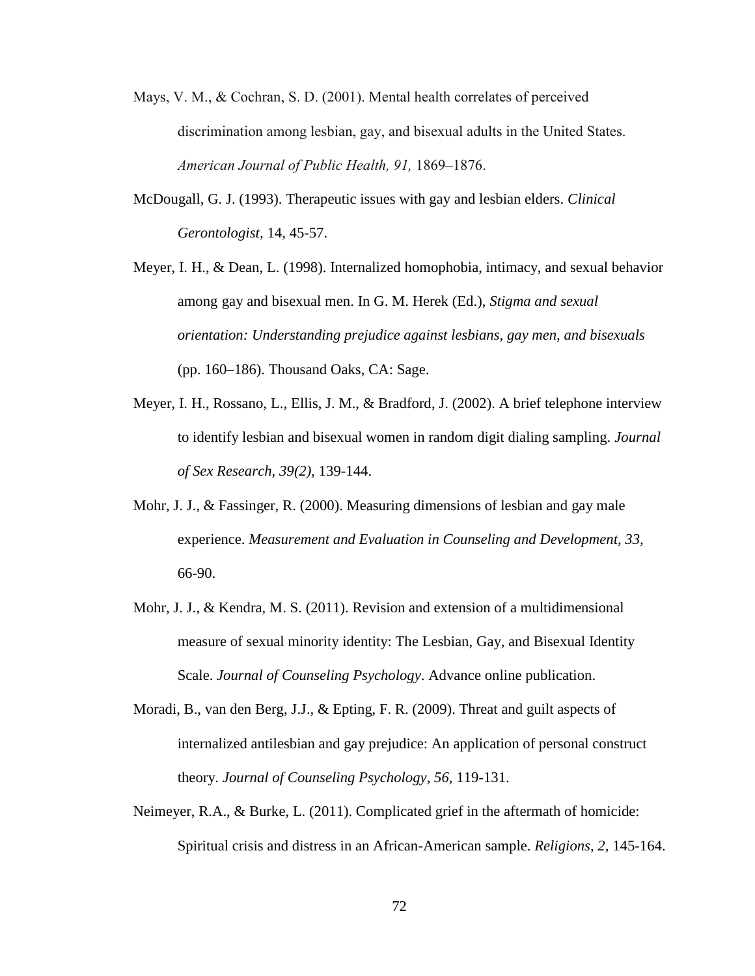- Mays, V. M., & Cochran, S. D. (2001). Mental health correlates of perceived discrimination among lesbian, gay, and bisexual adults in the United States. *American Journal of Public Health, 91,* 1869–1876.
- McDougall, G. J. (1993). Therapeutic issues with gay and lesbian elders. *Clinical Gerontologist,* 14, 45-57.
- Meyer, I. H., & Dean, L. (1998). Internalized homophobia, intimacy, and sexual behavior among gay and bisexual men. In G. M. Herek (Ed.), *Stigma and sexual orientation: Understanding prejudice against lesbians, gay men, and bisexuals* (pp. 160–186). Thousand Oaks, CA: Sage.
- Meyer, I. H., Rossano, L., Ellis, J. M., & Bradford, J. (2002). A brief telephone interview to identify lesbian and bisexual women in random digit dialing sampling. *Journal of Sex Research, 39(2),* 139-144.
- Mohr, J. J., & Fassinger, R. (2000). Measuring dimensions of lesbian and gay male experience. *Measurement and Evaluation in Counseling and Development, 33,* 66-90.
- Mohr, J. J., & Kendra, M. S. (2011). Revision and extension of a multidimensional measure of sexual minority identity: The Lesbian, Gay, and Bisexual Identity Scale. *Journal of Counseling Psychology*. Advance online publication.
- Moradi, B., van den Berg, J.J., & Epting, F. R. (2009). Threat and guilt aspects of internalized antilesbian and gay prejudice: An application of personal construct theory. *Journal of Counseling Psychology, 56,* 119-131.
- Neimeyer, R.A., & Burke, L. (2011). Complicated grief in the aftermath of homicide: Spiritual crisis and distress in an African-American sample. *Religions, 2,* 145-164.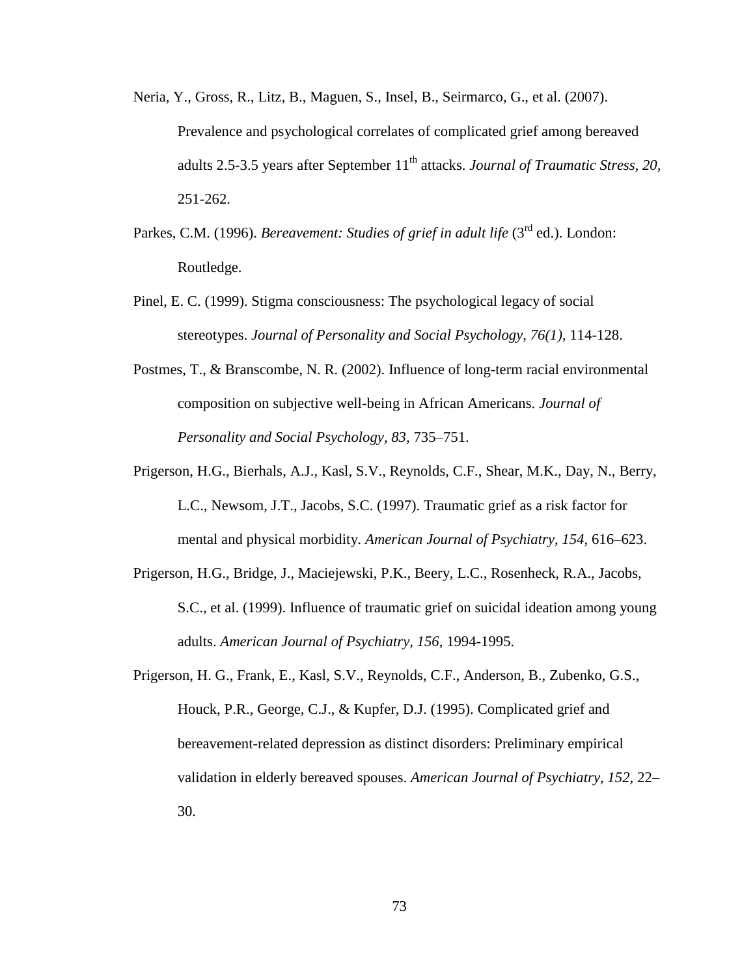- Neria, Y., Gross, R., Litz, B., Maguen, S., Insel, B., Seirmarco, G., et al. (2007). Prevalence and psychological correlates of complicated grief among bereaved adults 2.5-3.5 years after September 11<sup>th</sup> attacks. *Journal of Traumatic Stress*, 20, 251-262.
- Parkes, C.M. (1996). *Bereavement: Studies of grief in adult life* (3<sup>rd</sup> ed.). London: Routledge.
- Pinel, E. C. (1999). Stigma consciousness: The psychological legacy of social stereotypes. *Journal of Personality and Social Psychology, 76(1),* 114-128.
- Postmes, T., & Branscombe, N. R. (2002). Influence of long-term racial environmental composition on subjective well-being in African Americans. *Journal of Personality and Social Psychology, 83,* 735–751.
- Prigerson, H.G., Bierhals, A.J., Kasl, S.V., Reynolds, C.F., Shear, M.K., Day, N., Berry, L.C., Newsom, J.T., Jacobs, S.C. (1997). Traumatic grief as a risk factor for mental and physical morbidity. *American Journal of Psychiatry, 154,* 616–623.
- Prigerson, H.G., Bridge, J., Maciejewski, P.K., Beery, L.C., Rosenheck, R.A., Jacobs, S.C., et al. (1999). Influence of traumatic grief on suicidal ideation among young adults. *American Journal of Psychiatry, 156,* 1994-1995.
- Prigerson, H. G., Frank, E., Kasl, S.V., Reynolds, C.F., Anderson, B., Zubenko, G.S., Houck, P.R., George, C.J., & Kupfer, D.J. (1995). Complicated grief and bereavement-related depression as distinct disorders: Preliminary empirical validation in elderly bereaved spouses. *American Journal of Psychiatry, 152,* 22– 30.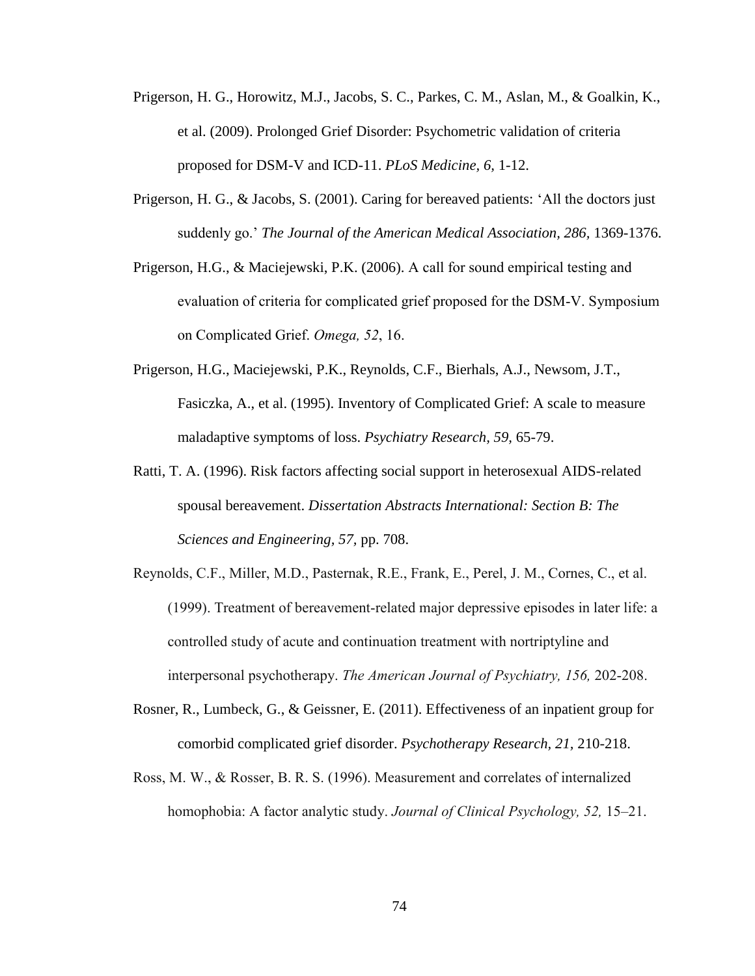- Prigerson, H. G., Horowitz, M.J., Jacobs, S. C., Parkes, C. M., Aslan, M., & Goalkin, K., et al. (2009). Prolonged Grief Disorder: Psychometric validation of criteria proposed for DSM-V and ICD-11. *PLoS Medicine, 6,* 1-12.
- Prigerson, H. G., & Jacobs, S. (2001). Caring for bereaved patients: 'All the doctors just suddenly go.' *The Journal of the American Medical Association, 286,* 1369-1376.
- Prigerson, H.G., & Maciejewski, P.K. (2006). A call for sound empirical testing and evaluation of criteria for complicated grief proposed for the DSM-V. Symposium on Complicated Grief. *Omega, 52*, 16.
- Prigerson, H.G., Maciejewski, P.K., Reynolds, C.F., Bierhals, A.J., Newsom, J.T., Fasiczka, A., et al. (1995). Inventory of Complicated Grief: A scale to measure maladaptive symptoms of loss. *Psychiatry Research, 59,* 65-79.
- Ratti, T. A. (1996). Risk factors affecting social support in heterosexual AIDS-related spousal bereavement. *Dissertation Abstracts International: Section B: The Sciences and Engineering, 57,* pp. 708.
- Reynolds, C.F., Miller, M.D., Pasternak, R.E., Frank, E., Perel, J. M., Cornes, C., et al. (1999). Treatment of bereavement-related major depressive episodes in later life: a controlled study of acute and continuation treatment with nortriptyline and interpersonal psychotherapy. *The American Journal of Psychiatry, 156,* 202-208.
- Rosner, R., Lumbeck, G., & Geissner, E. (2011). Effectiveness of an inpatient group for comorbid complicated grief disorder. *Psychotherapy Research, 21,* 210-218.
- Ross, M. W., & Rosser, B. R. S. (1996). Measurement and correlates of internalized homophobia: A factor analytic study. *Journal of Clinical Psychology, 52,* 15–21.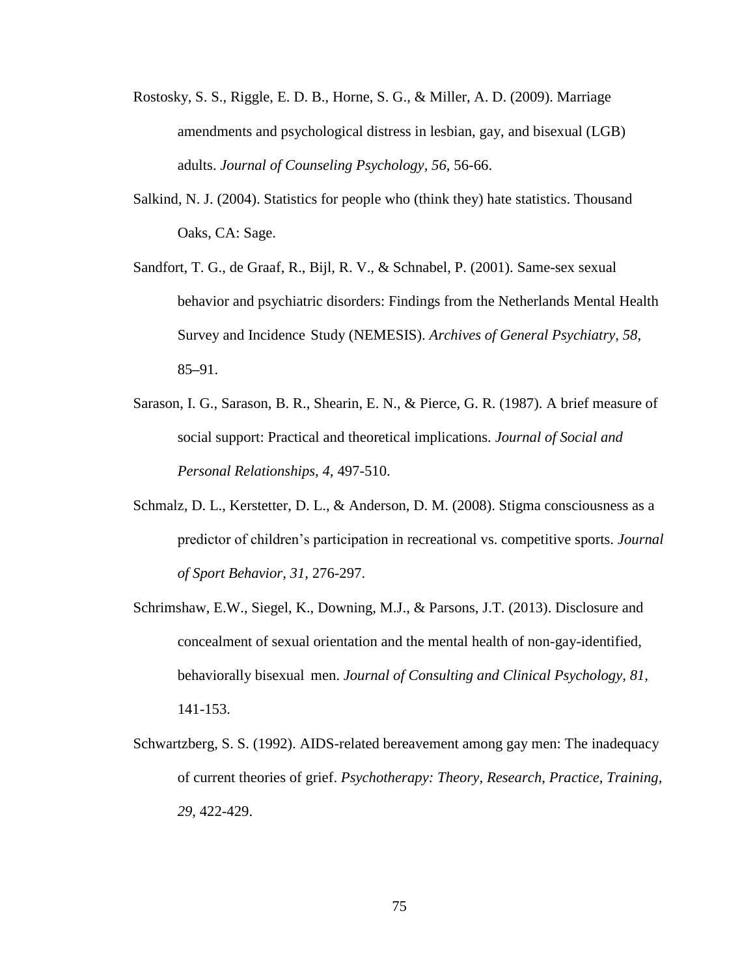- Rostosky, S. S., Riggle, E. D. B., Horne, S. G., & Miller, A. D. (2009). Marriage amendments and psychological distress in lesbian, gay, and bisexual (LGB) adults. *Journal of Counseling Psychology, 56,* 56-66.
- Salkind, N. J. (2004). Statistics for people who (think they) hate statistics. Thousand Oaks, CA: Sage.
- Sandfort, T. G., de Graaf, R., Bijl, R. V., & Schnabel, P. (2001). Same-sex sexual behavior and psychiatric disorders: Findings from the Netherlands Mental Health Survey and Incidence Study (NEMESIS). *Archives of General Psychiatry, 58,* 85**–**91.
- Sarason, I. G., Sarason, B. R., Shearin, E. N., & Pierce, G. R. (1987). A brief measure of social support: Practical and theoretical implications. *Journal of Social and Personal Relationships, 4,* 497-510.
- Schmalz, D. L., Kerstetter, D. L., & Anderson, D. M. (2008). Stigma consciousness as a predictor of children's participation in recreational vs. competitive sports. *Journal of Sport Behavior, 31,* 276-297.
- Schrimshaw, E.W., Siegel, K., Downing, M.J., & Parsons, J.T. (2013). Disclosure and concealment of sexual orientation and the mental health of non-gay-identified, behaviorally bisexual men. *Journal of Consulting and Clinical Psychology, 81,*  141-153.
- Schwartzberg, S. S. (1992). AIDS-related bereavement among gay men: The inadequacy of current theories of grief. *Psychotherapy: Theory, Research, Practice, Training, 29,* 422-429.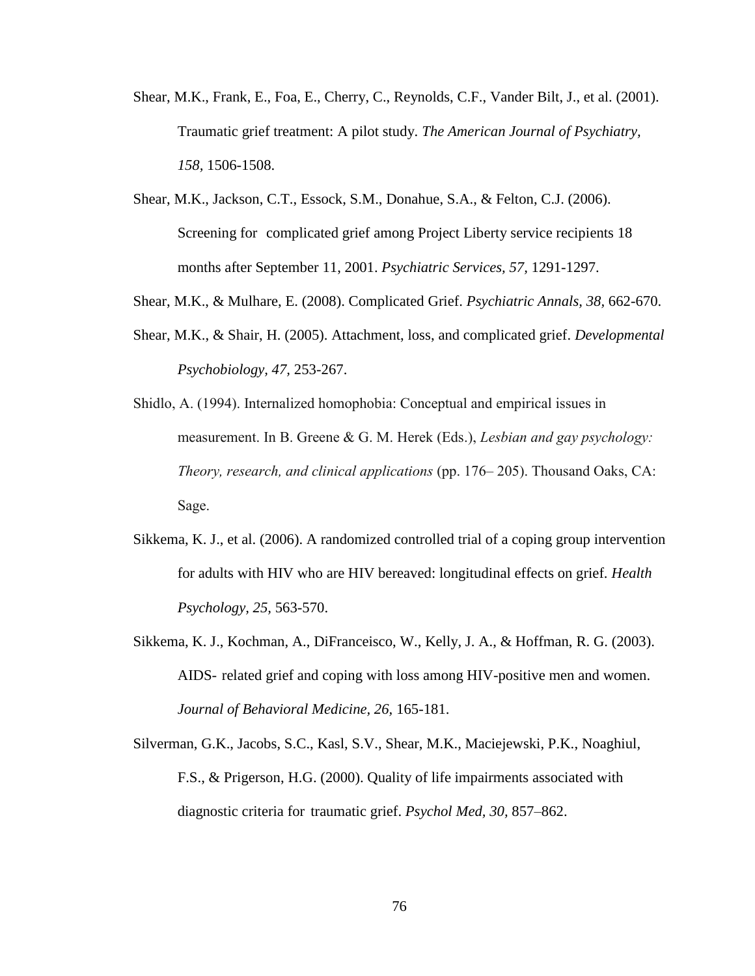- Shear, M.K., Frank, E., Foa, E., Cherry, C., Reynolds, C.F., Vander Bilt, J., et al. (2001). Traumatic grief treatment: A pilot study. *The American Journal of Psychiatry, 158,* 1506-1508.
- Shear, M.K., Jackson, C.T., Essock, S.M., Donahue, S.A., & Felton, C.J. (2006). Screening for complicated grief among Project Liberty service recipients 18 months after September 11, 2001. *Psychiatric Services, 57,* 1291-1297.
- Shear, M.K., & Mulhare, E. (2008). Complicated Grief. *Psychiatric Annals, 38,* 662-670.
- Shear, M.K., & Shair, H. (2005). Attachment, loss, and complicated grief. *Developmental Psychobiology, 47,* 253-267.
- Shidlo, A. (1994). Internalized homophobia: Conceptual and empirical issues in measurement. In B. Greene & G. M. Herek (Eds.), *Lesbian and gay psychology: Theory, research, and clinical applications* (pp. 176– 205). Thousand Oaks, CA: Sage.
- Sikkema, K. J., et al. (2006). A randomized controlled trial of a coping group intervention for adults with HIV who are HIV bereaved: longitudinal effects on grief. *Health Psychology, 25,* 563-570.
- Sikkema, K. J., Kochman, A., DiFranceisco, W., Kelly, J. A., & Hoffman, R. G. (2003). AIDS- related grief and coping with loss among HIV-positive men and women. *Journal of Behavioral Medicine, 26,* 165-181.
- Silverman, G.K., Jacobs, S.C., Kasl, S.V., Shear, M.K., Maciejewski, P.K., Noaghiul, F.S., & Prigerson, H.G. (2000). Quality of life impairments associated with diagnostic criteria for traumatic grief. *Psychol Med, 30,* 857–862.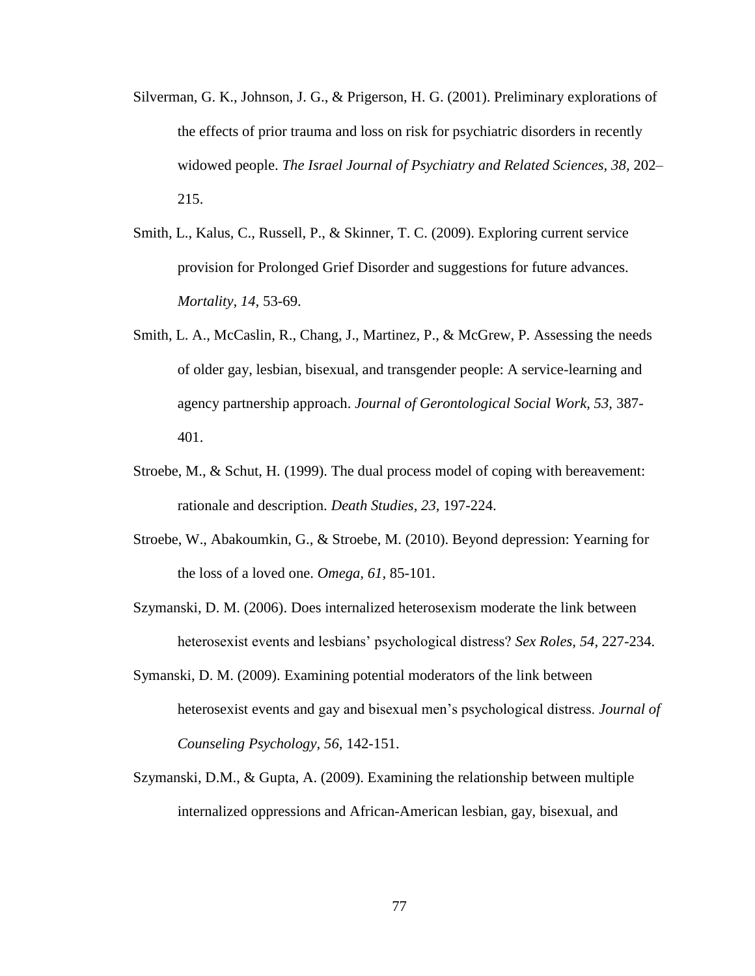- Silverman, G. K., Johnson, J. G., & Prigerson, H. G. (2001). Preliminary explorations of the effects of prior trauma and loss on risk for psychiatric disorders in recently widowed people. *The Israel Journal of Psychiatry and Related Sciences, 38,* 202– 215.
- Smith, L., Kalus, C., Russell, P., & Skinner, T. C. (2009). Exploring current service provision for Prolonged Grief Disorder and suggestions for future advances. *Mortality, 14,* 53-69.
- Smith, L. A., McCaslin, R., Chang, J., Martinez, P., & McGrew, P. Assessing the needs of older gay, lesbian, bisexual, and transgender people: A service-learning and agency partnership approach. *Journal of Gerontological Social Work, 53,* 387- 401.
- Stroebe, M., & Schut, H. (1999). The dual process model of coping with bereavement: rationale and description. *Death Studies, 23,* 197-224.
- Stroebe, W., Abakoumkin, G., & Stroebe, M. (2010). Beyond depression: Yearning for the loss of a loved one. *Omega, 61,* 85-101.
- Szymanski, D. M. (2006). Does internalized heterosexism moderate the link between heterosexist events and lesbians' psychological distress? *Sex Roles, 54,* 227-234.
- Symanski, D. M. (2009). Examining potential moderators of the link between heterosexist events and gay and bisexual men's psychological distress. *Journal of Counseling Psychology, 56,* 142-151.
- Szymanski, D.M., & Gupta, A. (2009). Examining the relationship between multiple internalized oppressions and African-American lesbian, gay, bisexual, and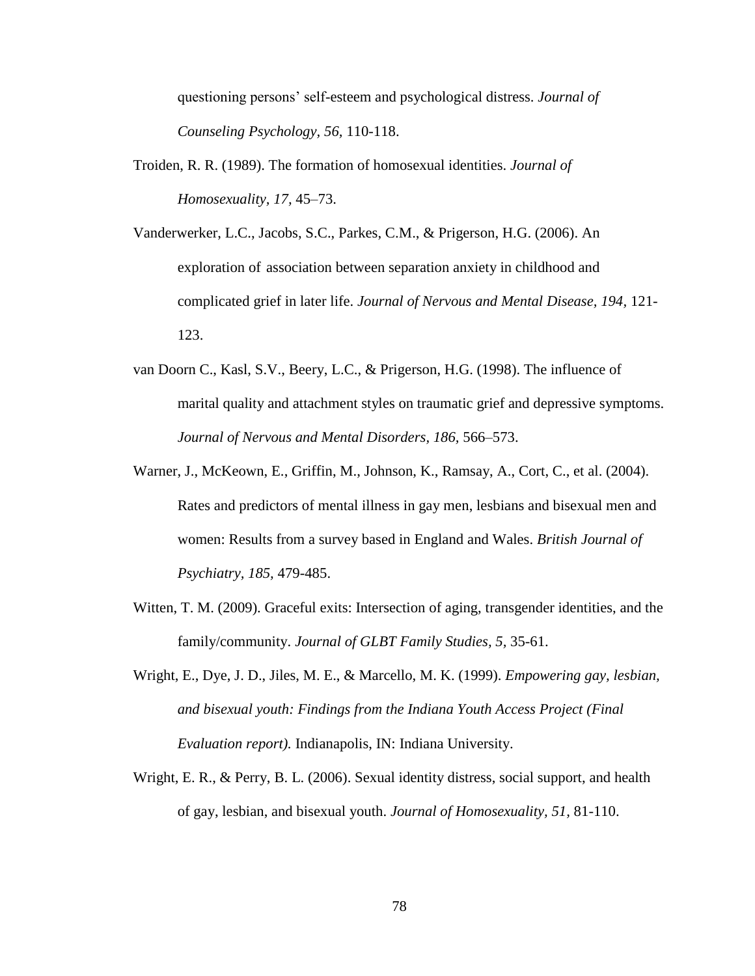questioning persons' self-esteem and psychological distress. *Journal of Counseling Psychology, 56,* 110-118.

- Troiden, R. R. (1989). The formation of homosexual identities. *Journal of Homosexuality, 17,* 45–73.
- Vanderwerker, L.C., Jacobs, S.C., Parkes, C.M., & Prigerson, H.G. (2006). An exploration of association between separation anxiety in childhood and complicated grief in later life. *Journal of Nervous and Mental Disease, 194,* 121- 123.
- van Doorn C., Kasl, S.V., Beery, L.C., & Prigerson, H.G. (1998). The influence of marital quality and attachment styles on traumatic grief and depressive symptoms. *Journal of Nervous and Mental Disorders, 186,* 566–573.
- Warner, J., McKeown, E., Griffin, M., Johnson, K., Ramsay, A., Cort, C., et al. (2004). Rates and predictors of mental illness in gay men, lesbians and bisexual men and women: Results from a survey based in England and Wales. *British Journal of Psychiatry, 185,* 479-485.
- Witten, T. M. (2009). Graceful exits: Intersection of aging, transgender identities, and the family/community. *Journal of GLBT Family Studies, 5,* 35-61.
- Wright, E., Dye, J. D., Jiles, M. E., & Marcello, M. K. (1999). *Empowering gay, lesbian, and bisexual youth: Findings from the Indiana Youth Access Project (Final Evaluation report).* Indianapolis, IN: Indiana University.
- Wright, E. R., & Perry, B. L. (2006). Sexual identity distress, social support, and health of gay, lesbian, and bisexual youth. *Journal of Homosexuality, 51,* 81-110.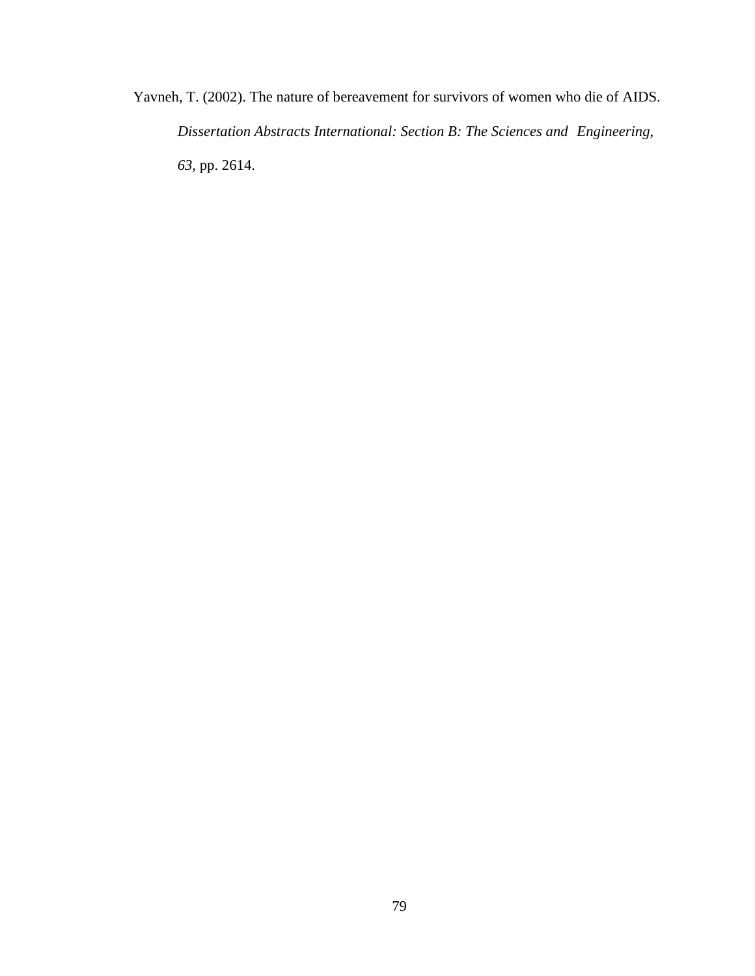Yavneh, T. (2002). The nature of bereavement for survivors of women who die of AIDS. *Dissertation Abstracts International: Section B: The Sciences and Engineering, 63,* pp. 2614.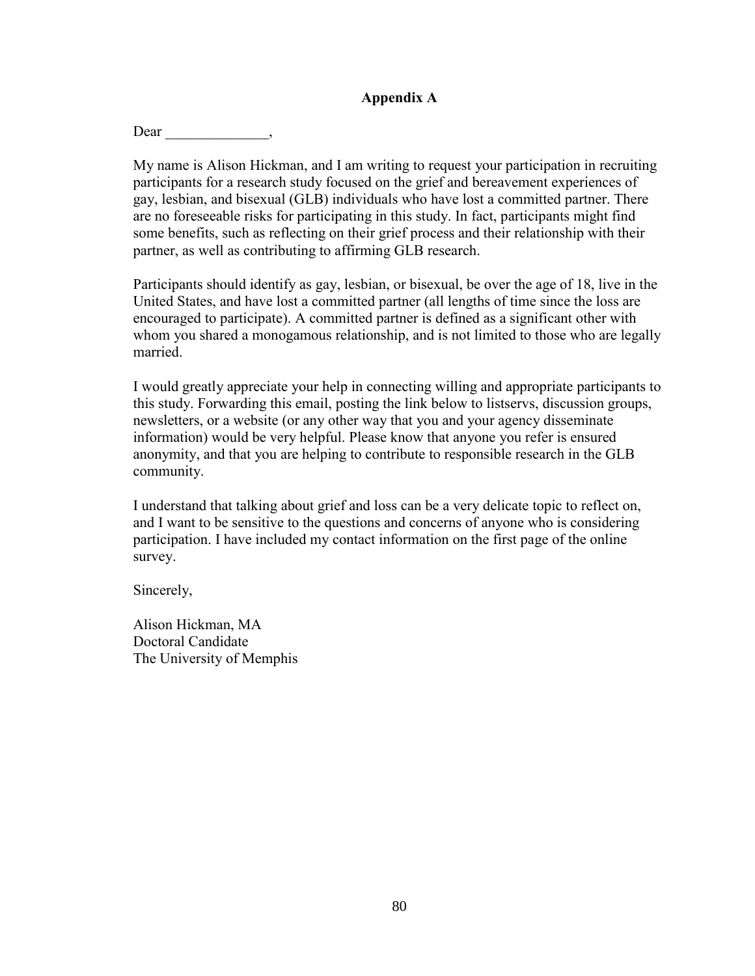### **Appendix A**

Dear \_\_\_\_\_\_\_\_\_\_\_\_\_\_,

My name is Alison Hickman, and I am writing to request your participation in recruiting participants for a research study focused on the grief and bereavement experiences of gay, lesbian, and bisexual (GLB) individuals who have lost a committed partner. There are no foreseeable risks for participating in this study. In fact, participants might find some benefits, such as reflecting on their grief process and their relationship with their partner, as well as contributing to affirming GLB research.

Participants should identify as gay, lesbian, or bisexual, be over the age of 18, live in the United States, and have lost a committed partner (all lengths of time since the loss are encouraged to participate). A committed partner is defined as a significant other with whom you shared a monogamous relationship, and is not limited to those who are legally married.

I would greatly appreciate your help in connecting willing and appropriate participants to this study. Forwarding this email, posting the link below to listservs, discussion groups, newsletters, or a website (or any other way that you and your agency disseminate information) would be very helpful. Please know that anyone you refer is ensured anonymity, and that you are helping to contribute to responsible research in the GLB community.

I understand that talking about grief and loss can be a very delicate topic to reflect on, and I want to be sensitive to the questions and concerns of anyone who is considering participation. I have included my contact information on the first page of the online survey.

Sincerely,

Alison Hickman, MA Doctoral Candidate The University of Memphis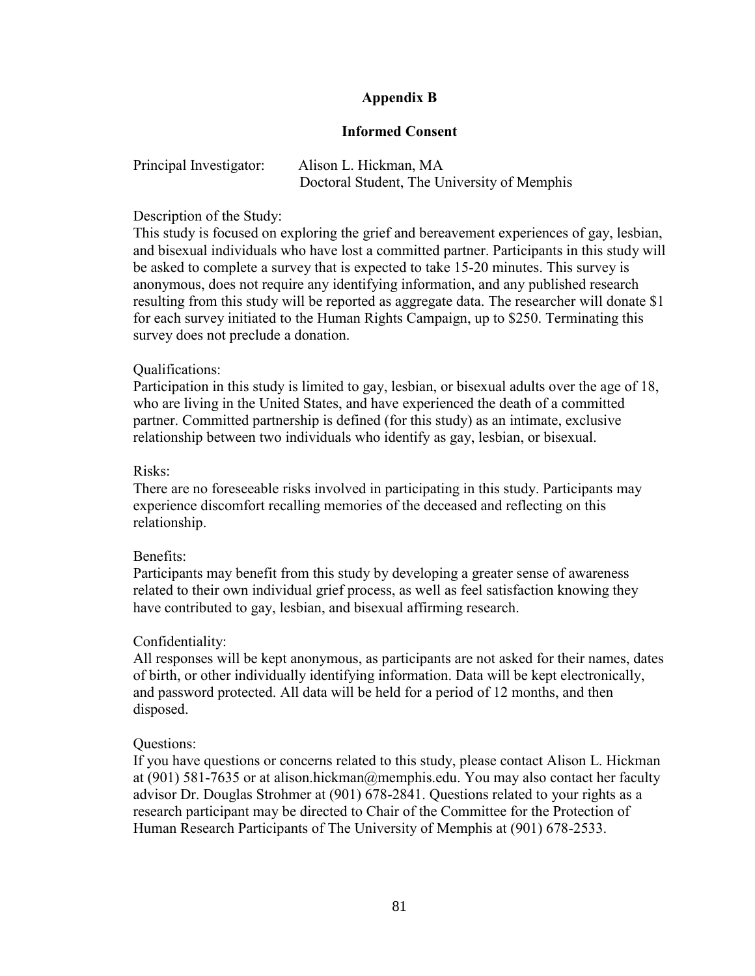### **Appendix B**

### **Informed Consent**

| Principal Investigator: | Alison L. Hickman, MA                       |
|-------------------------|---------------------------------------------|
|                         | Doctoral Student, The University of Memphis |

### Description of the Study:

This study is focused on exploring the grief and bereavement experiences of gay, lesbian, and bisexual individuals who have lost a committed partner. Participants in this study will be asked to complete a survey that is expected to take 15-20 minutes. This survey is anonymous, does not require any identifying information, and any published research resulting from this study will be reported as aggregate data. The researcher will donate \$1 for each survey initiated to the Human Rights Campaign, up to \$250. Terminating this survey does not preclude a donation.

### Qualifications:

Participation in this study is limited to gay, lesbian, or bisexual adults over the age of 18, who are living in the United States, and have experienced the death of a committed partner. Committed partnership is defined (for this study) as an intimate, exclusive relationship between two individuals who identify as gay, lesbian, or bisexual.

### Risks:

There are no foreseeable risks involved in participating in this study. Participants may experience discomfort recalling memories of the deceased and reflecting on this relationship.

### Benefits:

Participants may benefit from this study by developing a greater sense of awareness related to their own individual grief process, as well as feel satisfaction knowing they have contributed to gay, lesbian, and bisexual affirming research.

### Confidentiality:

All responses will be kept anonymous, as participants are not asked for their names, dates of birth, or other individually identifying information. Data will be kept electronically, and password protected. All data will be held for a period of 12 months, and then disposed.

### Questions:

If you have questions or concerns related to this study, please contact Alison L. Hickman at (901) 581-7635 or at alison.hickman@memphis.edu. You may also contact her faculty advisor Dr. Douglas Strohmer at (901) 678-2841. Questions related to your rights as a research participant may be directed to Chair of the Committee for the Protection of Human Research Participants of The University of Memphis at (901) 678-2533.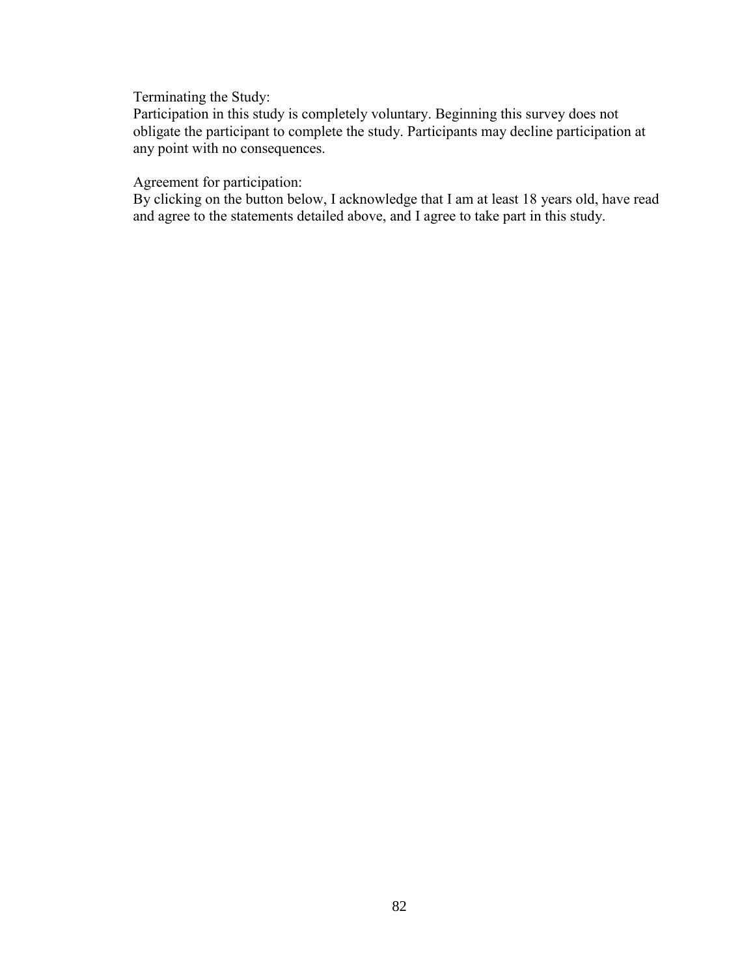Terminating the Study:

Participation in this study is completely voluntary. Beginning this survey does not obligate the participant to complete the study. Participants may decline participation at any point with no consequences.

Agreement for participation:

By clicking on the button below, I acknowledge that I am at least 18 years old, have read and agree to the statements detailed above, and I agree to take part in this study.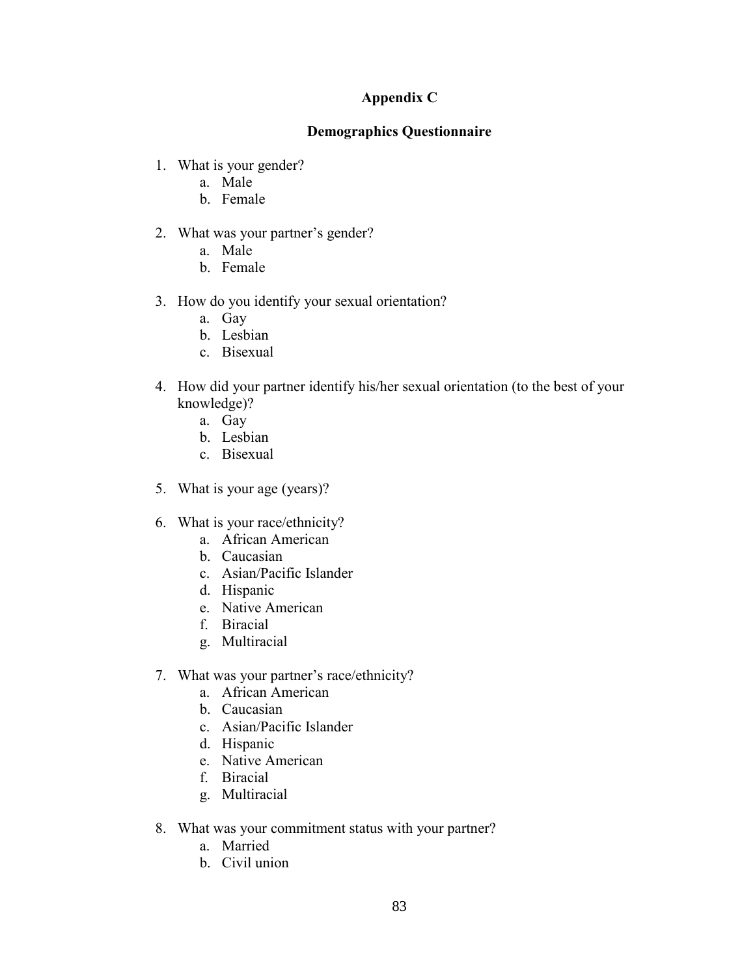### **Appendix C**

### **Demographics Questionnaire**

- 1. What is your gender?
	- a. Male
	- b. Female
- 2. What was your partner's gender?
	- a. Male
	- b. Female
- 3. How do you identify your sexual orientation?
	- a. Gay
	- b. Lesbian
	- c. Bisexual
- 4. How did your partner identify his/her sexual orientation (to the best of your knowledge)?
	- a. Gay
	- b. Lesbian
	- c. Bisexual
- 5. What is your age (years)?
- 6. What is your race/ethnicity?
	- a. African American
	- b. Caucasian
	- c. Asian/Pacific Islander
	- d. Hispanic
	- e. Native American
	- f. Biracial
	- g. Multiracial
- 7. What was your partner's race/ethnicity?
	- a. African American
	- b. Caucasian
	- c. Asian/Pacific Islander
	- d. Hispanic
	- e. Native American
	- f. Biracial
	- g. Multiracial
- 8. What was your commitment status with your partner?
	- a. Married
	- b. Civil union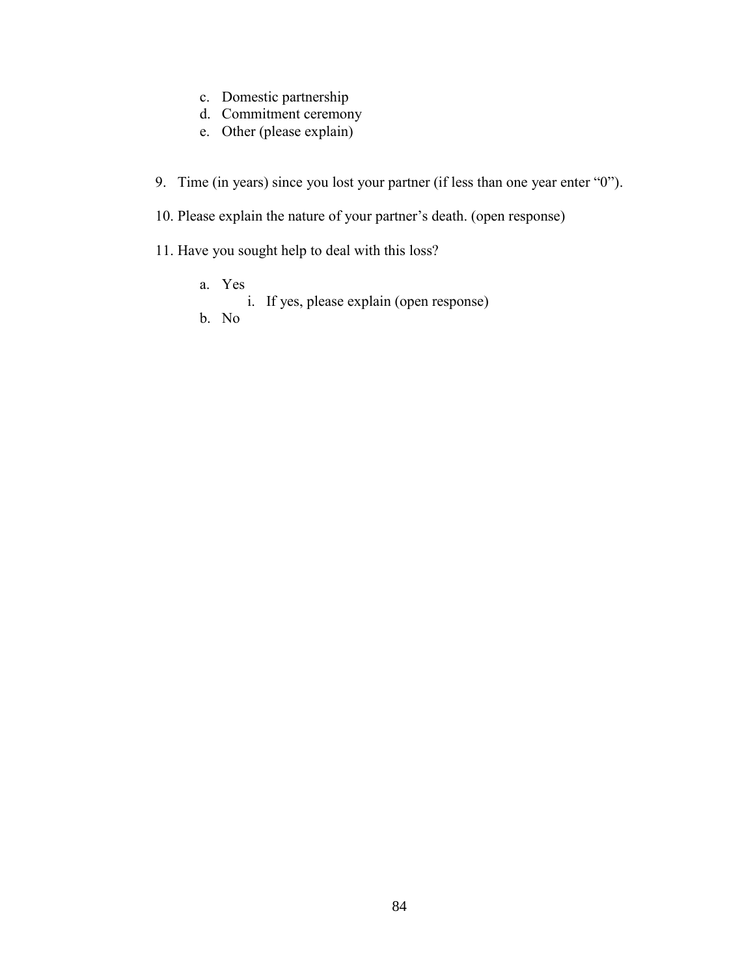- c. Domestic partnership
- d. Commitment ceremony
- e. Other (please explain)
- 9. Time (in years) since you lost your partner (if less than one year enter "0").
- 10. Please explain the nature of your partner's death. (open response)
- 11. Have you sought help to deal with this loss?
	- a. Yes i. If yes, please explain (open response)
	- b. No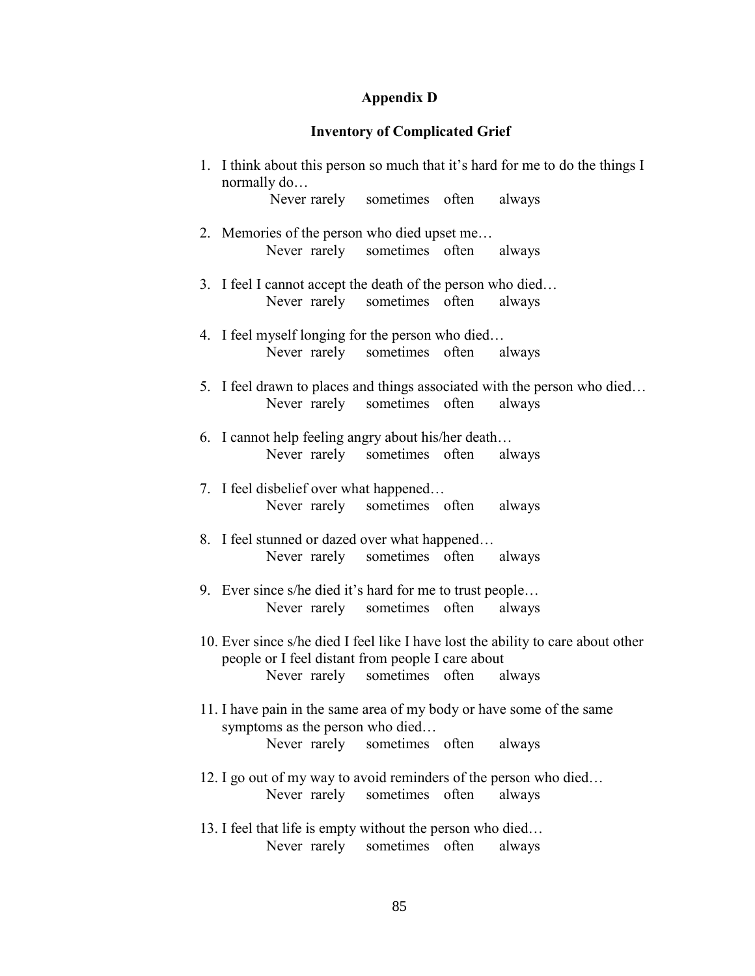# **Appendix D**

# **Inventory of Complicated Grief**

| normally do                                                |              |                                     |       | 1. I think about this person so much that it's hard for me to do the things I      |
|------------------------------------------------------------|--------------|-------------------------------------|-------|------------------------------------------------------------------------------------|
|                                                            |              | Never rarely sometimes often always |       |                                                                                    |
| 2. Memories of the person who died upset me                |              |                                     |       |                                                                                    |
|                                                            |              | Never rarely sometimes often always |       |                                                                                    |
| 3. I feel I cannot accept the death of the person who died |              | Never rarely sometimes often        |       | always                                                                             |
| 4. I feel myself longing for the person who died           |              | Never rarely sometimes often always |       |                                                                                    |
|                                                            |              | Never rarely sometimes often        |       | 5. I feel drawn to places and things associated with the person who died<br>always |
| 6. I cannot help feeling angry about his/her death         |              | Never rarely sometimes often        |       | always                                                                             |
| 7. I feel disbelief over what happened                     |              | Never rarely sometimes often always |       |                                                                                    |
| 8. I feel stunned or dazed over what happened              |              | Never rarely sometimes often always |       |                                                                                    |
| 9. Ever since s/he died it's hard for me to trust people   |              |                                     |       |                                                                                    |
|                                                            |              | Never rarely sometimes often        |       | always                                                                             |
| people or I feel distant from people I care about          |              |                                     |       | 10. Ever since s/he died I feel like I have lost the ability to care about other   |
|                                                            |              | Never rarely sometimes often        |       | always                                                                             |
| symptoms as the person who died                            |              |                                     |       | 11. I have pain in the same area of my body or have some of the same               |
| Never rarely                                               |              | sometimes often                     |       | always                                                                             |
|                                                            | Never rarely | sometimes                           | often | 12. I go out of my way to avoid reminders of the person who died<br>always         |
| 13. I feel that life is empty without the person who died  |              |                                     |       |                                                                                    |
| Never rarely                                               |              | sometimes                           | often | always                                                                             |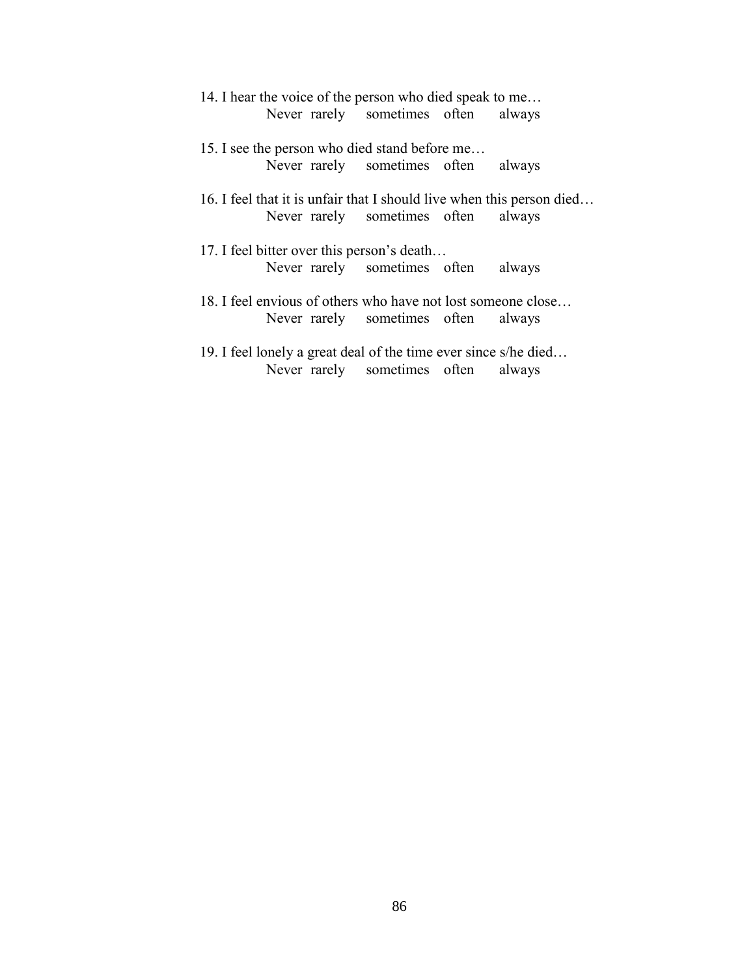| 14. I hear the voice of the person who died speak to me               |                                     |  |
|-----------------------------------------------------------------------|-------------------------------------|--|
|                                                                       | Never rarely sometimes often always |  |
| 15. I see the person who died stand before me                         |                                     |  |
|                                                                       | Never rarely sometimes often always |  |
| 16. I feel that it is unfair that I should live when this person died | Never rarely sometimes often always |  |
| 17. I feel bitter over this person's death                            |                                     |  |
|                                                                       | Never rarely sometimes often always |  |
| 18. I feel envious of others who have not lost someone close          |                                     |  |
|                                                                       | Never rarely sometimes often always |  |
| 19. I feel lonely a great deal of the time ever since s/he died       |                                     |  |
|                                                                       | Never rarely sometimes often always |  |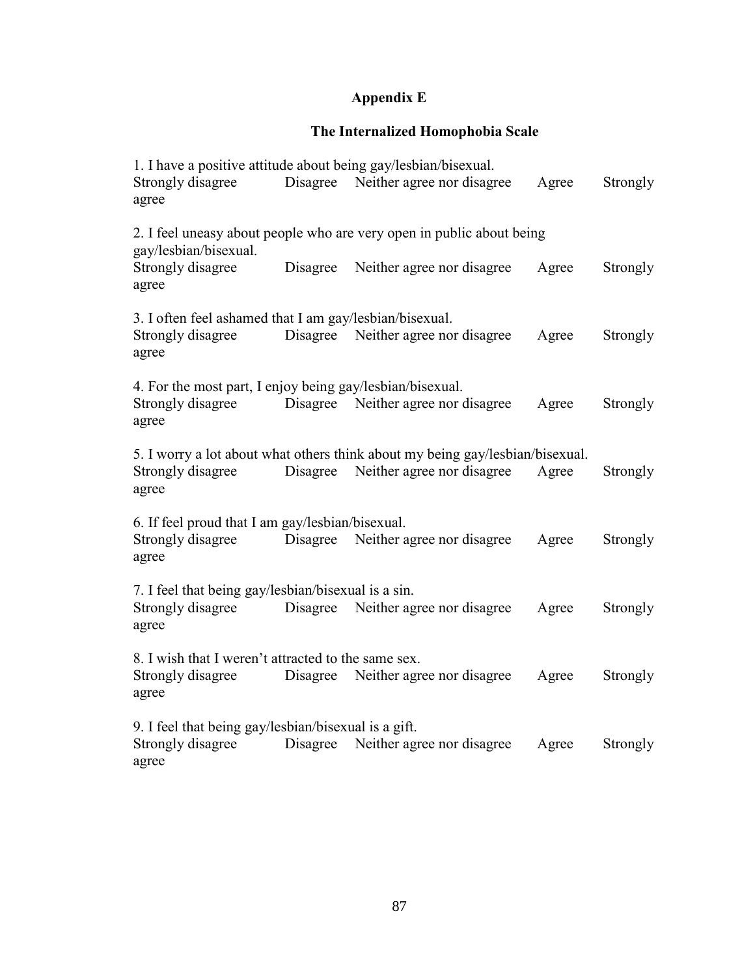## **Appendix E**

## **The Internalized Homophobia Scale**

| 1. I have a positive attitude about being gay/lesbian/bisexual.<br>Strongly disagree<br>agree | Disagree | Neither agree nor disagree                                                    | Agree | Strongly |
|-----------------------------------------------------------------------------------------------|----------|-------------------------------------------------------------------------------|-------|----------|
|                                                                                               |          | 2. I feel uneasy about people who are very open in public about being         |       |          |
| gay/lesbian/bisexual.<br>Strongly disagree<br>agree                                           | Disagree | Neither agree nor disagree                                                    | Agree | Strongly |
| 3. I often feel ashamed that I am gay/lesbian/bisexual.                                       |          |                                                                               |       |          |
| Strongly disagree<br>agree                                                                    |          | Disagree Neither agree nor disagree                                           | Agree | Strongly |
| 4. For the most part, I enjoy being gay/lesbian/bisexual.                                     |          |                                                                               |       |          |
| Strongly disagree<br>agree                                                                    | Disagree | Neither agree nor disagree                                                    | Agree | Strongly |
|                                                                                               |          | 5. I worry a lot about what others think about my being gay/lesbian/bisexual. |       |          |
| Strongly disagree<br>agree                                                                    | Disagree | Neither agree nor disagree                                                    | Agree | Strongly |
| 6. If feel proud that I am gay/lesbian/bisexual.                                              |          |                                                                               |       |          |
| Strongly disagree<br>agree                                                                    |          | Disagree Neither agree nor disagree                                           | Agree | Strongly |
| 7. I feel that being gay/lesbian/bisexual is a sin.                                           |          |                                                                               |       |          |
| Strongly disagree<br>agree                                                                    | Disagree | Neither agree nor disagree                                                    | Agree | Strongly |
| 8. I wish that I weren't attracted to the same sex.                                           |          |                                                                               |       |          |
| Strongly disagree<br>agree                                                                    | Disagree | Neither agree nor disagree                                                    | Agree | Strongly |
| 9. I feel that being gay/lesbian/bisexual is a gift.                                          |          |                                                                               |       |          |
| Strongly disagree<br>agree                                                                    | Disagree | Neither agree nor disagree                                                    | Agree | Strongly |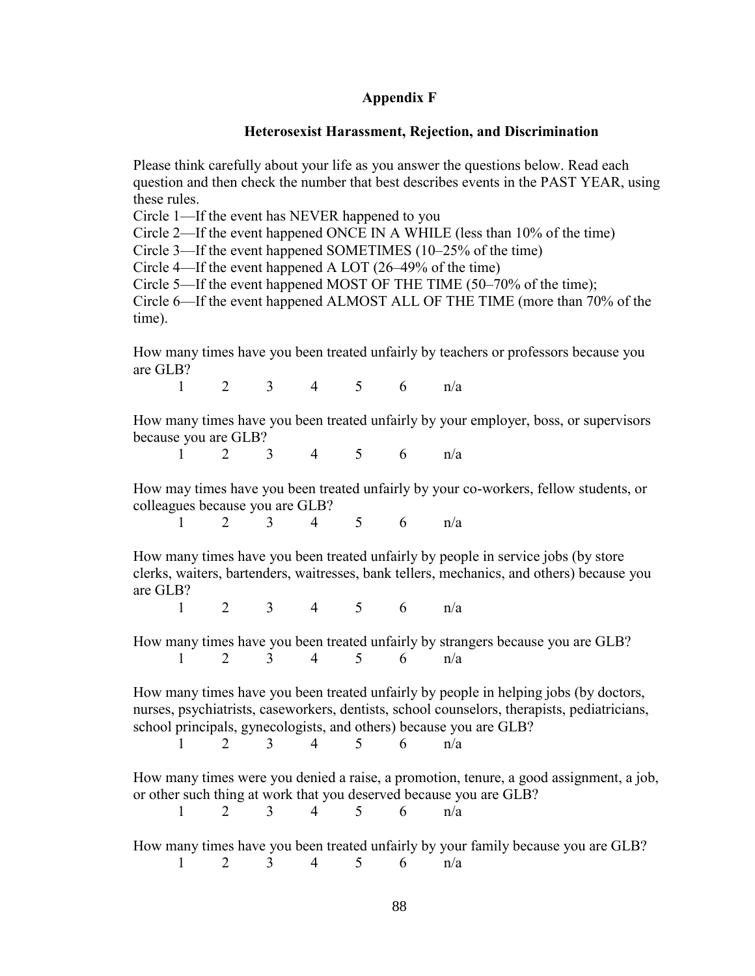#### **Appendix F**

#### **Heterosexist Harassment, Rejection, and Discrimination**

Please think carefully about your life as you answer the questions below. Read each question and then check the number that best describes events in the PAST YEAR, using these rules.

Circle 1—If the event has NEVER happened to you

Circle 2—If the event happened ONCE IN A WHILE (less than 10% of the time)

Circle 3—If the event happened SOMETIMES (10–25% of the time)

Circle 4—If the event happened A LOT (26–49% of the time)

Circle 5—If the event happened MOST OF THE TIME (50–70% of the time);

Circle 6—If the event happened ALMOST ALL OF THE TIME (more than 70% of the time).

How many times have you been treated unfairly by teachers or professors because you are GLB?

1 2 3 4 5 6 n/a

How many times have you been treated unfairly by your employer, boss, or supervisors because you are GLB?

1 2 3 4 5 6 n/a

How may times have you been treated unfairly by your co-workers, fellow students, or colleagues because you are GLB?

1 2 3 4 5 6 n/a

How many times have you been treated unfairly by people in service jobs (by store clerks, waiters, bartenders, waitresses, bank tellers, mechanics, and others) because you are GLB?

1 2 3 4 5 6 n/a

How many times have you been treated unfairly by strangers because you are GLB? 1 2 3 4 5 6 n/a

How many times have you been treated unfairly by people in helping jobs (by doctors, nurses, psychiatrists, caseworkers, dentists, school counselors, therapists, pediatricians, school principals, gynecologists, and others) because you are GLB?

| $\blacksquare$ |  |  | $5 \qquad 6 \qquad n/a$ |  |
|----------------|--|--|-------------------------|--|
|                |  |  |                         |  |

How many times were you denied a raise, a promotion, tenure, a good assignment, a job, or other such thing at work that you deserved because you are GLB?

1 2 3 4 5 6 n/a

How many times have you been treated unfairly by your family because you are GLB?

1 2 3 4 5 6 n/a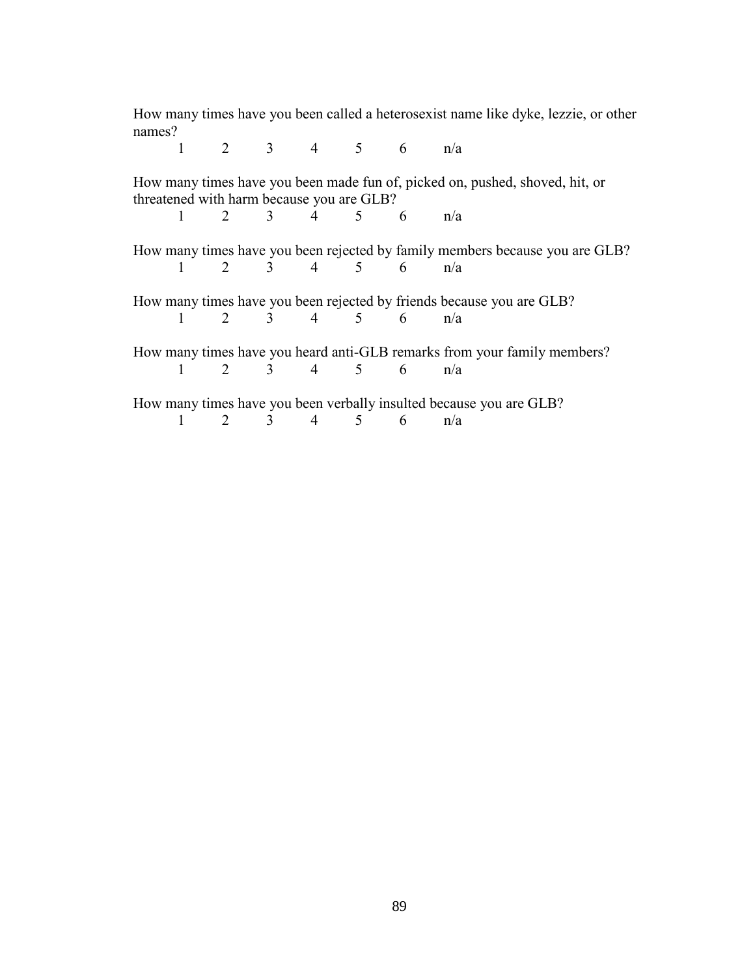| names? |                                           |                                     |                                     |  | How many times have you been called a heterosexist name like dyke, lezzie, or other |
|--------|-------------------------------------------|-------------------------------------|-------------------------------------|--|-------------------------------------------------------------------------------------|
|        | $1 \qquad \qquad$                         |                                     | $2 \quad 3 \quad 4 \quad 5 \quad 6$ |  | n/a                                                                                 |
|        | threatened with harm because you are GLB? |                                     |                                     |  | How many times have you been made fun of, picked on, pushed, shoved, hit, or        |
|        |                                           | $1 \t 2 \t 3 \t 4 \t 5 \t 6 \t n/a$ |                                     |  |                                                                                     |
|        |                                           |                                     |                                     |  | How many times have you been rejected by family members because you are GLB?        |
|        |                                           | 1 2 3 4 5 6 $n/a$                   |                                     |  |                                                                                     |
|        |                                           |                                     |                                     |  | How many times have you been rejected by friends because you are GLB?               |
|        | $1 \quad \Box$                            | 2 3 4 5 6 n/a                       |                                     |  |                                                                                     |
|        |                                           |                                     |                                     |  | How many times have you heard anti-GLB remarks from your family members?            |
|        | $1 \quad$                                 |                                     | $2 \quad 3 \quad 4 \quad 5 \quad 6$ |  | n/a                                                                                 |
|        |                                           |                                     |                                     |  | How many times have you been verbally insulted because you are GLB?                 |
|        | $1 \quad$                                 |                                     | $2 \quad 3 \quad 4 \quad 5 \quad 6$ |  | n/a                                                                                 |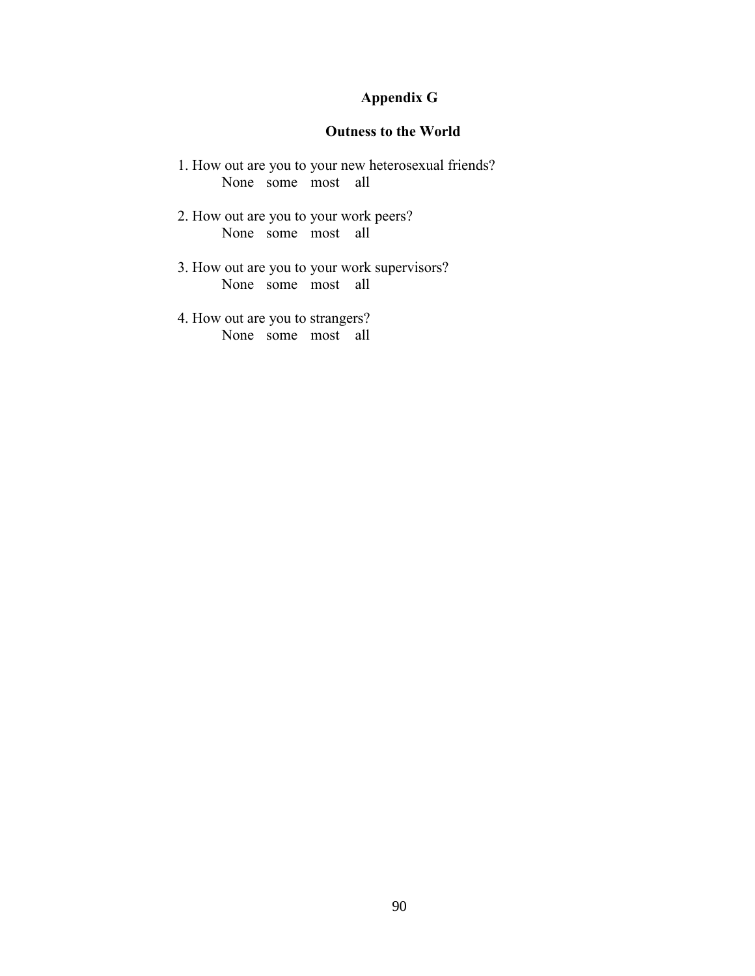# **Appendix G**

### **Outness to the World**

- 1. How out are you to your new heterosexual friends? None some most all
- 2. How out are you to your work peers? None some most all
- 3. How out are you to your work supervisors? None some most all
- 4. How out are you to strangers? None some most all